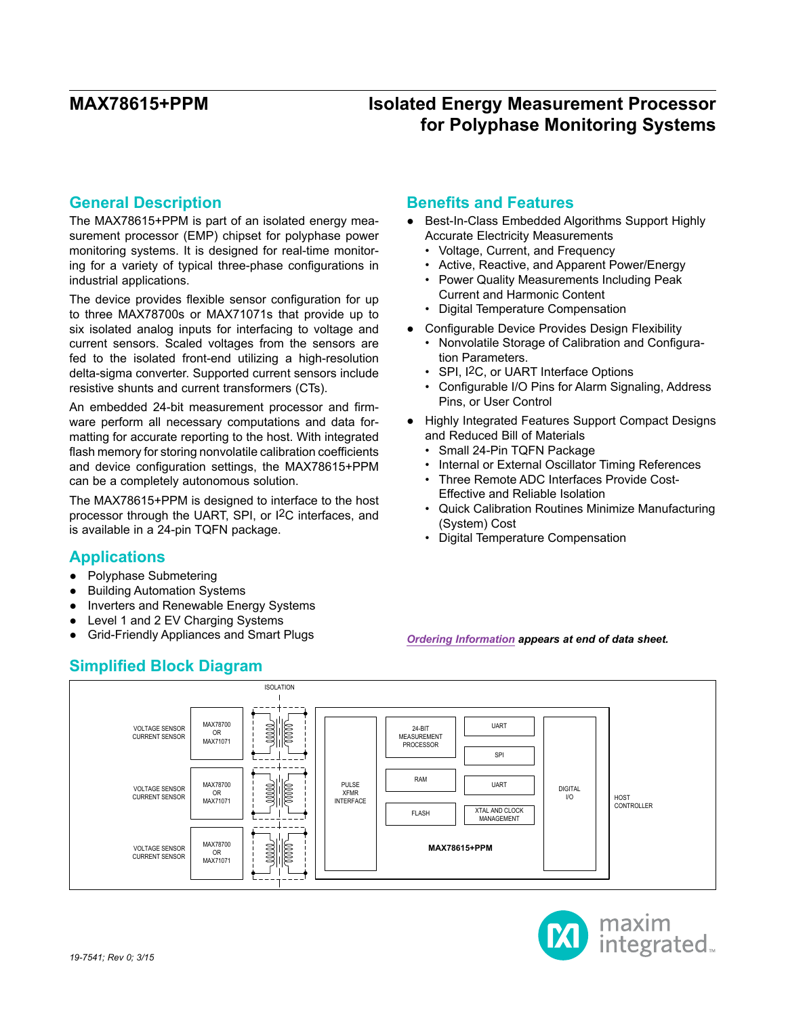## **General Description**

The MAX78615+PPM is part of an isolated energy measurement processor (EMP) chipset for polyphase power monitoring systems. It is designed for real-time monitoring for a variety of typical three-phase configurations in industrial applications.

The device provides flexible sensor configuration for up to three MAX78700s or MAX71071s that provide up to six isolated analog inputs for interfacing to voltage and current sensors. Scaled voltages from the sensors are fed to the isolated front-end utilizing a high-resolution delta-sigma converter. Supported current sensors include resistive shunts and current transformers (CTs).

An embedded 24-bit measurement processor and firmware perform all necessary computations and data formatting for accurate reporting to the host. With integrated flash memory for storing nonvolatile calibration coefficients and device configuration settings, the MAX78615+PPM can be a completely autonomous solution.

The MAX78615+PPM is designed to interface to the host processor through the UART, SPI, or I2C interfaces, and is available in a 24-pin TQFN package.

## **Applications**

- Polyphase Submetering
- Building Automation Systems
- Inverters and Renewable Energy Systems
- Level 1 and 2 EV Charging Systems
- Grid-Friendly Appliances and Smart Plugs

## **Benefits and Features**

- Best-In-Class Embedded Algorithms Support Highly Accurate Electricity Measurements
	- Voltage, Current, and Frequency
	- Active, Reactive, and Apparent Power/Energy • Power Quality Measurements Including Peak
	- Current and Harmonic Content
	- Digital Temperature Compensation
- Configurable Device Provides Design Flexibility
	- Nonvolatile Storage of Calibration and Configuration Parameters.
	- SPI, I<sup>2</sup>C, or UART Interface Options
	- Configurable I/O Pins for Alarm Signaling, Address Pins, or User Control
- Highly Integrated Features Support Compact Designs and Reduced Bill of Materials
	- Small 24-Pin TQFN Package
	- Internal or External Oscillator Timing References
	- Three Remote ADC Interfaces Provide Cost-Effective and Reliable Isolation
	- Quick Calibration Routines Minimize Manufacturing (System) Cost
	- Digital Temperature Compensation

#### *[Ordering Information](#page-44-0) appears at end of data sheet.*



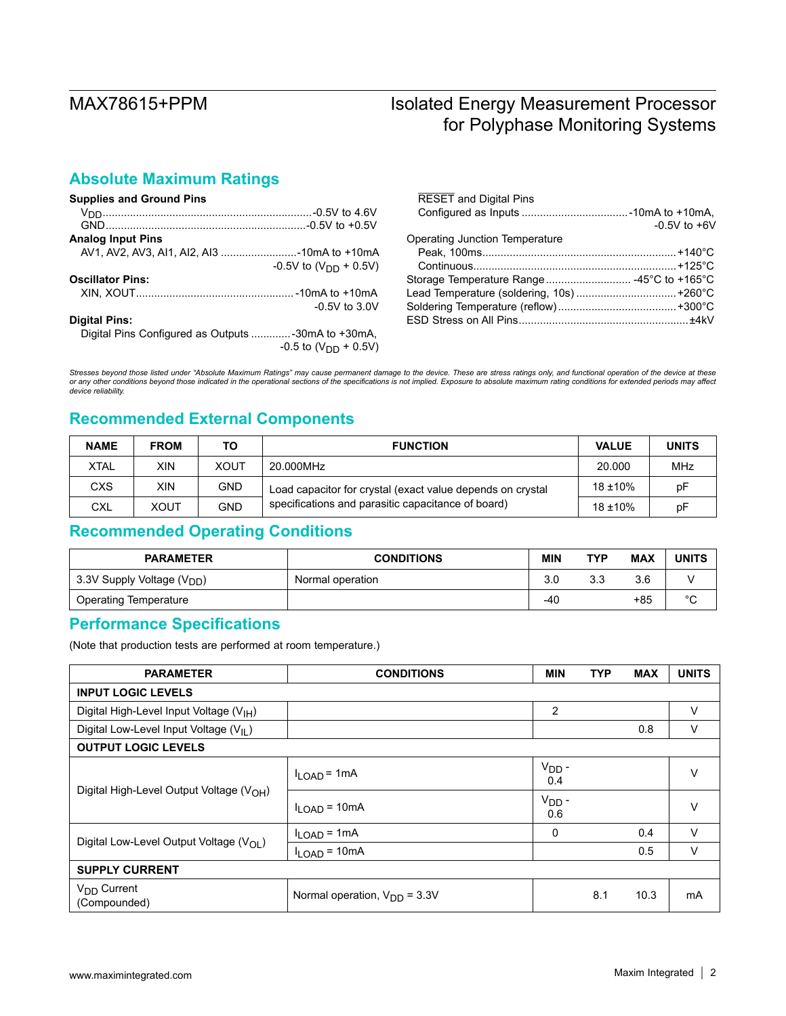## **Absolute Maximum Ratings**

| <b>Supplies and Ground Pins</b>                      |                                    |
|------------------------------------------------------|------------------------------------|
|                                                      |                                    |
|                                                      |                                    |
| <b>Analog Input Pins</b>                             |                                    |
| AV1, AV2, AV3, AI1, AI2, AI3 10mA to +10mA           |                                    |
|                                                      | $-0.5V$ to $(V_{DD} + 0.5V)$       |
| <b>Oscillator Pins:</b>                              |                                    |
|                                                      |                                    |
|                                                      | $-0.5V$ to $3.0V$                  |
| <b>Digital Pins:</b>                                 |                                    |
| Digital Pins Configured as Outputs  - 30mA to +30mA, |                                    |
|                                                      | $-0.5$ to (V <sub>DD</sub> + 0.5V) |

| <b>RESET and Digital Pins</b>             |                  |
|-------------------------------------------|------------------|
|                                           |                  |
|                                           | $-0.5V$ to $+6V$ |
| Operating Junction Temperature            |                  |
|                                           |                  |
|                                           |                  |
| Storage Temperature Range -45°C to +165°C |                  |
| Lead Temperature (soldering, 10s) +260°C  |                  |
|                                           |                  |
|                                           |                  |
|                                           |                  |

*Stresses beyond those listed under "Absolute Maximum Ratings" may cause permanent damage to the device. These are stress ratings only, and functional operation of the device at these or any other conditions beyond those indicated in the operational sections of the specifications is not implied. Exposure to absolute maximum rating conditions for extended periods may affect device reliability.*

# **Recommended External Components**

| <b>NAME</b> | <b>FROM</b> | то          | <b>FUNCTION</b>                                            | <b>VALUE</b> | <b>UNITS</b> |
|-------------|-------------|-------------|------------------------------------------------------------|--------------|--------------|
| <b>XTAL</b> | XIN         | <b>XOUT</b> | 20.000MHz                                                  | 20,000       | MHz          |
| CXS         | XIN         | <b>GND</b>  | Load capacitor for crystal (exact value depends on crystal | $18 + 10%$   | рF           |
| CXL         | XOUT        | <b>GND</b>  | specifications and parasitic capacitance of board)         | $18 + 10%$   | pF           |

## **Recommended Operating Conditions**

| <b>PARAMETER</b>                       | <b>CONDITIONS</b> | MIN | <b>TYP</b> | <b>MAX</b> | <b>UNITS</b> |
|----------------------------------------|-------------------|-----|------------|------------|--------------|
| 3.3V Supply Voltage (V <sub>DD</sub> ) | Normal operation  | 3.0 |            | 3.6        |              |
| <b>Operating Temperature</b>           |                   | -40 |            | $+85$      | $\sim$       |

## **Performance Specifications**

(Note that production tests are performed at room temperature.)

| <b>PARAMETER</b>                                     | <b>CONDITIONS</b>                 |                | <b>TYP</b> | <b>MAX</b> | <b>UNITS</b> |
|------------------------------------------------------|-----------------------------------|----------------|------------|------------|--------------|
| <b>INPUT LOGIC LEVELS</b>                            |                                   |                |            |            |              |
| Digital High-Level Input Voltage (V <sub>IH</sub> )  |                                   |                |            |            | $\vee$       |
| Digital Low-Level Input Voltage (V <sub>II</sub> )   |                                   |                |            | 0.8        | V            |
| <b>OUTPUT LOGIC LEVELS</b>                           |                                   |                |            |            |              |
| Digital High-Level Output Voltage (V <sub>OH</sub> ) | $I_{LOAD}$ = 1mA                  | $VDD$ -<br>0.4 |            |            | v            |
|                                                      | $I_{LOAD} = 10mA$                 | $VDD$ -<br>0.6 |            |            | $\vee$       |
| Digital Low-Level Output Voltage (VOL)               | $I_{LOAD} = 1mA$                  | 0              |            | 0.4        | V            |
|                                                      | $I_{LOAD} = 10mA$                 |                |            | 0.5        | V            |
| <b>SUPPLY CURRENT</b>                                |                                   |                |            |            |              |
| V <sub>DD</sub> Current<br>(Compounded)              | Normal operation, $V_{DD} = 3.3V$ |                | 8.1        | 10.3       | mA           |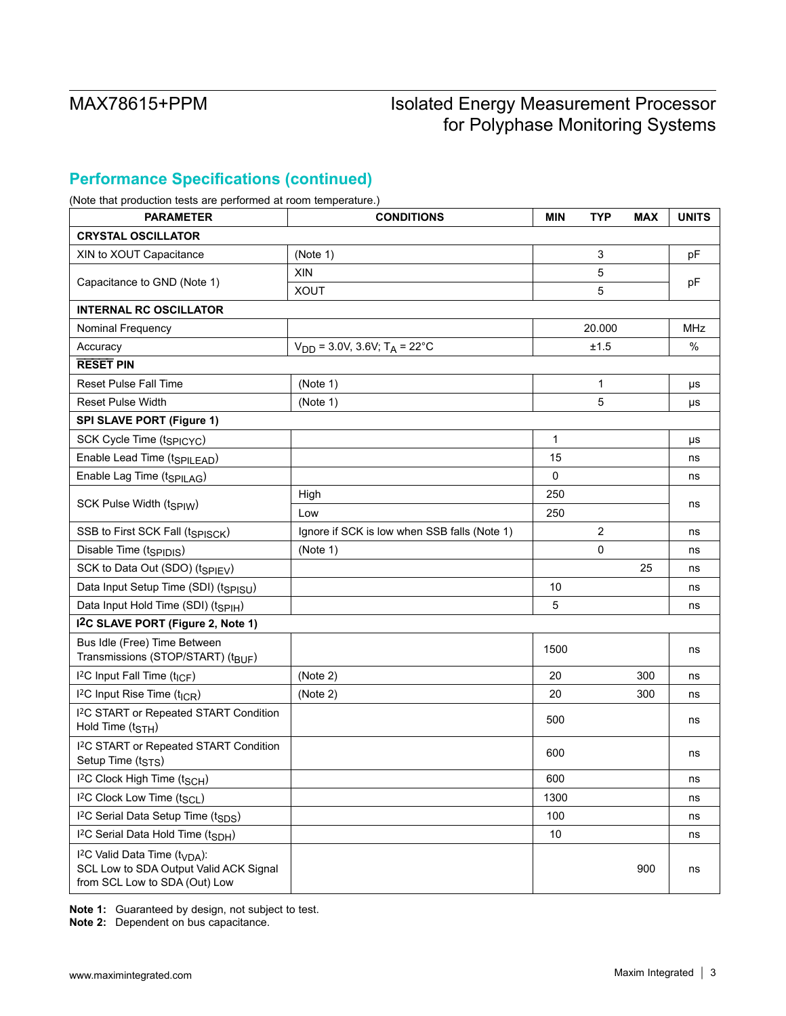## **Performance Specifications (continued)**

(Note that production tests are performed at room temperature.)

| <b>PARAMETER</b>                                                                                                           | <b>CONDITIONS</b>                                         | <b>MIN</b> | <b>TYP</b>     | <b>MAX</b> | <b>UNITS</b> |
|----------------------------------------------------------------------------------------------------------------------------|-----------------------------------------------------------|------------|----------------|------------|--------------|
| <b>CRYSTAL OSCILLATOR</b>                                                                                                  |                                                           |            |                |            |              |
| XIN to XOUT Capacitance                                                                                                    | (Note 1)                                                  |            | 3              |            | pF           |
|                                                                                                                            | XIN                                                       |            | 5              |            |              |
| Capacitance to GND (Note 1)                                                                                                | <b>XOUT</b>                                               |            | 5              |            | pF           |
| <b>INTERNAL RC OSCILLATOR</b>                                                                                              |                                                           |            |                |            |              |
| Nominal Frequency                                                                                                          |                                                           |            | 20.000         |            | <b>MHz</b>   |
| Accuracy                                                                                                                   | $V_{DD}$ = 3.0V, 3.6V; T <sub>A</sub> = 22 <sup>°</sup> C |            | ±1.5           |            | $\%$         |
| <b>RESET PIN</b>                                                                                                           |                                                           |            |                |            |              |
| <b>Reset Pulse Fall Time</b>                                                                                               | (Note 1)                                                  |            | 1              |            | $\mu s$      |
| <b>Reset Pulse Width</b>                                                                                                   | (Note 1)                                                  |            | 5              |            | $\mu s$      |
| SPI SLAVE PORT (Figure 1)                                                                                                  |                                                           |            |                |            |              |
| SCK Cycle Time (tsp <sub>ICYC</sub> )                                                                                      |                                                           | 1          |                |            | μs           |
| Enable Lead Time (t <sub>SPILEAD</sub> )                                                                                   |                                                           | 15         |                |            | ns           |
| Enable Lag Time (t <sub>SPILAG</sub> )                                                                                     |                                                           | 0          |                |            | ns           |
|                                                                                                                            | High                                                      | 250        |                |            |              |
| SCK Pulse Width (tSPIW)                                                                                                    | Low                                                       | 250        |                |            | ns           |
| SSB to First SCK Fall (tSPISCK)                                                                                            | Ignore if SCK is low when SSB falls (Note 1)              |            | $\overline{2}$ |            | ns           |
| Disable Time (tspinis)                                                                                                     | (Note 1)                                                  |            | 0              |            | ns           |
| SCK to Data Out (SDO) (tSPIEV)                                                                                             |                                                           |            |                | 25         | ns           |
| Data Input Setup Time (SDI) (t <sub>SPISU</sub> )                                                                          |                                                           | 10         |                |            | ns           |
| Data Input Hold Time (SDI) (tSPIH)                                                                                         |                                                           | 5          |                |            | ns           |
| I <sup>2</sup> C SLAVE PORT (Figure 2, Note 1)                                                                             |                                                           |            |                |            |              |
| Bus Idle (Free) Time Between<br>Transmissions (STOP/START) (t <sub>BUF</sub> )                                             |                                                           | 1500       |                |            | ns           |
| I <sup>2</sup> C Input Fall Time (t <sub>ICF</sub> )                                                                       | (Note 2)                                                  | 20         |                | 300        | ns           |
| <sup>12</sup> C Input Rise Time (t <sub>ICR</sub> )                                                                        | (Note 2)                                                  | 20         |                | 300        | ns           |
| I <sup>2</sup> C START or Repeated START Condition<br>Hold Time (t <sub>STH</sub> )                                        |                                                           | 500        |                |            | ns           |
| I <sup>2</sup> C START or Repeated START Condition<br>Setup Time (t <sub>STS</sub> )                                       |                                                           | 600        |                |            | ns           |
| I <sup>2</sup> C Clock High Time (t <sub>SCH</sub> )                                                                       |                                                           | 600        |                |            | ns           |
| I <sup>2</sup> C Clock Low Time (t <sub>SCL</sub> )                                                                        |                                                           | 1300       |                |            | ns           |
| <sup>12</sup> C Serial Data Setup Time (t <sub>SDS</sub> )                                                                 |                                                           | 100        |                |            | ns           |
| <sup>12</sup> C Serial Data Hold Time (t <sub>SDH</sub> )                                                                  |                                                           | 10         |                |            | ns           |
| I <sup>2</sup> C Valid Data Time ( $t_{VDA}$ ):<br>SCL Low to SDA Output Valid ACK Signal<br>from SCL Low to SDA (Out) Low |                                                           |            |                | 900        | ns           |

**Note 1:** Guaranteed by design, not subject to test.

**Note 2:** Dependent on bus capacitance.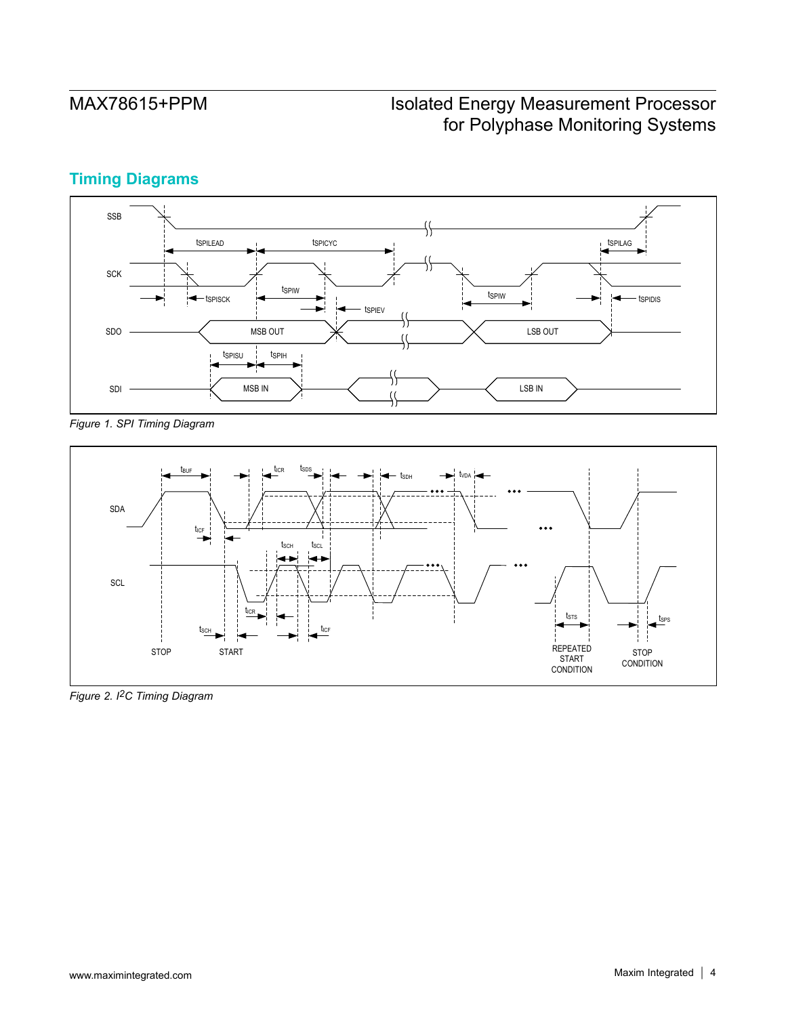# **Timing Diagrams**



*Figure 1. SPI Timing Diagram*



*Figure 2. I2C Timing Diagram*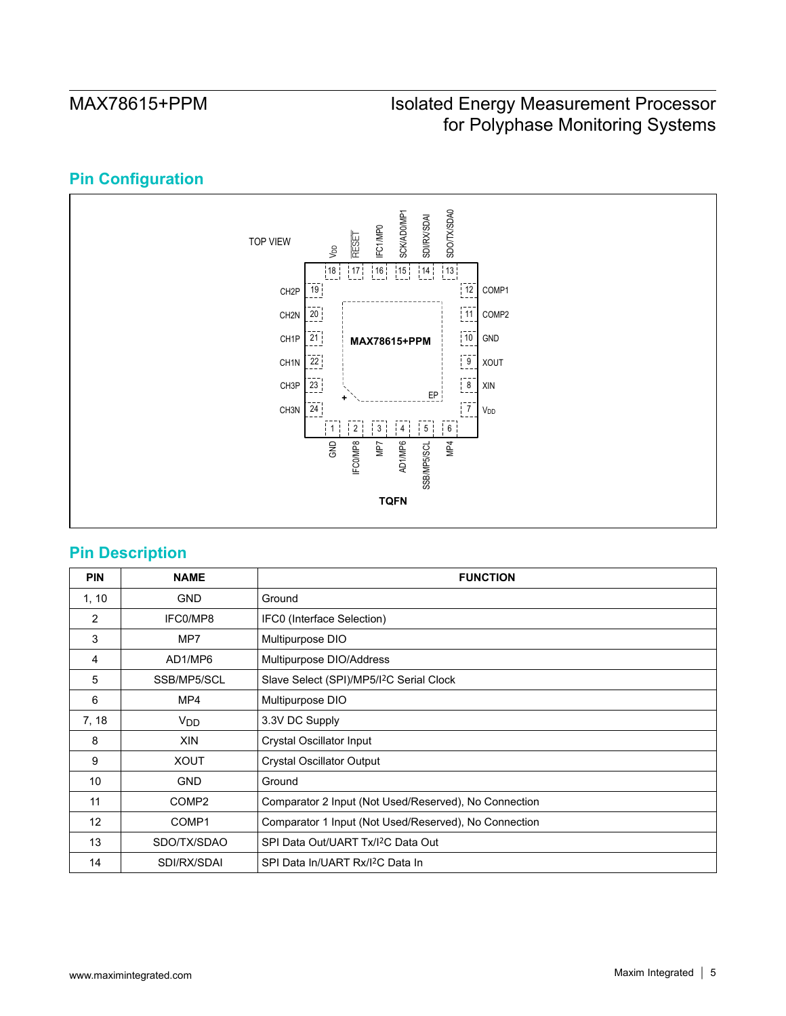# **Pin Configuration**



## **Pin Description**

|                | 응<br>IFC0/MP8<br>Zel<br>AD1/MP6<br><b>SSB/MP5/SCL</b><br>D4 |                                                       |  |  |  |
|----------------|-------------------------------------------------------------|-------------------------------------------------------|--|--|--|
|                |                                                             |                                                       |  |  |  |
|                |                                                             | <b>TQFN</b>                                           |  |  |  |
|                |                                                             |                                                       |  |  |  |
|                | <b>Pin Description</b>                                      |                                                       |  |  |  |
| <b>PIN</b>     | <b>NAME</b><br><b>FUNCTION</b>                              |                                                       |  |  |  |
| 1, 10          | <b>GND</b>                                                  | Ground                                                |  |  |  |
| $\overline{2}$ | IFC0/MP8                                                    | IFC0 (Interface Selection)                            |  |  |  |
| 3              | MP7                                                         | Multipurpose DIO                                      |  |  |  |
| 4              | AD1/MP6                                                     | Multipurpose DIO/Address                              |  |  |  |
| 5              | SSB/MP5/SCL                                                 | Slave Select (SPI)/MP5/I <sup>2</sup> C Serial Clock  |  |  |  |
| 6              | MP4                                                         | Multipurpose DIO                                      |  |  |  |
| 7, 18          | <b>V<sub>DD</sub></b>                                       | 3.3V DC Supply                                        |  |  |  |
| 8              | <b>XIN</b>                                                  | Crystal Oscillator Input                              |  |  |  |
| 9              | <b>XOUT</b>                                                 | <b>Crystal Oscillator Output</b>                      |  |  |  |
| 10             | <b>GND</b>                                                  | Ground                                                |  |  |  |
| 11             | COMP <sub>2</sub>                                           | Comparator 2 Input (Not Used/Reserved), No Connection |  |  |  |
| 12             | COMP1                                                       | Comparator 1 Input (Not Used/Reserved), No Connection |  |  |  |
| 13             | SDO/TX/SDAO                                                 | SPI Data Out/UART Tx/I <sup>2</sup> C Data Out        |  |  |  |
| 14             | SDI/RX/SDAI                                                 | SPI Data In/UART Rx/I <sup>2</sup> C Data In          |  |  |  |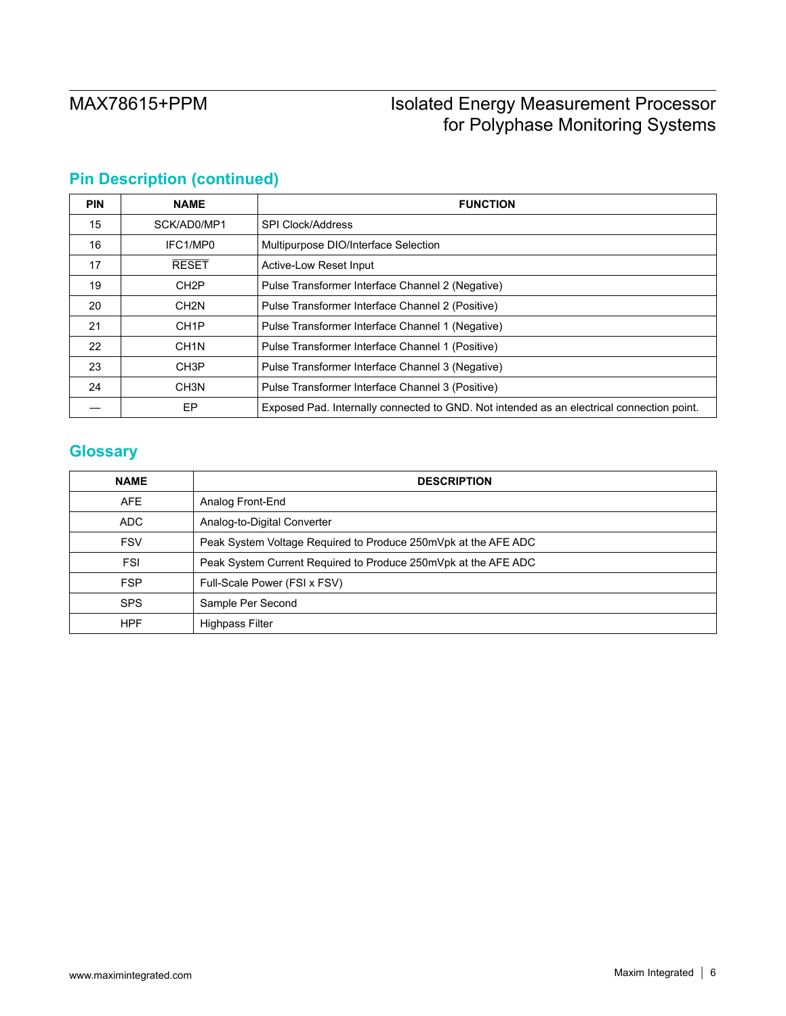# **Pin Description (continued)**

| <b>PIN</b> | <b>NAME</b>                                                           | <b>FUNCTION</b>                                                                           |  |  |  |
|------------|-----------------------------------------------------------------------|-------------------------------------------------------------------------------------------|--|--|--|
| 15         | SCK/AD0/MP1                                                           | <b>SPI Clock/Address</b>                                                                  |  |  |  |
| 16         | IFC1/MP0                                                              | Multipurpose DIO/Interface Selection                                                      |  |  |  |
| 17         | <b>RESET</b>                                                          | Active-Low Reset Input                                                                    |  |  |  |
| 19         | CH <sub>2</sub> P                                                     | Pulse Transformer Interface Channel 2 (Negative)                                          |  |  |  |
| 20         | CH <sub>2N</sub>                                                      | Pulse Transformer Interface Channel 2 (Positive)                                          |  |  |  |
| 21         | CH <sub>1</sub> P                                                     | Pulse Transformer Interface Channel 1 (Negative)                                          |  |  |  |
| 22         | CH <sub>1</sub> N<br>Pulse Transformer Interface Channel 1 (Positive) |                                                                                           |  |  |  |
| 23         | CH <sub>3</sub> P<br>Pulse Transformer Interface Channel 3 (Negative) |                                                                                           |  |  |  |
| 24         | CH <sub>3</sub> N                                                     | Pulse Transformer Interface Channel 3 (Positive)                                          |  |  |  |
|            | EP                                                                    | Exposed Pad. Internally connected to GND. Not intended as an electrical connection point. |  |  |  |

## **Glossary**

| <b>NAME</b> | <b>DESCRIPTION</b>                                             |
|-------------|----------------------------------------------------------------|
| <b>AFE</b>  | Analog Front-End                                               |
| <b>ADC</b>  | Analog-to-Digital Converter                                    |
| <b>FSV</b>  | Peak System Voltage Required to Produce 250mVpk at the AFE ADC |
| <b>FSI</b>  | Peak System Current Required to Produce 250mVpk at the AFE ADC |
| <b>FSP</b>  | Full-Scale Power (FSI x FSV)                                   |
| <b>SPS</b>  | Sample Per Second                                              |
| <b>HPF</b>  | <b>Highpass Filter</b>                                         |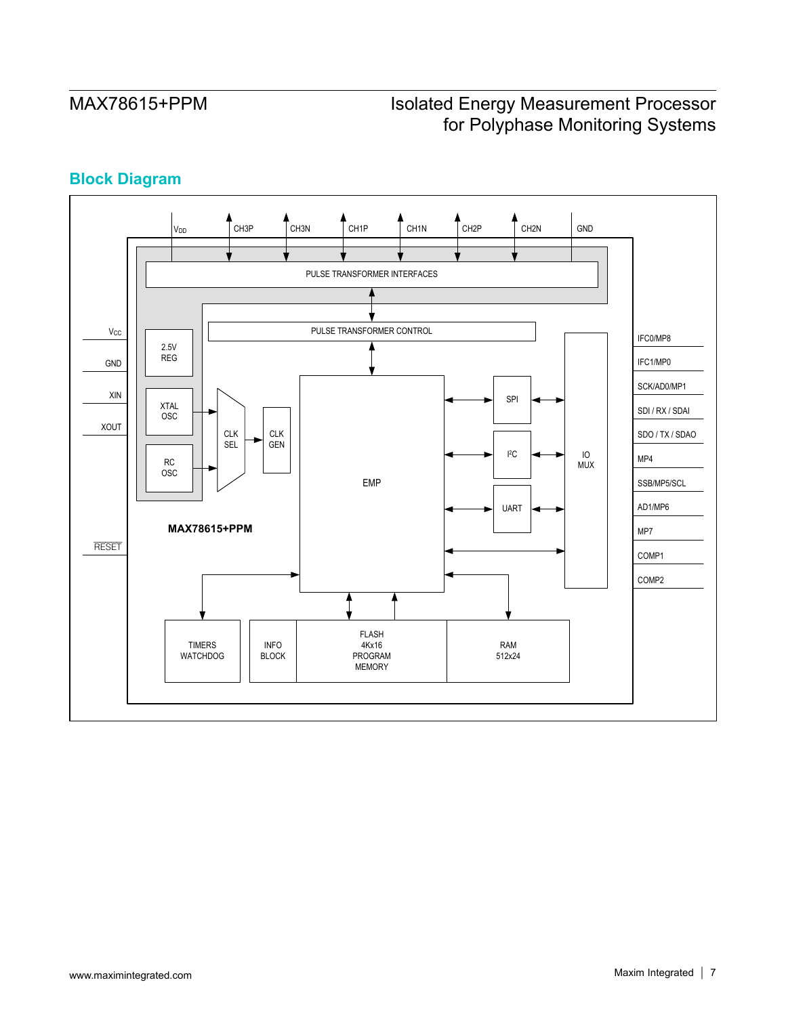# **Block Diagram**

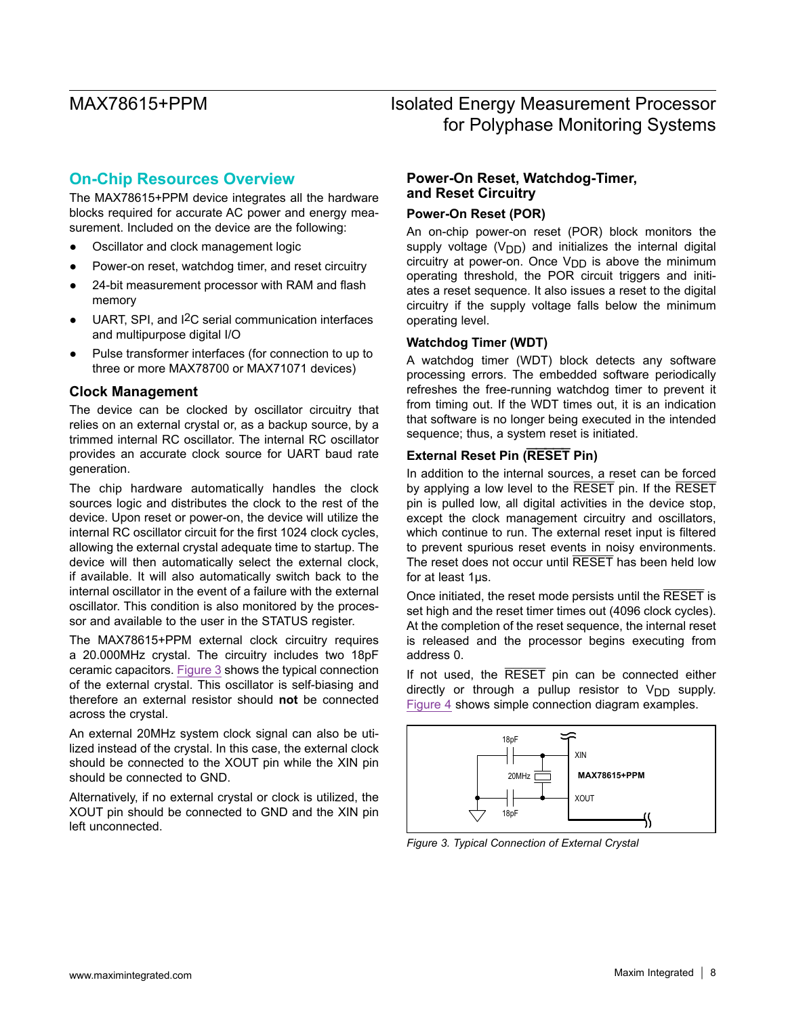## **On-Chip Resources Overview**

The MAX78615+PPM device integrates all the hardware blocks required for accurate AC power and energy measurement. Included on the device are the following:

- Oscillator and clock management logic
- Power-on reset, watchdog timer, and reset circuitry
- 24-bit measurement processor with RAM and flash memory
- UART, SPI, and I<sup>2</sup>C serial communication interfaces and multipurpose digital I/O
- Pulse transformer interfaces (for connection to up to three or more MAX78700 or MAX71071 devices)

### **Clock Management**

The device can be clocked by oscillator circuitry that relies on an external crystal or, as a backup source, by a trimmed internal RC oscillator. The internal RC oscillator provides an accurate clock source for UART baud rate generation.

The chip hardware automatically handles the clock sources logic and distributes the clock to the rest of the device. Upon reset or power-on, the device will utilize the internal RC oscillator circuit for the first 1024 clock cycles, allowing the external crystal adequate time to startup. The device will then automatically select the external clock, if available. It will also automatically switch back to the internal oscillator in the event of a failure with the external oscillator. This condition is also monitored by the processor and available to the user in the STATUS register.

The MAX78615+PPM external clock circuitry requires a 20.000MHz crystal. The circuitry includes two 18pF ceramic capacitors. [Figure 3](#page-7-0) shows the typical connection of the external crystal. This oscillator is self-biasing and therefore an external resistor should **not** be connected across the crystal.

An external 20MHz system clock signal can also be utilized instead of the crystal. In this case, the external clock should be connected to the XOUT pin while the XIN pin should be connected to GND.

Alternatively, if no external crystal or clock is utilized, the XOUT pin should be connected to GND and the XIN pin left unconnected.

# MAX78615+PPM Isolated Energy Measurement Processor for Polyphase Monitoring Systems

## **Power-On Reset, Watchdog-Timer, and Reset Circuitry**

### **Power-On Reset (POR)**

An on-chip power-on reset (POR) block monitors the supply voltage  $(V_{DD})$  and initializes the internal digital circuitry at power-on. Once  $V_{DD}$  is above the minimum operating threshold, the POR circuit triggers and initiates a reset sequence. It also issues a reset to the digital circuitry if the supply voltage falls below the minimum operating level.

### **Watchdog Timer (WDT)**

A watchdog timer (WDT) block detects any software processing errors. The embedded software periodically refreshes the free-running watchdog timer to prevent it from timing out. If the WDT times out, it is an indication that software is no longer being executed in the intended sequence; thus, a system reset is initiated.

### **External Reset Pin (RESET Pin)**

In addition to the internal sources, a reset can be forced by applying a low level to the RESET pin. If the RESET pin is pulled low, all digital activities in the device stop, except the clock management circuitry and oscillators, which continue to run. The external reset input is filtered to prevent spurious reset events in noisy environments. The reset does not occur until RESET has been held low for at least 1µs.

Once initiated, the reset mode persists until the RESET is set high and the reset timer times out (4096 clock cycles). At the completion of the reset sequence, the internal reset is released and the processor begins executing from address 0.

If not used, the RESET pin can be connected either directly or through a pullup resistor to  $V_{DD}$  supply. [Figure 4](#page-8-0) shows simple connection diagram examples.

<span id="page-7-0"></span>

*Figure 3. Typical Connection of External Crystal*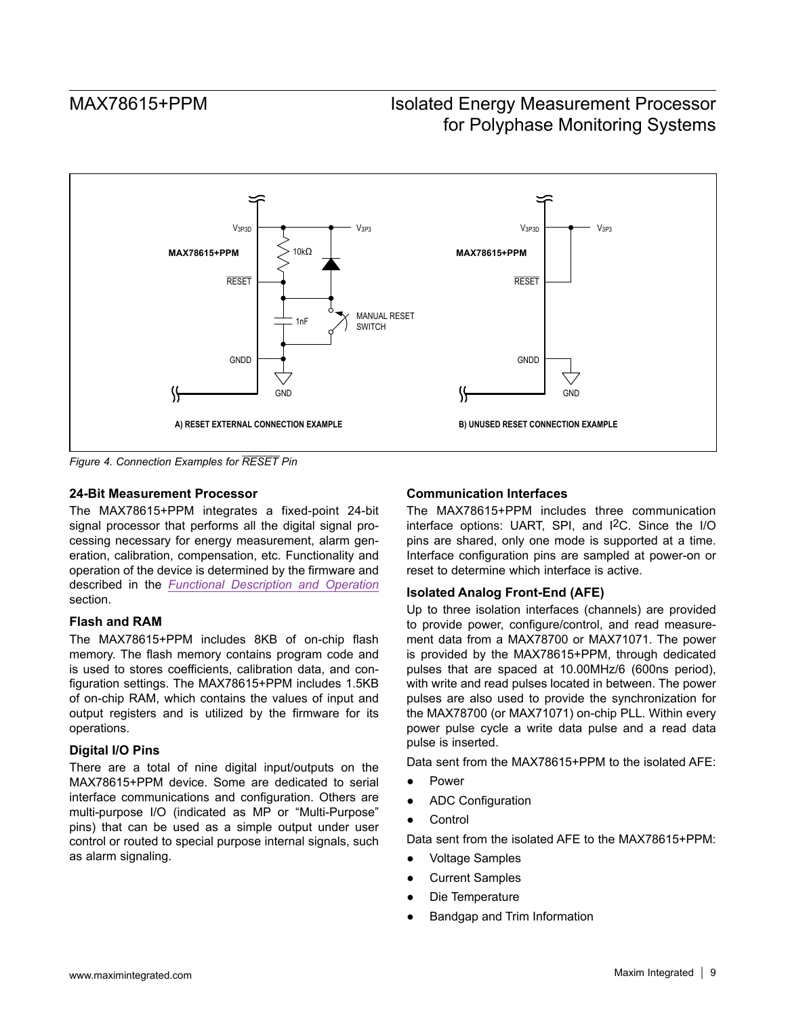<span id="page-8-0"></span>

*Figure 4. Connection Examples for RESET Pin*

### **24-Bit Measurement Processor**

The MAX78615+PPM integrates a fixed-point 24-bit signal processor that performs all the digital signal processing necessary for energy measurement, alarm generation, calibration, compensation, etc. Functionality and operation of the device is determined by the firmware and described in the *[Functional Description and Operation](#page-9-0)* section.

### **Flash and RAM**

The MAX78615+PPM includes 8KB of on-chip flash memory. The flash memory contains program code and is used to stores coefficients, calibration data, and configuration settings. The MAX78615+PPM includes 1.5KB of on-chip RAM, which contains the values of input and output registers and is utilized by the firmware for its operations.

### **Digital I/O Pins**

There are a total of nine digital input/outputs on the MAX78615+PPM device. Some are dedicated to serial interface communications and configuration. Others are multi-purpose I/O (indicated as MP or "Multi-Purpose" pins) that can be used as a simple output under user control or routed to special purpose internal signals, such as alarm signaling.

#### **Communication Interfaces**

The MAX78615+PPM includes three communication interface options: UART, SPI, and I2C. Since the I/O pins are shared, only one mode is supported at a time. Interface configuration pins are sampled at power-on or reset to determine which interface is active.

### **Isolated Analog Front-End (AFE)**

Up to three isolation interfaces (channels) are provided to provide power, configure/control, and read measurement data from a MAX78700 or MAX71071. The power is provided by the MAX78615+PPM, through dedicated pulses that are spaced at 10.00MHz/6 (600ns period), with write and read pulses located in between. The power pulses are also used to provide the synchronization for the MAX78700 (or MAX71071) on-chip PLL. Within every power pulse cycle a write data pulse and a read data pulse is inserted.

Data sent from the MAX78615+PPM to the isolated AFE:

- **Power**
- ADC Configuration
- Control

Data sent from the isolated AFE to the MAX78615+PPM:

- **Voltage Samples**
- **Current Samples**
- Die Temperature
- Bandgap and Trim Information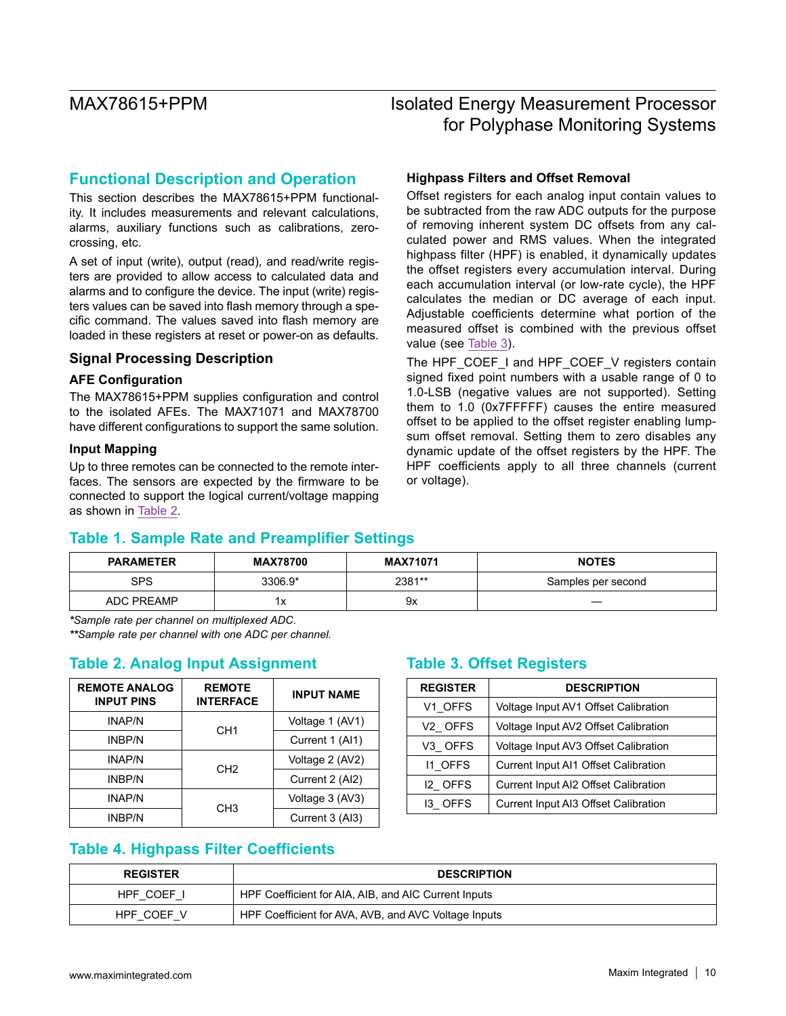## <span id="page-9-0"></span>**Functional Description and Operation**

This section describes the MAX78615+PPM functionality. It includes measurements and relevant calculations, alarms, auxiliary functions such as calibrations, zerocrossing, etc.

A set of input (write), output (read), and read/write registers are provided to allow access to calculated data and alarms and to configure the device. The input (write) registers values can be saved into flash memory through a specific command. The values saved into flash memory are loaded in these registers at reset or power-on as defaults.

### **Signal Processing Description**

### **AFE Configuration**

The MAX78615+PPM supplies configuration and control to the isolated AFEs. The MAX71071 and MAX78700 have different configurations to support the same solution.

#### **Input Mapping**

Up to three remotes can be connected to the remote interfaces. The sensors are expected by the firmware to be connected to support the logical current/voltage mapping as shown in [Table 2](#page-9-1).

### **Highpass Filters and Offset Removal**

Offset registers for each analog input contain values to be subtracted from the raw ADC outputs for the purpose of removing inherent system DC offsets from any calculated power and RMS values. When the integrated highpass filter (HPF) is enabled, it dynamically updates the offset registers every accumulation interval. During each accumulation interval (or low-rate cycle), the HPF calculates the median or DC average of each input. Adjustable coefficients determine what portion of the measured offset is combined with the previous offset value (see [Table 3\)](#page-9-2).

The HPF\_COEF\_I and HPF\_COEF\_V registers contain signed fixed point numbers with a usable range of 0 to 1.0-LSB (negative values are not supported). Setting them to 1.0 (0x7FFFFF) causes the entire measured offset to be applied to the offset register enabling lumpsum offset removal. Setting them to zero disables any dynamic update of the offset registers by the HPF. The HPF coefficients apply to all three channels (current or voltage).

## **Table 1. Sample Rate and Preamplifier Settings**

| <b>PARAMETER</b> | <b>MAX78700</b> | <b>MAX71071</b> | <b>NOTES</b>       |
|------------------|-----------------|-----------------|--------------------|
| <b>SPS</b>       | 3306.9*         | 2381**          | Samples per second |
| ADC PREAMP       | 1х              | 9x              | _                  |

*\*Sample rate per channel on multiplexed ADC.*

*\*\*Sample rate per channel with one ADC per channel.*

## <span id="page-9-1"></span>**Table 2. Analog Input Assignment Table 3. Offset Registers**

| <b>REMOTE ANALOG</b><br><b>INPUT PINS</b> | <b>REMOTE</b><br><b>INTERFACE</b> | <b>INPUT NAME</b> |
|-------------------------------------------|-----------------------------------|-------------------|
| <b>INAP/N</b>                             | CH <sub>1</sub>                   | Voltage 1 (AV1)   |
| <b>INBP/N</b>                             |                                   | Current 1 (AI1)   |
| <b>INAP/N</b>                             | CH <sub>2</sub>                   | Voltage 2 (AV2)   |
| <b>INBP/N</b>                             |                                   | Current 2 (AI2)   |
| <b>INAP/N</b>                             | CH <sub>3</sub>                   | Voltage 3 (AV3)   |
| INBP/N                                    |                                   | Current 3 (AI3)   |

<span id="page-9-2"></span>

| <b>REGISTER</b>                                              | <b>DESCRIPTION</b>                   |
|--------------------------------------------------------------|--------------------------------------|
| V1_OFFS                                                      | Voltage Input AV1 Offset Calibration |
| V <sub>2</sub> _OFFS<br>Voltage Input AV2 Offset Calibration |                                      |
| V3_OFFS                                                      | Voltage Input AV3 Offset Calibration |
| 11 OFFS                                                      | Current Input AI1 Offset Calibration |
| I2 OFFS                                                      | Current Input AI2 Offset Calibration |
| 13 OFFS                                                      | Current Input AI3 Offset Calibration |

## **Table 4. Highpass Filter Coefficients**

| <b>REGISTER</b> | <b>DESCRIPTION</b>                                   |
|-----------------|------------------------------------------------------|
| HPF COEF I      | HPF Coefficient for AIA, AIB, and AIC Current Inputs |
| HPF COEF V      | HPF Coefficient for AVA, AVB, and AVC Voltage Inputs |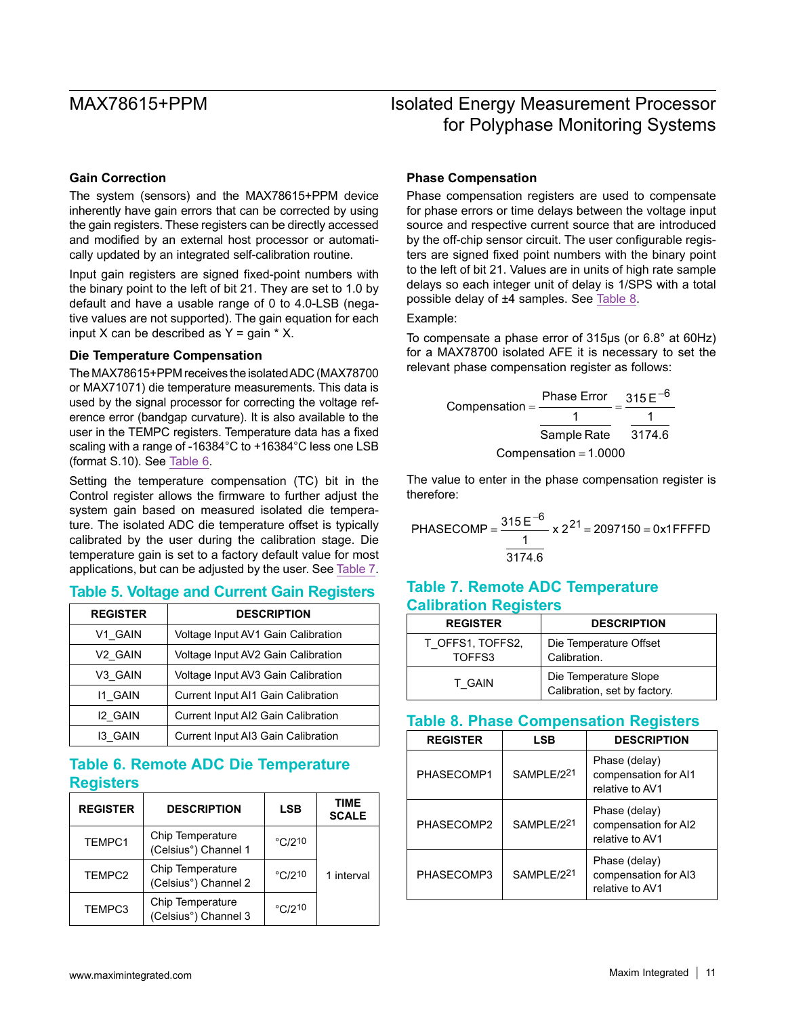#### **Gain Correction**

The system (sensors) and the MAX78615+PPM device inherently have gain errors that can be corrected by using the gain registers. These registers can be directly accessed and modified by an external host processor or automatically updated by an integrated self-calibration routine.

Input gain registers are signed fixed-point numbers with the binary point to the left of bit 21. They are set to 1.0 by default and have a usable range of 0 to 4.0-LSB (negative values are not supported). The gain equation for each input X can be described as  $Y = gain * X$ .

#### **Die Temperature Compensation**

The MAX78615+PPM receives the isolated ADC (MAX78700 or MAX71071) die temperature measurements. This data is used by the signal processor for correcting the voltage reference error (bandgap curvature). It is also available to the user in the TEMPC registers. Temperature data has a fixed scaling with a range of -16384°C to +16384°C less one LSB (format S.10). See [Table 6.](#page-10-0)

Setting the temperature compensation (TC) bit in the Control register allows the firmware to further adjust the system gain based on measured isolated die temperature. The isolated ADC die temperature offset is typically calibrated by the user during the calibration stage. Die temperature gain is set to a factory default value for most applications, but can be adjusted by the user. See [Table 7.](#page-10-1)

| <b>REGISTER</b> | <b>DESCRIPTION</b>                 |
|-----------------|------------------------------------|
| V1_GAIN         | Voltage Input AV1 Gain Calibration |
| V2 GAIN         | Voltage Input AV2 Gain Calibration |
| V3 GAIN         | Voltage Input AV3 Gain Calibration |
| <b>I1 GAIN</b>  | Current Input AI1 Gain Calibration |
| <b>I2 GAIN</b>  | Current Input AI2 Gain Calibration |
| 13 GAIN         | Current Input AI3 Gain Calibration |

## <span id="page-10-0"></span>**Table 6. Remote ADC Die Temperature Registers**

| <b>REGISTER</b> | <b>DESCRIPTION</b>                                    | <b>LSB</b> | TIME<br><b>SCALE</b> |
|-----------------|-------------------------------------------------------|------------|----------------------|
| TEMPC1          | Chip Temperature<br>(Celsius <sup>°</sup> ) Channel 1 | °C/210     |                      |
| TEMPC2          | Chip Temperature<br>(Celsius <sup>°</sup> ) Channel 2 | °C/210     | 1 interval           |
| TEMPC3          | Chip Temperature<br>(Celsius <sup>°</sup> ) Channel 3 | °C/210     |                      |

### **Phase Compensation**

Phase compensation registers are used to compensate for phase errors or time delays between the voltage input source and respective current source that are introduced by the off-chip sensor circuit. The user configurable registers are signed fixed point numbers with the binary point to the left of bit 21. Values are in units of high rate sample delays so each integer unit of delay is 1/SPS with a total possible delay of ±4 samples. See [Table 8.](#page-10-2)

#### Example:

To compensate a phase error of 315µs (or 6.8° at 60Hz) for a MAX78700 isolated AFE it is necessary to set the relevant phase compensation register as follows:

| $Compensation =$        | Phase Error | 315 $E^{-6}$ |
|-------------------------|-------------|--------------|
|                         |             |              |
|                         | Sample Rate | 3174.6       |
| Compensation = $1.0000$ |             |              |

The value to enter in the phase compensation register is therefore:

PHASECOMP = 
$$
\frac{315 \text{ E}^{-6}}{1} \times 2^{21} = 2097150 = 0 \times 1 \text{FFFFD}
$$
  

$$
\frac{1}{3174.6}
$$

## **Table 5. Voltage and Current Gain Registers Table 7. Remote ADC Temperature Calibration Registers**

<span id="page-10-1"></span>

| <b>REGISTER</b>            | <b>DESCRIPTION</b>                                    |
|----------------------------|-------------------------------------------------------|
| T OFFS1, TOFFS2,<br>TOFFS3 | Die Temperature Offset<br>Calibration.                |
| T GAIN                     | Die Temperature Slope<br>Calibration, set by factory. |

## <span id="page-10-2"></span>**Table 8. Phase Compensation Registers**

| <b>REGISTER</b> | <b>LSB</b> | <b>DESCRIPTION</b>                                       |
|-----------------|------------|----------------------------------------------------------|
| PHASECOMP1      | SAMPLE/221 | Phase (delay)<br>compensation for AI1<br>relative to AV1 |
| PHASECOMP2      | SAMPLE/221 | Phase (delay)<br>compensation for AI2<br>relative to AV1 |
| PHASECOMP3      | SAMPLE/221 | Phase (delay)<br>compensation for AI3<br>relative to AV1 |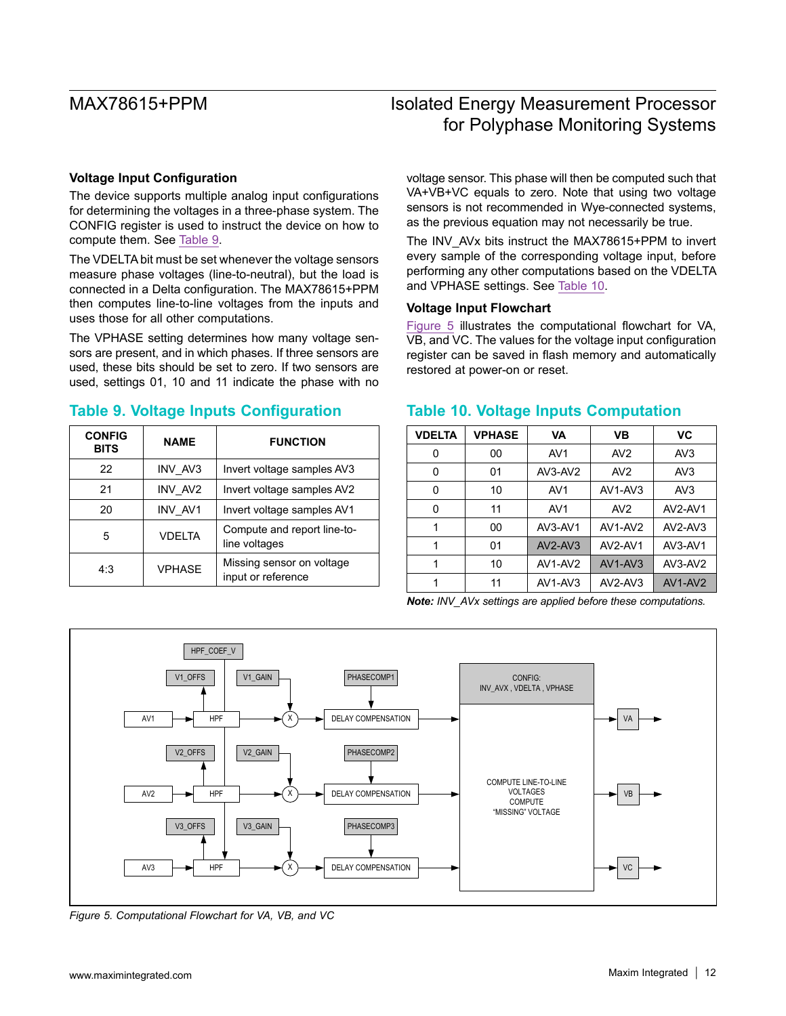#### **Voltage Input Configuration**

The device supports multiple analog input configurations for determining the voltages in a three-phase system. The CONFIG register is used to instruct the device on how to compute them. See [Table 9.](#page-11-0)

The VDELTA bit must be set whenever the voltage sensors measure phase voltages (line-to-neutral), but the load is connected in a Delta configuration. The MAX78615+PPM then computes line-to-line voltages from the inputs and uses those for all other computations.

The VPHASE setting determines how many voltage sensors are present, and in which phases. If three sensors are used, these bits should be set to zero. If two sensors are used, settings 01, 10 and 11 indicate the phase with no

### <span id="page-11-0"></span>**Table 9. Voltage Inputs Configuration Table 10. Voltage Inputs Computation**

| <b>CONFIG</b><br><b>BITS</b> | <b>NAME</b>   | <b>FUNCTION</b>                                 |  |
|------------------------------|---------------|-------------------------------------------------|--|
| 22                           | INV AV3       | Invert voltage samples AV3                      |  |
| 21                           | INV AV2       | Invert voltage samples AV2                      |  |
| 20                           | INV AV1       | Invert voltage samples AV1                      |  |
| 5                            | <b>VDELTA</b> | Compute and report line-to-<br>line voltages    |  |
| 4:3                          | <b>VPHASE</b> | Missing sensor on voltage<br>input or reference |  |

voltage sensor. This phase will then be computed such that VA+VB+VC equals to zero. Note that using two voltage sensors is not recommended in Wye-connected systems, as the previous equation may not necessarily be true.

The INV\_AVx bits instruct the MAX78615+PPM to invert every sample of the corresponding voltage input, before performing any other computations based on the VDELTA and VPHASE settings. See [Table 10](#page-11-1).

#### **Voltage Input Flowchart**

[Figure 5](#page-11-2) illustrates the computational flowchart for VA, VB, and VC. The values for the voltage input configuration register can be saved in flash memory and automatically restored at power-on or reset.

<span id="page-11-1"></span>

| <b>VDELTA</b> | <b>VPHASE</b> | VA              | VB         | VC            |
|---------------|---------------|-----------------|------------|---------------|
| 0             | 00            | AV <sub>1</sub> | AV2        | AV3           |
| 0             | 01            | $AV3$ -AV $2$   | AV2        | AV3           |
| 0             | 10            | AV <sub>1</sub> | $AV1-AV3$  | AV3           |
| 0             | 11            | AV <sub>1</sub> | AV2        | AV2-AV1       |
| 1             | 00            | AV3-AV1         | AV1-AV2    | $AV2$ -AV3    |
| 1             | 01            | $AV2$ -AV3      | $AV2-AV1$  | AV3-AV1       |
| 1             | 10            | $AV1-AV2$       | $AV1-AV3$  | $AV3$ -AV $2$ |
| 1             | 11            | $AV1-AV3$       | $AV2$ -AV3 | AV1-AV2       |

*Note: INV\_AVx settings are applied before these computations.*

<span id="page-11-2"></span>

*Figure 5. Computational Flowchart for VA, VB, and VC*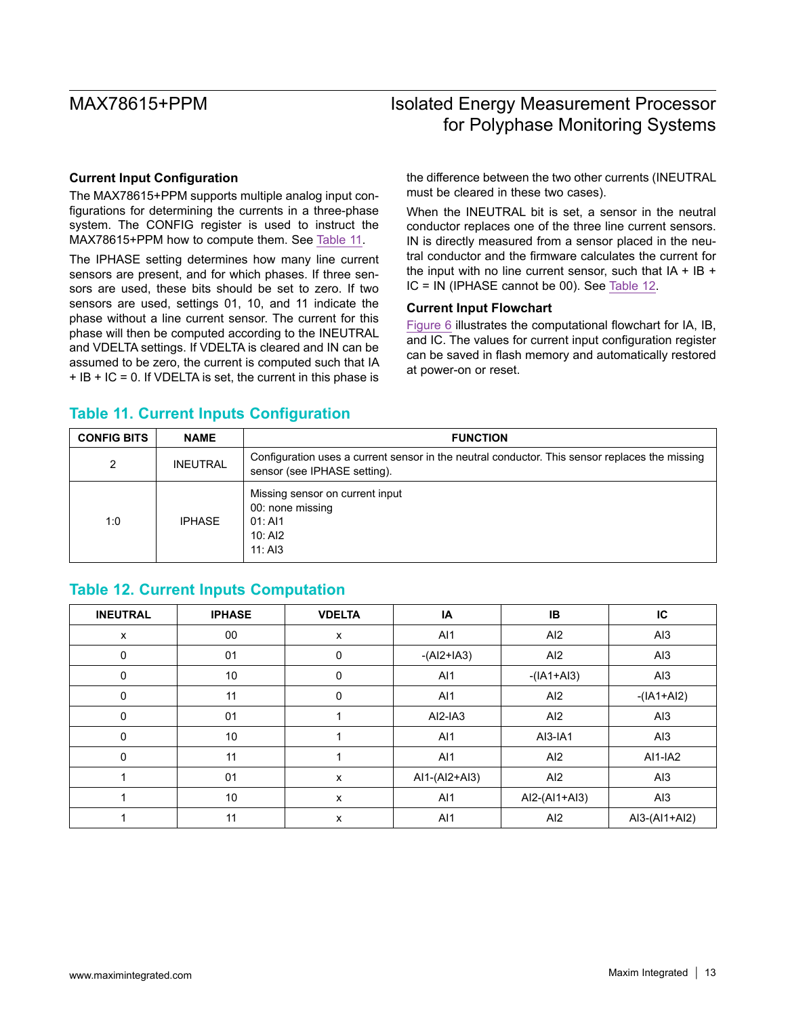#### <span id="page-12-2"></span>**Current Input Configuration**

The MAX78615+PPM supports multiple analog input configurations for determining the currents in a three-phase system. The CONFIG register is used to instruct the MAX78615+PPM how to compute them. See [Table 11](#page-12-0).

The IPHASE setting determines how many line current sensors are present, and for which phases. If three sensors are used, these bits should be set to zero. If two sensors are used, settings 01, 10, and 11 indicate the phase without a line current sensor. The current for this phase will then be computed according to the INEUTRAL and VDELTA settings. If VDELTA is cleared and IN can be assumed to be zero, the current is computed such that IA  $+$  IB  $+$  IC = 0. If VDELTA is set, the current in this phase is

#### the difference between the two other currents (INEUTRAL must be cleared in these two cases).

When the INEUTRAL bit is set, a sensor in the neutral conductor replaces one of the three line current sensors. IN is directly measured from a sensor placed in the neutral conductor and the firmware calculates the current for the input with no line current sensor, such that  $IA + IB +$ IC = IN (IPHASE cannot be 00). See [Table 12.](#page-12-1)

#### **Current Input Flowchart**

[Figure 6](#page-13-0) illustrates the computational flowchart for IA, IB, and IC. The values for current input configuration register can be saved in flash memory and automatically restored at power-on or reset.

## <span id="page-12-0"></span>**Table 11. Current Inputs Configuration**

| <b>CONFIG BITS</b> | <b>NAME</b>     | <b>FUNCTION</b>                                                                                                                |
|--------------------|-----------------|--------------------------------------------------------------------------------------------------------------------------------|
| 2                  | <b>INEUTRAL</b> | Configuration uses a current sensor in the neutral conductor. This sensor replaces the missing<br>sensor (see IPHASE setting). |
| 1:0                | <b>IPHASE</b>   | Missing sensor on current input<br>00: none missing<br>01: A11<br>10: AI2<br>11. AI3                                           |

## <span id="page-12-1"></span>**Table 12. Current Inputs Computation**

| <b>INEUTRAL</b> | <b>IPHASE</b> | <b>VDELTA</b> | IA              | IB              | IC                         |
|-----------------|---------------|---------------|-----------------|-----------------|----------------------------|
| X               | 00            | x             | AI <sub>1</sub> | Al <sub>2</sub> | AI3                        |
| 0               | 01            | 0             | $-(A12+IA3)$    | Al <sub>2</sub> | AI3                        |
| 0               | 10            | 0             | AI1             | $-(IA1+A13)$    | AI3                        |
| 0               | 11            | 0             | AI <sub>1</sub> | AI2             | $-(\text{IA1}+\text{Al2})$ |
| 0               | 01            |               | $AI2-IA3$       | Al <sub>2</sub> | AI3                        |
| 0               | 10            |               | AI <sub>1</sub> | AI3-IA1         | AI3                        |
| 0               | 11            |               | AI1             | Al <sub>2</sub> | AI1-IA2                    |
|                 | 01            | x             | AI1-(AI2+AI3)   | AI2             | AI3                        |
|                 | 10            | x             | AI1             | $AI2-(AI1+AI3)$ | AI3                        |
|                 | 11            | x             | AI1             | AI2             | $AI3-(AI1+AI2)$            |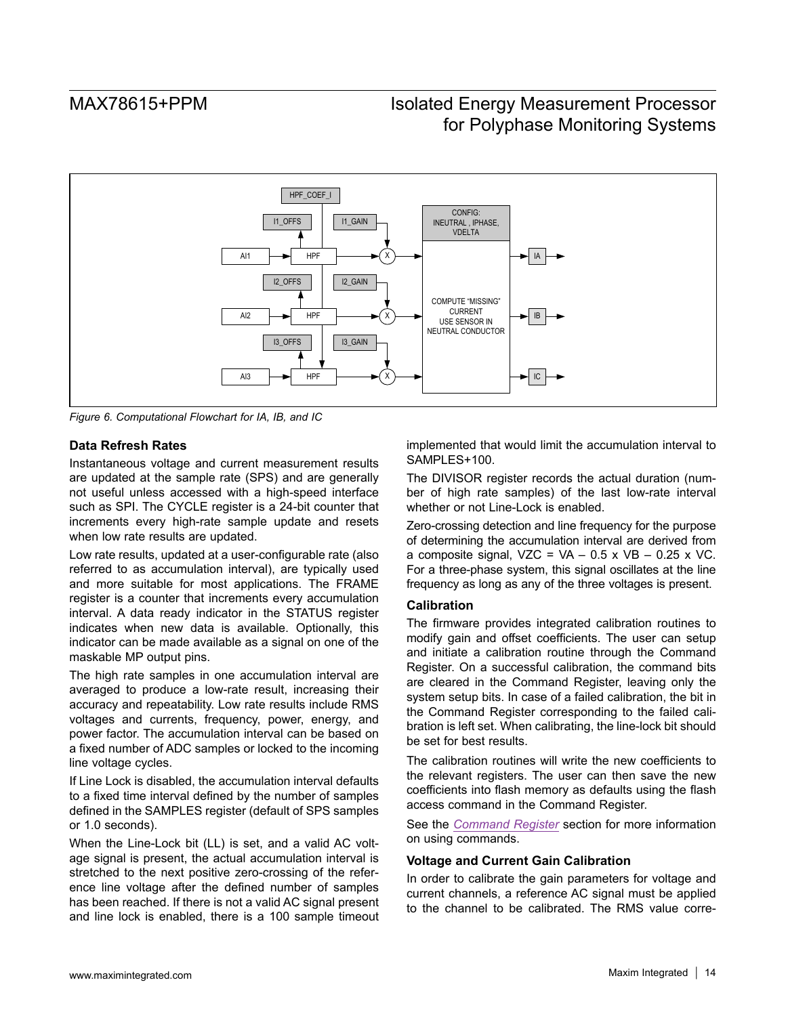## MAX78615+PPM

# Isolated Energy Measurement Processor for Polyphase Monitoring Systems

<span id="page-13-0"></span>

*Figure 6. Computational Flowchart for IA, IB, and IC*

#### **Data Refresh Rates**

Instantaneous voltage and current measurement results are updated at the sample rate (SPS) and are generally not useful unless accessed with a high-speed interface such as SPI. The CYCLE register is a 24-bit counter that increments every high-rate sample update and resets when low rate results are updated.

Low rate results, updated at a user-configurable rate (also referred to as accumulation interval), are typically used and more suitable for most applications. The FRAME register is a counter that increments every accumulation interval. A data ready indicator in the STATUS register indicates when new data is available. Optionally, this indicator can be made available as a signal on one of the maskable MP output pins.

The high rate samples in one accumulation interval are averaged to produce a low-rate result, increasing their accuracy and repeatability. Low rate results include RMS voltages and currents, frequency, power, energy, and power factor. The accumulation interval can be based on a fixed number of ADC samples or locked to the incoming line voltage cycles.

If Line Lock is disabled, the accumulation interval defaults to a fixed time interval defined by the number of samples defined in the SAMPLES register (default of SPS samples or 1.0 seconds).

When the Line-Lock bit (LL) is set, and a valid AC voltage signal is present, the actual accumulation interval is stretched to the next positive zero-crossing of the reference line voltage after the defined number of samples has been reached. If there is not a valid AC signal present and line lock is enabled, there is a 100 sample timeout implemented that would limit the accumulation interval to SAMPLES+100.

The DIVISOR register records the actual duration (number of high rate samples) of the last low-rate interval whether or not Line-Lock is enabled.

Zero-crossing detection and line frequency for the purpose of determining the accumulation interval are derived from a composite signal, VZC = VA  $-$  0.5 x VB  $-$  0.25 x VC. For a three-phase system, this signal oscillates at the line frequency as long as any of the three voltages is present.

#### **Calibration**

The firmware provides integrated calibration routines to modify gain and offset coefficients. The user can setup and initiate a calibration routine through the Command Register. On a successful calibration, the command bits are cleared in the Command Register, leaving only the system setup bits. In case of a failed calibration, the bit in the Command Register corresponding to the failed calibration is left set. When calibrating, the line-lock bit should be set for best results.

The calibration routines will write the new coefficients to the relevant registers. The user can then save the new coefficients into flash memory as defaults using the flash access command in the Command Register.

See the *[Command Register](#page-25-0)* section for more information on using commands.

### **Voltage and Current Gain Calibration**

In order to calibrate the gain parameters for voltage and current channels, a reference AC signal must be applied to the channel to be calibrated. The RMS value corre-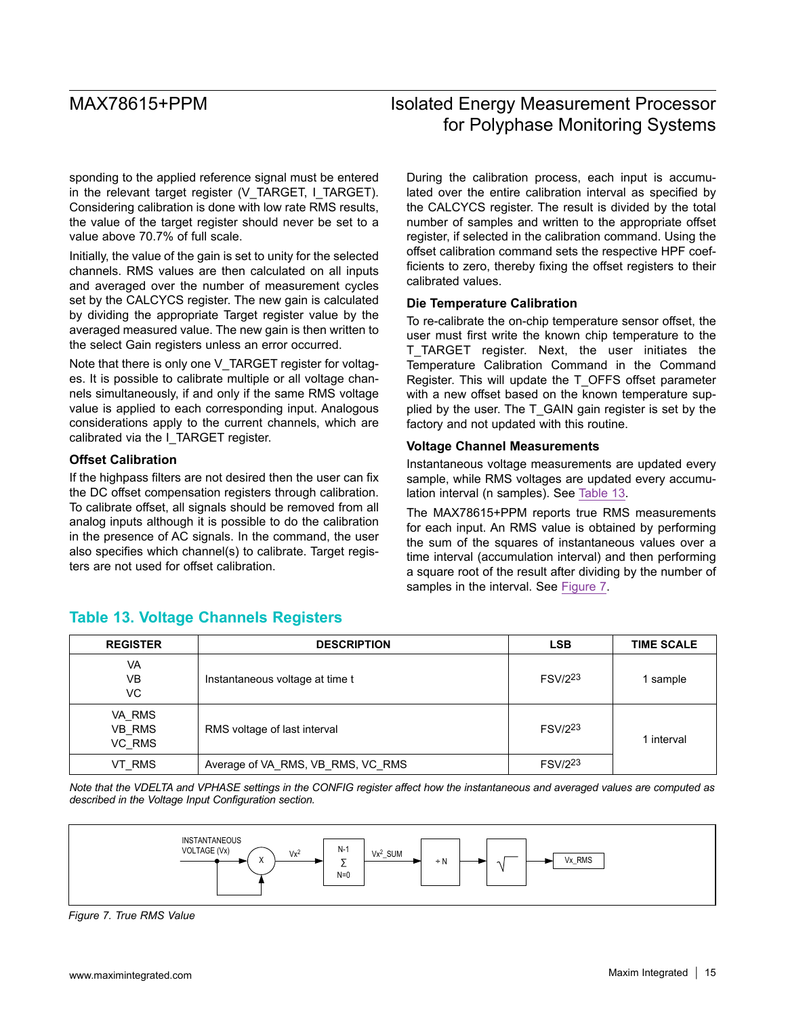sponding to the applied reference signal must be entered in the relevant target register (V\_TARGET, I\_TARGET). Considering calibration is done with low rate RMS results, the value of the target register should never be set to a value above 70.7% of full scale.

Initially, the value of the gain is set to unity for the selected channels. RMS values are then calculated on all inputs and averaged over the number of measurement cycles set by the CALCYCS register. The new gain is calculated by dividing the appropriate Target register value by the averaged measured value. The new gain is then written to the select Gain registers unless an error occurred.

Note that there is only one V\_TARGET register for voltages. It is possible to calibrate multiple or all voltage channels simultaneously, if and only if the same RMS voltage value is applied to each corresponding input. Analogous considerations apply to the current channels, which are calibrated via the I\_TARGET register.

#### **Offset Calibration**

If the highpass filters are not desired then the user can fix the DC offset compensation registers through calibration. To calibrate offset, all signals should be removed from all analog inputs although it is possible to do the calibration in the presence of AC signals. In the command, the user also specifies which channel(s) to calibrate. Target registers are not used for offset calibration.

<span id="page-14-0"></span>**Table 13. Voltage Channels Registers**

# MAX78615+PPM Isolated Energy Measurement Processor for Polyphase Monitoring Systems

During the calibration process, each input is accumulated over the entire calibration interval as specified by the CALCYCS register. The result is divided by the total number of samples and written to the appropriate offset register, if selected in the calibration command. Using the offset calibration command sets the respective HPF coefficients to zero, thereby fixing the offset registers to their calibrated values.

#### **Die Temperature Calibration**

To re-calibrate the on-chip temperature sensor offset, the user must first write the known chip temperature to the T\_TARGET register. Next, the user initiates the Temperature Calibration Command in the Command Register. This will update the T\_OFFS offset parameter with a new offset based on the known temperature supplied by the user. The T\_GAIN gain register is set by the factory and not updated with this routine.

#### **Voltage Channel Measurements**

Instantaneous voltage measurements are updated every sample, while RMS voltages are updated every accumulation interval (n samples). See [Table 13](#page-14-0).

The MAX78615+PPM reports true RMS measurements for each input. An RMS value is obtained by performing the sum of the squares of instantaneous values over a time interval (accumulation interval) and then performing a square root of the result after dividing by the number of samples in the interval. See [Figure 7.](#page-14-1)

#### **REGISTER DESCRIPTION LSB TIME SCALE**  $V\Delta$ VB VC Instantaneous voltage at time t **EXV/223** 1 sample VA\_RMS VB\_RMS VC\_RMS RMS voltage of last interval FSV/223 1 interval VT\_RMS Average of VA\_RMS, VB\_RMS, VC\_RMS FORD FSV/223

*Note that the VDELTA and VPHASE settings in the CONFIG register affect how the instantaneous and averaged values are computed as described in the Voltage Input Configuration section.* 

<span id="page-14-1"></span>

*Figure 7. True RMS Value*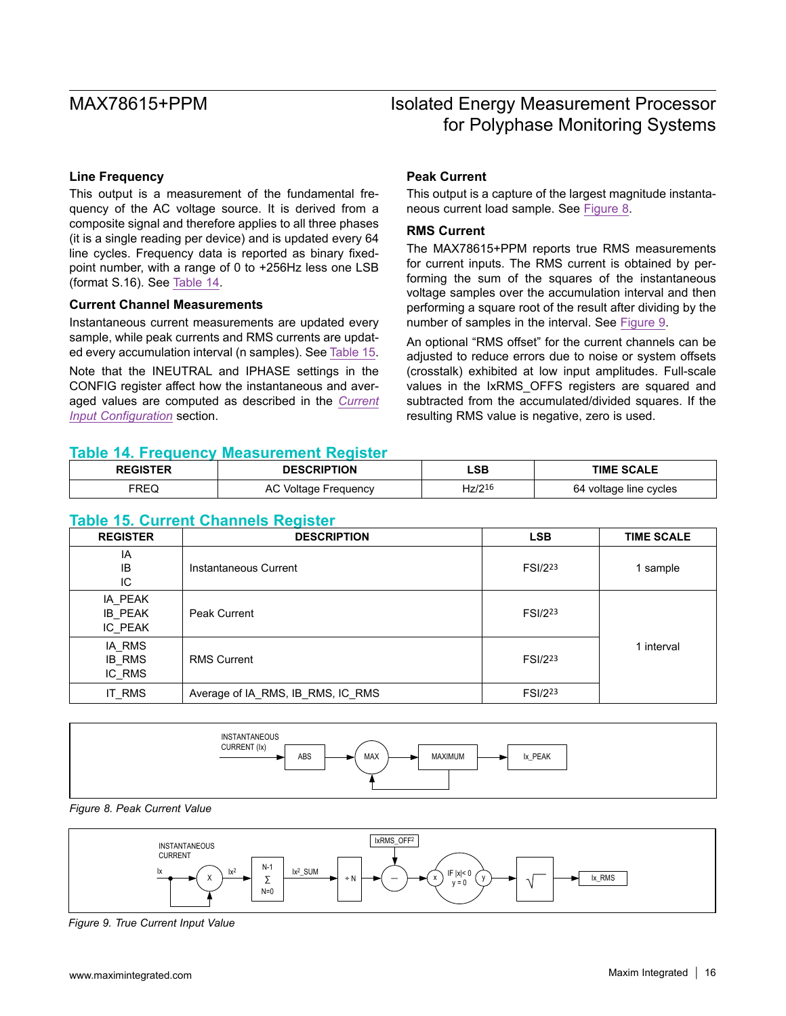### **Line Frequency**

This output is a measurement of the fundamental frequency of the AC voltage source. It is derived from a composite signal and therefore applies to all three phases (it is a single reading per device) and is updated every 64 line cycles. Frequency data is reported as binary fixedpoint number, with a range of 0 to +256Hz less one LSB (format S.16). See [Table 14](#page-15-0).

#### **Current Channel Measurements**

Instantaneous current measurements are updated every sample, while peak currents and RMS currents are updated every accumulation interval (n samples). See [Table 15.](#page-15-1)

Note that the INEUTRAL and IPHASE settings in the CONFIG register affect how the instantaneous and averaged values are computed as described in the *[Current](#page-12-2) [Input Configuration](#page-12-2)* section.

### **Peak Current**

This output is a capture of the largest magnitude instantaneous current load sample. See [Figure 8](#page-15-2).

### **RMS Current**

The MAX78615+PPM reports true RMS measurements for current inputs. The RMS current is obtained by performing the sum of the squares of the instantaneous voltage samples over the accumulation interval and then performing a square root of the result after dividing by the number of samples in the interval. See [Figure 9.](#page-15-3)

An optional "RMS offset" for the current channels can be adjusted to reduce errors due to noise or system offsets (crosstalk) exhibited at low input amplitudes. Full-scale values in the IxRMS\_OFFS registers are squared and subtracted from the accumulated/divided squares. If the resulting RMS value is negative, zero is used.

### <span id="page-15-0"></span>**Table 14. Frequency Measurement Register**

| <b>REGISTEF</b><br>_____ | <b>CRIPTION</b><br>DESCRIP | _SB<br>_____         | <b>TIME SCALE</b>               |
|--------------------------|----------------------------|----------------------|---------------------------------|
| FREC                     | requency                   | $\mathsf{Hz}/2^{16}$ | Ine cycles<br>∵ voitage .<br>64 |

### <span id="page-15-1"></span>**Table 15. Current Channels Register**

| <b>REGISTER</b>                      | <b>DESCRIPTION</b>                | <b>LSB</b>     | <b>TIME SCALE</b> |
|--------------------------------------|-----------------------------------|----------------|-------------------|
| IA<br>IB<br>IC                       | Instantaneous Current             | <b>FSI/223</b> | sample            |
| IA_PEAK<br><b>IB PEAK</b><br>IC PEAK | <b>Peak Current</b>               | <b>FSI/223</b> |                   |
| IA_RMS<br><b>IB_RMS</b><br>IC_RMS    | <b>RMS Current</b>                | <b>FSI/223</b> | 1 interval        |
| IT_RMS                               | Average of IA_RMS, IB_RMS, IC_RMS | FSI/223        |                   |

<span id="page-15-2"></span>

*Figure 8. Peak Current Value*

<span id="page-15-3"></span>

*Figure 9. True Current Input Value*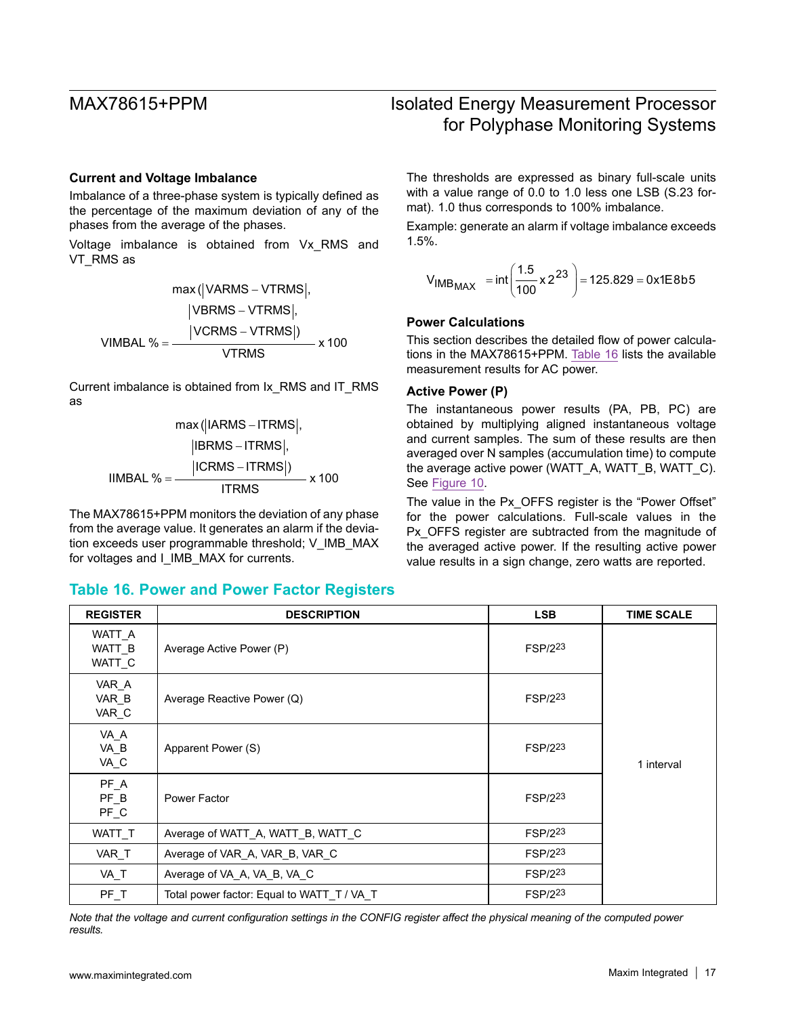#### <span id="page-16-1"></span>**Current and Voltage Imbalance**

Imbalance of a three-phase system is typically defined as the percentage of the maximum deviation of any of the phases from the average of the phases.

Voltage imbalance is obtained from Vx\_RMS and VT\_RMS as

$$
\text{max}(|\text{VARMS} - \text{VTRMS}|,\\ |\text{VBRMS} - \text{VTRMS}|,\\ \text{VIMBAL %} = \frac{|\text{VCRMS} - \text{VTRMS}|)}{\text{VTRMS}} \times 100
$$

Current imbalance is obtained from Ix\_RMS and IT\_RMS as

$$
\text{max} \left( |\text{IARMS} - \text{ITRMS}|, |\text{IBRMS} - \text{ITRMS}|, |\text{IBRMS} - \text{ITRMS}| \right)
$$
\nIIMBAL % = 
$$
\frac{|\text{ICRMS} - \text{ITRMS}|}{\text{ITRMS}} \times 100
$$

The MAX78615+PPM monitors the deviation of any phase from the average value. It generates an alarm if the deviation exceeds user programmable threshold; V\_IMB\_MAX for voltages and I\_IMB\_MAX for currents.

### <span id="page-16-0"></span>**Table 16. Power and Power Factor Registers**

# MAX78615+PPM Isolated Energy Measurement Processor for Polyphase Monitoring Systems

The thresholds are expressed as binary full-scale units with a value range of 0.0 to 1.0 less one LSB (S.23 format). 1.0 thus corresponds to 100% imbalance.

Example: generate an alarm if voltage imbalance exceeds 1.5%.

$$
V_{IMB_{MAX}} = int \left( \frac{1.5}{100} \times 2^{23} \right) = 125.829 = 0 \times 1E8b5
$$

#### **Power Calculations**

This section describes the detailed flow of power calculations in the MAX78615+PPM. [Table 16](#page-16-0) lists the available measurement results for AC power.

#### **Active Power (P)**

The instantaneous power results (PA, PB, PC) are obtained by multiplying aligned instantaneous voltage and current samples. The sum of these results are then averaged over N samples (accumulation time) to compute the average active power (WATT\_A, WATT\_B, WATT\_C). See [Figure 10](#page-17-0).

The value in the Px\_OFFS register is the "Power Offset" for the power calculations. Full-scale values in the Px\_OFFS register are subtracted from the magnitude of the averaged active power. If the resulting active power value results in a sign change, zero watts are reported.

| <b>REGISTER</b>            | <b>DESCRIPTION</b>                         | <b>LSB</b>          | <b>TIME SCALE</b> |
|----------------------------|--------------------------------------------|---------------------|-------------------|
| WATT A<br>WATT_B<br>WATT C | Average Active Power (P)                   | FSP/2 <sup>23</sup> |                   |
| VAR_A<br>VAR B<br>VAR_C    | Average Reactive Power (Q)                 | FSP/223             |                   |
| VA_A<br>VA_B<br>VA_C       | Apparent Power (S)                         | <b>FSP/223</b>      | 1 interval        |
| $PF_A$<br>$PF_B$<br>PF_C   | Power Factor                               | FSP/223             |                   |
| WATT_T                     | Average of WATT A, WATT B, WATT C          | FSP/223             |                   |
| VAR_T                      | Average of VAR A, VAR B, VAR C             | FSP/223             |                   |
| VA_T                       | Average of VA_A, VA_B, VA_C                | FSP/2 <sup>23</sup> |                   |
| PF_T                       | Total power factor: Equal to WATT_T / VA_T | FSP/223             |                   |

*Note that the voltage and current configuration settings in the CONFIG register affect the physical meaning of the computed power results.*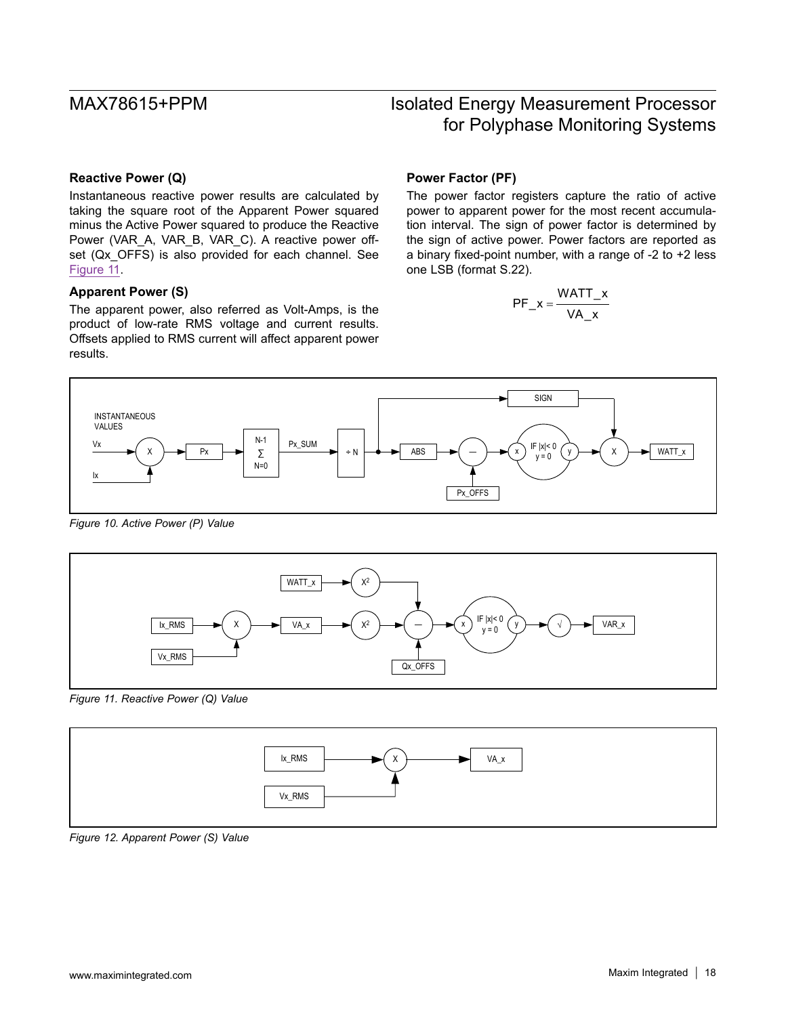### **Reactive Power (Q)**

Instantaneous reactive power results are calculated by taking the square root of the Apparent Power squared minus the Active Power squared to produce the Reactive Power (VAR\_A, VAR\_B, VAR\_C). A reactive power offset (Qx OFFS) is also provided for each channel. See [Figure 11.](#page-17-1)

### **Apparent Power (S)**

The apparent power, also referred as Volt-Amps, is the product of low-rate RMS voltage and current results. Offsets applied to RMS current will affect apparent power results.

### **Power Factor (PF)**

The power factor registers capture the ratio of active power to apparent power for the most recent accumulation interval. The sign of power factor is determined by the sign of active power. Power factors are reported as a binary fixed-point number, with a range of -2 to +2 less one LSB (format S.22).

$$
PF_x = \frac{WATT_x}{VA_x}
$$

<span id="page-17-0"></span>

*Figure 10. Active Power (P) Value*

<span id="page-17-1"></span>

*Figure 11. Reactive Power (Q) Value*



*Figure 12. Apparent Power (S) Value*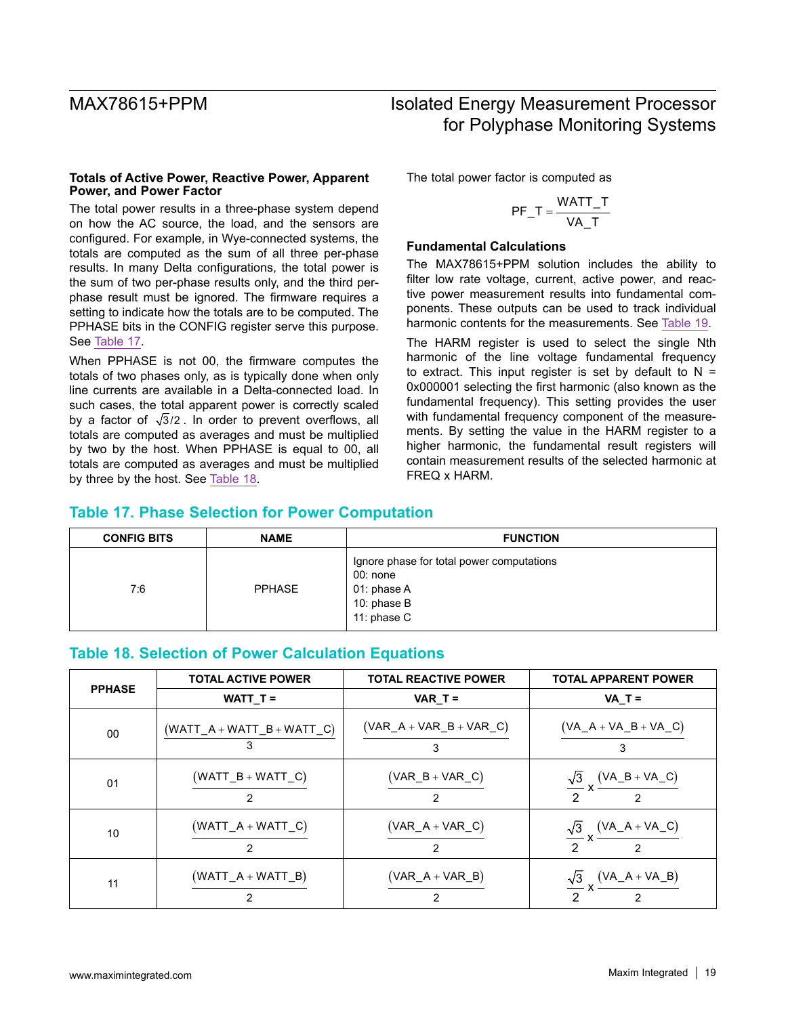#### **Totals of Active Power, Reactive Power, Apparent Power, and Power Factor**

The total power results in a three-phase system depend on how the AC source, the load, and the sensors are configured. For example, in Wye-connected systems, the totals are computed as the sum of all three per-phase results. In many Delta configurations, the total power is the sum of two per-phase results only, and the third perphase result must be ignored. The firmware requires a setting to indicate how the totals are to be computed. The PPHASE bits in the CONFIG register serve this purpose. See [Table 17.](#page-18-0)

When PPHASE is not 00, the firmware computes the totals of two phases only, as is typically done when only line currents are available in a Delta-connected load. In such cases, the total apparent power is correctly scaled by a factor of  $\sqrt{3}/2$ . In order to prevent overflows, all totals are computed as averages and must be multiplied by two by the host. When PPHASE is equal to 00, all totals are computed as averages and must be multiplied by three by the host. See [Table 18.](#page-18-1)

## The total power factor is computed as

$$
PF_T = \frac{WATT_T}{VA_T}
$$

### **Fundamental Calculations**

The MAX78615+PPM solution includes the ability to filter low rate voltage, current, active power, and reactive power measurement results into fundamental components. These outputs can be used to track individual harmonic contents for the measurements. See [Table 19.](#page-19-0)

The HARM register is used to select the single Nth harmonic of the line voltage fundamental frequency to extract. This input register is set by default to  $N =$ 0x000001 selecting the first harmonic (also known as the fundamental frequency). This setting provides the user with fundamental frequency component of the measurements. By setting the value in the HARM register to a higher harmonic, the fundamental result registers will contain measurement results of the selected harmonic at FREQ x HARM.

## <span id="page-18-0"></span>**Table 17. Phase Selection for Power Computation**

| <b>CONFIG BITS</b> | <b>NAME</b>   | <b>FUNCTION</b>                                                                                        |
|--------------------|---------------|--------------------------------------------------------------------------------------------------------|
| 7:6                | <b>PPHASE</b> | Ignore phase for total power computations<br>$00:$ none<br>01: phase A<br>10: phase B<br>11: $phase C$ |

### <span id="page-18-1"></span>**Table 18. Selection of Power Calculation Equations**

| <b>PPHASE</b> | <b>TOTAL ACTIVE POWER</b>            | <b>TOTAL REACTIVE POWER</b>    | <b>TOTAL APPARENT POWER</b>                                           |
|---------------|--------------------------------------|--------------------------------|-----------------------------------------------------------------------|
|               | $WATT_T =$                           | $VAR_T =$                      | $VA_T =$                                                              |
| 00            | $(WATT_A + WATT_B + WATT_C)$         | $(VAR_A + VAR_B + VAR_C)$<br>3 | $(VA_A + VA_B + VA_C)$<br>3                                           |
| 01            | $(WATT_B + WATT_C)$<br>$\mathcal{P}$ | $(VAR_B + VAR_C)$<br>2         | $\frac{\sqrt{3}}{x}$ x $\frac{(VA_{B} + VA_{C})}{x}$<br>$\mathcal{P}$ |
| 10            | $(WATT_A + WATT_C)$<br>2             | $(VAR_A + VAR_C)$<br>2         | $\frac{\sqrt{3}}{2}$ x $\frac{(VA_A + VA_C)}{2}$                      |
| 11            | $(WATT_A + WATT_B)$<br>2             | $(VAR_A + VAR_B)$<br>2         | $\frac{\sqrt{3}}{2}$ x $\frac{(VA_A + VA_B)}{2}$                      |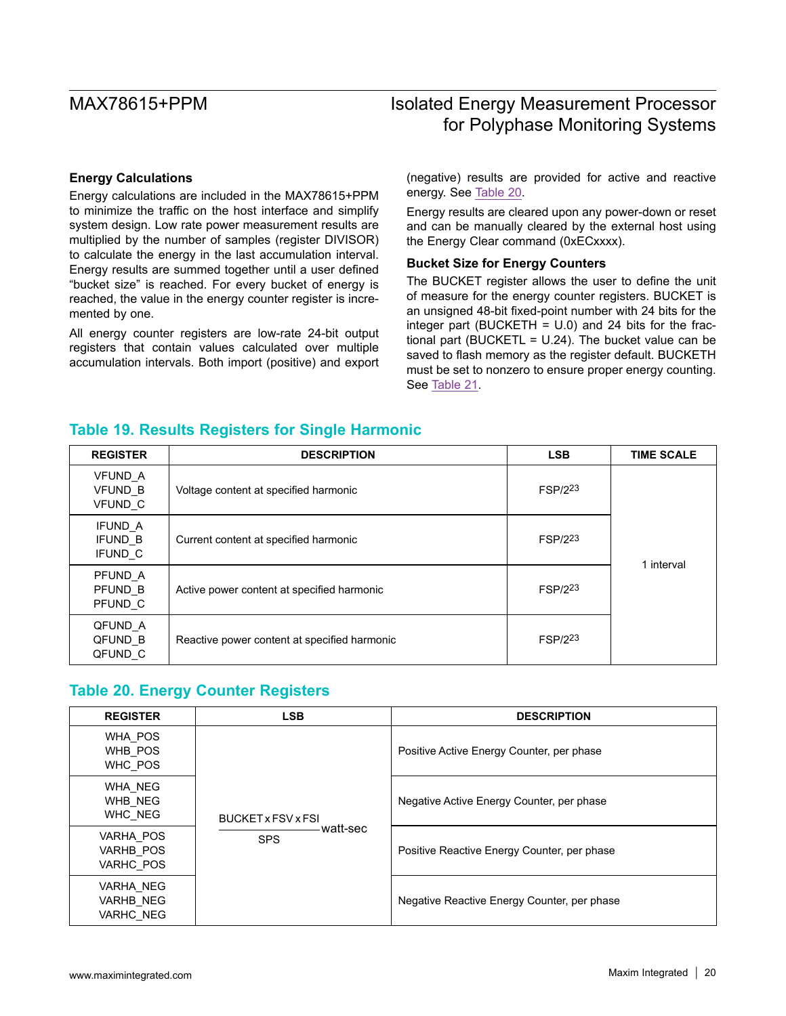### **Energy Calculations**

Energy calculations are included in the MAX78615+PPM to minimize the traffic on the host interface and simplify system design. Low rate power measurement results are multiplied by the number of samples (register DIVISOR) to calculate the energy in the last accumulation interval. Energy results are summed together until a user defined "bucket size" is reached. For every bucket of energy is reached, the value in the energy counter register is incremented by one.

All energy counter registers are low-rate 24-bit output registers that contain values calculated over multiple accumulation intervals. Both import (positive) and export

#### (negative) results are provided for active and reactive energy. See [Table 20.](#page-19-1)

Energy results are cleared upon any power-down or reset and can be manually cleared by the external host using the Energy Clear command (0xECxxxx).

### **Bucket Size for Energy Counters**

The BUCKET register allows the user to define the unit of measure for the energy counter registers. BUCKET is an unsigned 48-bit fixed-point number with 24 bits for the integer part (BUCKETH =  $U.0$ ) and 24 bits for the fractional part (BUCKETL =  $U.24$ ). The bucket value can be saved to flash memory as the register default. BUCKETH must be set to nonzero to ensure proper energy counting. See [Table 21.](#page-20-0)

## <span id="page-19-0"></span>**Table 19. Results Registers for Single Harmonic**

| <b>REGISTER</b>                      | <b>DESCRIPTION</b>                           | <b>LSB</b>     | <b>TIME SCALE</b> |
|--------------------------------------|----------------------------------------------|----------------|-------------------|
| VFUND A<br><b>VFUND B</b><br>VFUND_C | Voltage content at specified harmonic        | FSP/223        |                   |
| IFUND A<br>IFUND B<br>IFUND C        | Current content at specified harmonic        | FSP/223        | 1 interval        |
| PFUND A<br>PFUND B<br>PFUND C        | Active power content at specified harmonic   | <b>FSP/223</b> |                   |
| QFUND A<br>QFUND B<br>QFUND C        | Reactive power content at specified harmonic | <b>FSP/223</b> |                   |

## <span id="page-19-1"></span>**Table 20. Energy Counter Registers**

| <b>REGISTER</b>                     | <b>LSB</b>                | <b>DESCRIPTION</b>                          |
|-------------------------------------|---------------------------|---------------------------------------------|
| WHA POS<br>WHB POS<br>WHC_POS       | <b>BUCKET x FSV x FSI</b> | Positive Active Energy Counter, per phase   |
| WHA NEG<br>WHB NEG<br>WHC NEG       |                           | Negative Active Energy Counter, per phase   |
| VARHA POS<br>VARHB POS<br>VARHC_POS | watt-sec·<br><b>SPS</b>   | Positive Reactive Energy Counter, per phase |
| VARHA NEG<br>VARHB NEG<br>VARHC_NEG |                           | Negative Reactive Energy Counter, per phase |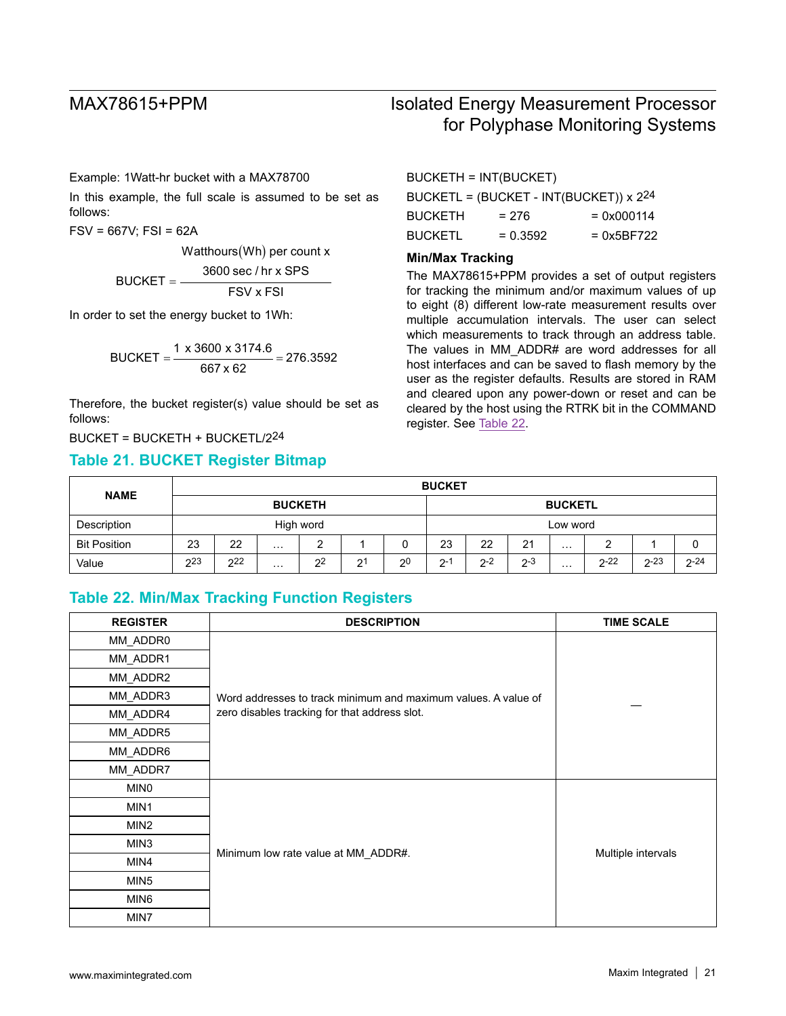Example: 1Watt-hr bucket with a MAX78700

In this example, the full scale is assumed to be set as follows:

FSV = 667V; FSI = 62A

Watthours (Wh) per count  $x$ 3600 sec / hr x SPS  $BUCKET = -$ FSV x FSI

In order to set the energy bucket to 1Wh:

$$
BUCKET = \frac{1 \times 3600 \times 3174.6}{667 \times 62} = 276.3592
$$

Therefore, the bucket register(s) value should be set as follows:

BUCKET = BUCKETH + BUCKETL/224

## <span id="page-20-0"></span>**Table 21. BUCKET Register Bitmap**

# MAX78615+PPM Isolated Energy Measurement Processor for Polyphase Monitoring Systems

BUCKETH = INT(BUCKET)

| BUCKETL = $(BUCKET - INT(BUCKET))$ x 2 <sup>24</sup> |            |              |  |  |
|------------------------------------------------------|------------|--------------|--|--|
| <b>BUCKETH</b>                                       | $= 276$    | $= 0x000114$ |  |  |
| <b>BUCKETL</b>                                       | $= 0.3592$ | $= 0x5BF722$ |  |  |

### **Min/Max Tracking**

The MAX78615+PPM provides a set of output registers for tracking the minimum and/or maximum values of up to eight (8) different low-rate measurement results over multiple accumulation intervals. The user can select which measurements to track through an address table. The values in MM\_ADDR# are word addresses for all host interfaces and can be saved to flash memory by the user as the register defaults. Results are stored in RAM and cleared upon any power-down or reset and can be cleared by the host using the RTRK bit in the COMMAND register. See [Table 22](#page-20-1).

| <b>NAME</b>         |     |           |          |                |         |                | <b>BUCKET</b> |         |         |                |          |          |          |
|---------------------|-----|-----------|----------|----------------|---------|----------------|---------------|---------|---------|----------------|----------|----------|----------|
|                     |     |           |          | <b>BUCKETH</b> |         |                |               |         |         | <b>BUCKETL</b> |          |          |          |
| Description         |     | High word |          |                |         |                | Low word      |         |         |                |          |          |          |
| <b>Bit Position</b> | 23  | 22        | $\cdots$ | ົ              |         |                | 23            | 22      | 21      | $\cdots$       |          |          |          |
| Value               | 223 | 222       | $\cdots$ | 2 <sup>2</sup> | 21<br>∠ | 2 <sup>0</sup> | $2 - 1$       | $2 - 2$ | $2 - 3$ | $\cdots$       | $2 - 22$ | $2 - 23$ | $2 - 24$ |

## <span id="page-20-1"></span>**Table 22. Min/Max Tracking Function Registers**

| <b>REGISTER</b>  | <b>DESCRIPTION</b>                                             | <b>TIME SCALE</b>  |  |
|------------------|----------------------------------------------------------------|--------------------|--|
| MM_ADDR0         |                                                                |                    |  |
| MM_ADDR1         |                                                                |                    |  |
| MM_ADDR2         |                                                                |                    |  |
| MM_ADDR3         | Word addresses to track minimum and maximum values. A value of |                    |  |
| MM_ADDR4         | zero disables tracking for that address slot.                  |                    |  |
| MM_ADDR5         |                                                                |                    |  |
| MM_ADDR6         |                                                                |                    |  |
| MM_ADDR7         |                                                                |                    |  |
| <b>MINO</b>      |                                                                |                    |  |
| MIN1             |                                                                |                    |  |
| MIN2             | Minimum low rate value at MM_ADDR#.                            | Multiple intervals |  |
| MIN3             |                                                                |                    |  |
| MIN4             |                                                                |                    |  |
| MIN <sub>5</sub> |                                                                |                    |  |
| MIN6             |                                                                |                    |  |
| MIN7             |                                                                |                    |  |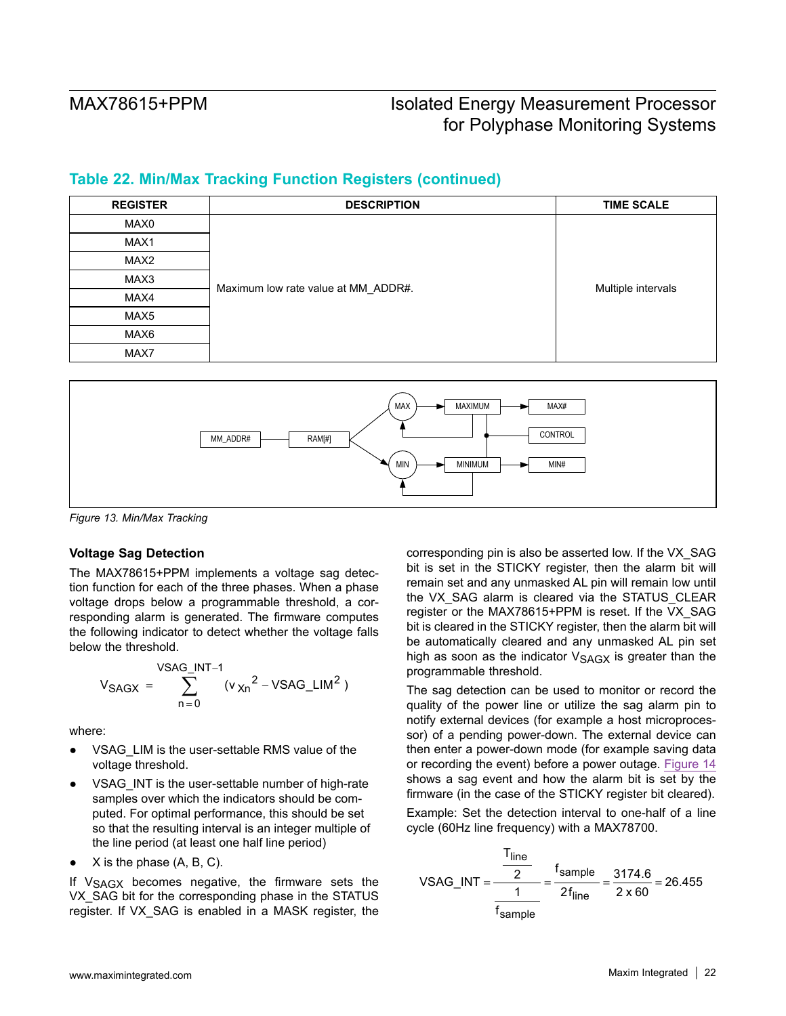## **REGISTER DESCRIPTION TIME SCALE** MAX0 Maximum low rate value at MM\_ADDR#. Multiple intervals MAX1 MAX2 MAX3 MAX4 MAX5 MAX6 MAX<sub>7</sub>

## **Table 22. Min/Max Tracking Function Registers (continued)**



*Figure 13. Min/Max Tracking*

### <span id="page-21-0"></span>**Voltage Sag Detection**

The MAX78615+PPM implements a voltage sag detection function for each of the three phases. When a phase voltage drops below a programmable threshold, a corresponding alarm is generated. The firmware computes the following indicator to detect whether the voltage falls below the threshold.

$$
V_{SAGX} = \sum_{n=0}^{VSAG_NT-1} (v_{Xn}^{2} - VSAG_LIM^2)
$$

where:

- VSAG LIM is the user-settable RMS value of the voltage threshold.
- VSAG INT is the user-settable number of high-rate samples over which the indicators should be computed. For optimal performance, this should be set so that the resulting interval is an integer multiple of the line period (at least one half line period)
- $X$  is the phase  $(A, B, C)$ .

If V<sub>SAGX</sub> becomes negative, the firmware sets the VX\_SAG bit for the corresponding phase in the STATUS register. If VX\_SAG is enabled in a MASK register, the corresponding pin is also be asserted low. If the VX\_SAG bit is set in the STICKY register, then the alarm bit will remain set and any unmasked AL pin will remain low until the VX SAG alarm is cleared via the STATUS CLEAR register or the MAX78615+PPM is reset. If the VX\_SAG bit is cleared in the STICKY register, then the alarm bit will be automatically cleared and any unmasked AL pin set high as soon as the indicator  $V_{SAGX}$  is greater than the programmable threshold.

The sag detection can be used to monitor or record the quality of the power line or utilize the sag alarm pin to notify external devices (for example a host microprocessor) of a pending power-down. The external device can then enter a power-down mode (for example saving data or recording the event) before a power outage. [Figure 14](#page-22-0) shows a sag event and how the alarm bit is set by the firmware (in the case of the STICKY register bit cleared).

Example: Set the detection interval to one-half of a line cycle (60Hz line frequency) with a MAX78700.

$$
\text{VSAG\_INT} = \frac{\frac{T_{\text{line}}}{2}}{\frac{1}{f_{\text{sample}}}} = \frac{f_{\text{sample}}}{2f_{\text{line}}} = \frac{3174.6}{2 \times 60} = 26.455
$$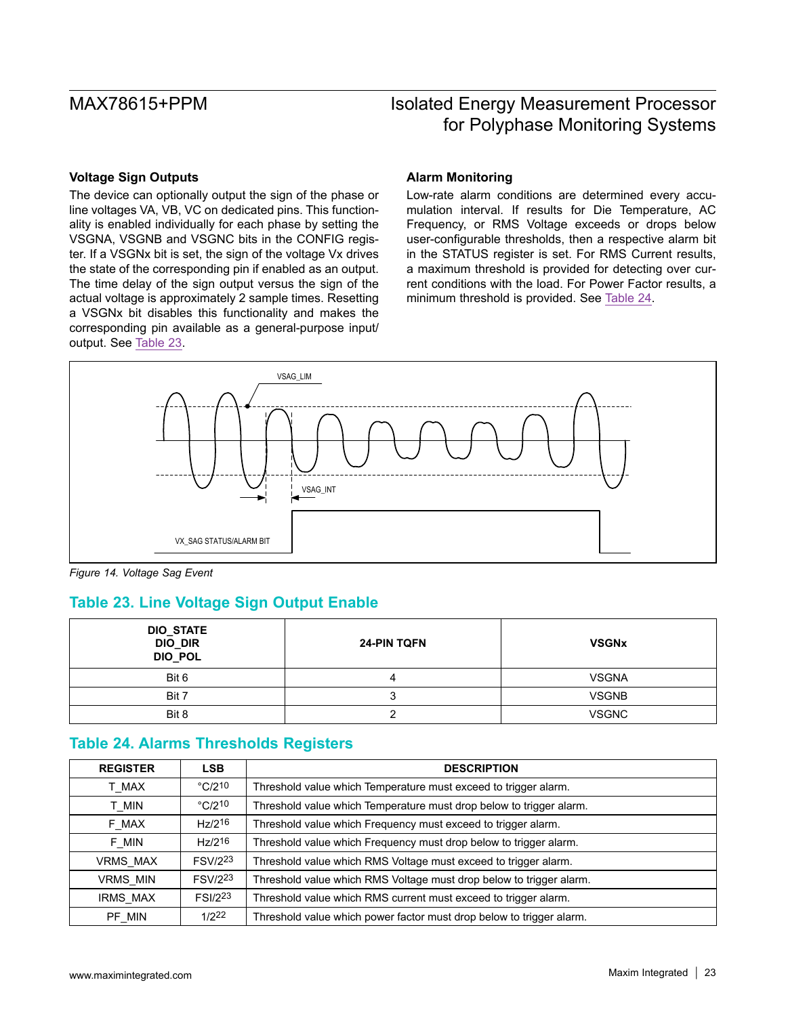### **Voltage Sign Outputs**

The device can optionally output the sign of the phase or line voltages VA, VB, VC on dedicated pins. This functionality is enabled individually for each phase by setting the VSGNA, VSGNB and VSGNC bits in the CONFIG register. If a VSGNx bit is set, the sign of the voltage Vx drives the state of the corresponding pin if enabled as an output. The time delay of the sign output versus the sign of the actual voltage is approximately 2 sample times. Resetting a VSGNx bit disables this functionality and makes the corresponding pin available as a general-purpose input/ output. See [Table 23.](#page-22-1)

### **Alarm Monitoring**

Low-rate alarm conditions are determined every accumulation interval. If results for Die Temperature, AC Frequency, or RMS Voltage exceeds or drops below user-configurable thresholds, then a respective alarm bit in the STATUS register is set. For RMS Current results, a maximum threshold is provided for detecting over current conditions with the load. For Power Factor results, a minimum threshold is provided. See [Table 24.](#page-22-2)

<span id="page-22-0"></span>

*Figure 14. Voltage Sag Event*

## <span id="page-22-1"></span>**Table 23. Line Voltage Sign Output Enable**

| DIO_STATE<br>DIO_DIR<br>DIO_POL | <b>24-PIN TQFN</b> | <b>VSGNx</b> |
|---------------------------------|--------------------|--------------|
| Bit 6                           |                    | <b>VSGNA</b> |
| Bit 7                           |                    | <b>VSGNB</b> |
| Bit 8                           |                    | <b>VSGNC</b> |

## <span id="page-22-2"></span>**Table 24. Alarms Thresholds Registers**

| <b>REGISTER</b> | <b>LSB</b>                  | <b>DESCRIPTION</b>                                                   |
|-----------------|-----------------------------|----------------------------------------------------------------------|
| T MAX           | $\degree$ C/2 <sup>10</sup> | Threshold value which Temperature must exceed to trigger alarm.      |
| T MIN           | $\degree$ C/210             | Threshold value which Temperature must drop below to trigger alarm.  |
| F MAX           | Hz/216                      | Threshold value which Frequency must exceed to trigger alarm.        |
| F MIN           | Hz/2 <sup>16</sup>          | Threshold value which Frequency must drop below to trigger alarm.    |
| VRMS MAX        | <b>FSV/223</b>              | Threshold value which RMS Voltage must exceed to trigger alarm.      |
| VRMS_MIN        | <b>FSV/223</b>              | Threshold value which RMS Voltage must drop below to trigger alarm.  |
| <b>IRMS MAX</b> | <b>FSI/223</b>              | Threshold value which RMS current must exceed to trigger alarm.      |
| PF_MIN          | 1/2 <sup>22</sup>           | Threshold value which power factor must drop below to trigger alarm. |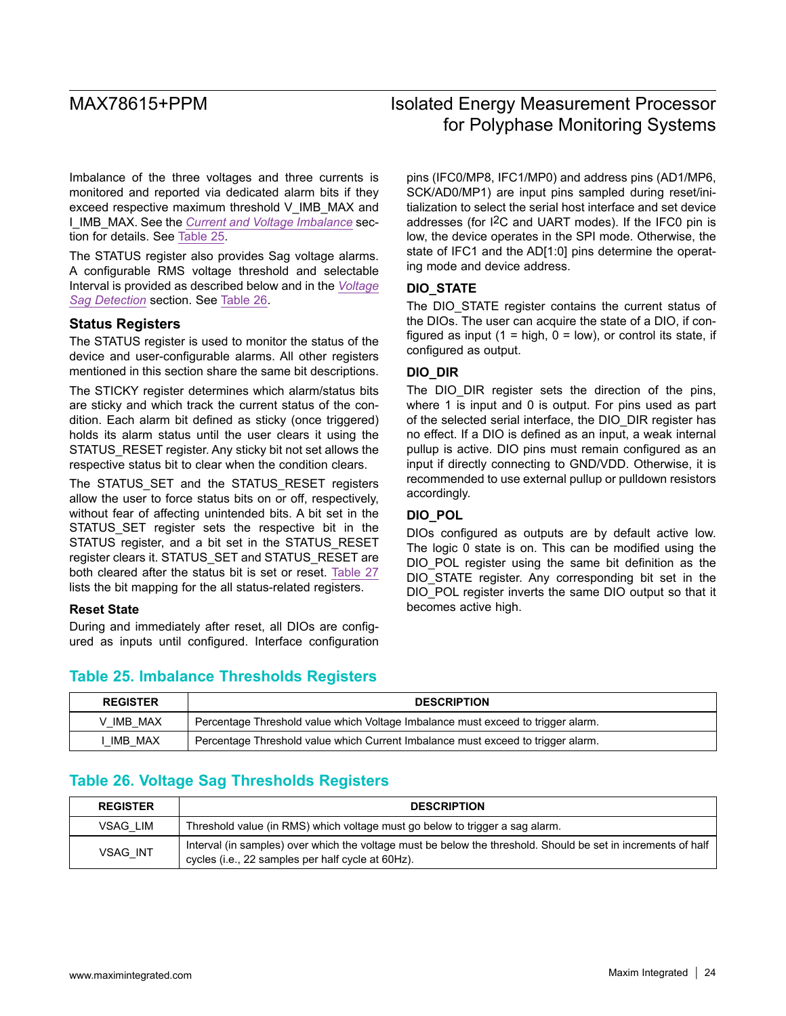Imbalance of the three voltages and three currents is monitored and reported via dedicated alarm bits if they exceed respective maximum threshold V\_IMB\_MAX and I\_IMB\_MAX. See the *[Current and Voltage Imbalance](#page-16-1)* section for details. See [Table 25](#page-23-0).

The STATUS register also provides Sag voltage alarms. A configurable RMS voltage threshold and selectable Interval is provided as described below and in the *[Voltage](#page-21-0) [Sag Detection](#page-21-0)* section. See [Table 26](#page-23-1).

### **Status Registers**

The STATUS register is used to monitor the status of the device and user-configurable alarms. All other registers mentioned in this section share the same bit descriptions.

The STICKY register determines which alarm/status bits are sticky and which track the current status of the condition. Each alarm bit defined as sticky (once triggered) holds its alarm status until the user clears it using the STATUS RESET register. Any sticky bit not set allows the respective status bit to clear when the condition clears.

The STATUS SET and the STATUS RESET registers allow the user to force status bits on or off, respectively, without fear of affecting unintended bits. A bit set in the STATUS SET register sets the respective bit in the STATUS register, and a bit set in the STATUS\_RESET register clears it. STATUS\_SET and STATUS\_RESET are both cleared after the status bit is set or reset. [Table](#page-24-0) 27 lists the bit mapping for the all status-related registers.

### **Reset State**

During and immediately after reset, all DIOs are configured as inputs until configured. Interface configuration

# MAX78615+PPM Isolated Energy Measurement Processor for Polyphase Monitoring Systems

pins (IFC0/MP8, IFC1/MP0) and address pins (AD1/MP6, SCK/AD0/MP1) are input pins sampled during reset/initialization to select the serial host interface and set device addresses (for I2C and UART modes). If the IFC0 pin is low, the device operates in the SPI mode. Otherwise, the state of IFC1 and the AD[1:0] pins determine the operating mode and device address.

### **DIO\_STATE**

The DIO STATE register contains the current status of the DIOs. The user can acquire the state of a DIO, if configured as input (1 = high,  $0 = low$ ), or control its state, if configured as output.

### **DIO\_DIR**

The DIO DIR register sets the direction of the pins, where 1 is input and 0 is output. For pins used as part of the selected serial interface, the DIO\_DIR register has no effect. If a DIO is defined as an input, a weak internal pullup is active. DIO pins must remain configured as an input if directly connecting to GND/VDD. Otherwise, it is recommended to use external pullup or pulldown resistors accordingly.

### **DIO\_POL**

DIOs configured as outputs are by default active low. The logic 0 state is on. This can be modified using the DIO POL register using the same bit definition as the DIO\_STATE register. Any corresponding bit set in the DIO\_POL register inverts the same DIO output so that it becomes active high.

### <span id="page-23-0"></span>**Table 25. Imbalance Thresholds Registers**

| <b>REGISTER</b> | <b>DESCRIPTION</b>                                                               |
|-----------------|----------------------------------------------------------------------------------|
| V IMB MAX       | Percentage Threshold value which Voltage Imbalance must exceed to trigger alarm. |
| IMB MAX         | Percentage Threshold value which Current Imbalance must exceed to trigger alarm. |

## <span id="page-23-1"></span>**Table 26. Voltage Sag Thresholds Registers**

| <b>REGISTER</b> | <b>DESCRIPTION</b>                                                                                                                                                 |
|-----------------|--------------------------------------------------------------------------------------------------------------------------------------------------------------------|
| VSAG LIM        | Threshold value (in RMS) which voltage must go below to trigger a sag alarm.                                                                                       |
| <b>VSAG INT</b> | Interval (in samples) over which the voltage must be below the threshold. Should be set in increments of half<br>cycles (i.e., 22 samples per half cycle at 60Hz). |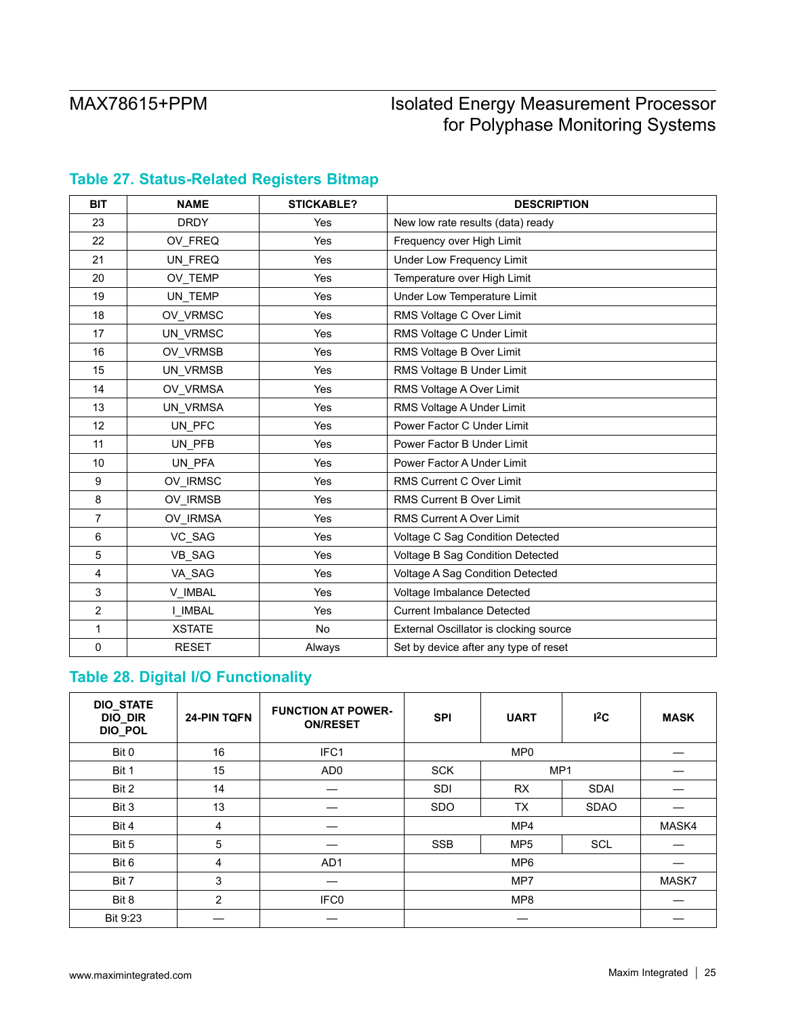| <b>BIT</b>     | <b>NAME</b>   | <b>STICKABLE?</b> | <b>DESCRIPTION</b>                     |
|----------------|---------------|-------------------|----------------------------------------|
| 23             | <b>DRDY</b>   | Yes               | New low rate results (data) ready      |
| 22             | OV FREQ       | Yes               | Frequency over High Limit              |
| 21             | UN_FREQ       | Yes               | <b>Under Low Frequency Limit</b>       |
| 20             | OV_TEMP       | Yes               | Temperature over High Limit            |
| 19             | UN TEMP       | Yes               | Under Low Temperature Limit            |
| 18             | OV_VRMSC      | Yes               | RMS Voltage C Over Limit               |
| 17             | UN_VRMSC      | Yes               | RMS Voltage C Under Limit              |
| 16             | OV_VRMSB      | Yes               | RMS Voltage B Over Limit               |
| 15             | UN_VRMSB      | Yes               | RMS Voltage B Under Limit              |
| 14             | OV_VRMSA      | Yes               | RMS Voltage A Over Limit               |
| 13             | UN_VRMSA      | Yes               | RMS Voltage A Under Limit              |
| 12             | UN_PFC        | Yes               | Power Factor C Under Limit             |
| 11             | UN PFB        | Yes               | Power Factor B Under Limit             |
| 10             | UN_PFA        | Yes               | Power Factor A Under Limit             |
| 9              | OV_IRMSC      | Yes               | RMS Current C Over Limit               |
| 8              | OV_IRMSB      | Yes               | RMS Current B Over Limit               |
| $\overline{7}$ | OV_IRMSA      | Yes               | RMS Current A Over Limit               |
| 6              | VC_SAG        | Yes               | Voltage C Sag Condition Detected       |
| 5              | VB_SAG        | Yes               | Voltage B Sag Condition Detected       |
| 4              | VA_SAG        | Yes               | Voltage A Sag Condition Detected       |
| 3              | V_IMBAL       | Yes               | Voltage Imbalance Detected             |
| 2              | I IMBAL       | Yes               | <b>Current Imbalance Detected</b>      |
| 1              | <b>XSTATE</b> | <b>No</b>         | External Oscillator is clocking source |
| 0              | <b>RESET</b>  | Always            | Set by device after any type of reset  |

## <span id="page-24-0"></span>**Table 27. Status-Related Registers Bitmap**

## **Table 28. Digital I/O Functionality**

| <b>DIO_STATE</b><br>DIO_DIR<br>DIO_POL | <b>24-PIN TOFN</b> | <b>FUNCTION AT POWER-</b><br><b>ON/RESET</b> | <b>SPI</b> | <b>UART</b>     | 2C          | <b>MASK</b> |
|----------------------------------------|--------------------|----------------------------------------------|------------|-----------------|-------------|-------------|
| Bit 0                                  | 16                 | IFC1                                         |            | MP <sub>0</sub> |             |             |
| Bit 1                                  | 15                 | AD <sub>0</sub>                              | <b>SCK</b> | MP1             |             |             |
| Bit 2                                  | 14                 |                                              | <b>SDI</b> | <b>RX</b>       | <b>SDAI</b> |             |
| Bit 3                                  | 13                 |                                              | <b>SDO</b> | <b>TX</b>       | <b>SDAO</b> |             |
| Bit 4                                  | 4                  |                                              |            | MP4             |             | MASK4       |
| Bit 5                                  | 5                  |                                              | <b>SSB</b> | MP <sub>5</sub> | <b>SCL</b>  |             |
| Bit 6                                  | 4                  | AD1                                          |            | MP <sub>6</sub> |             |             |
| Bit 7                                  | 3                  |                                              |            | MP7             |             | MASK7       |
| Bit 8                                  | 2                  | IFC0                                         |            | MP8             |             |             |
| Bit 9:23                               |                    |                                              |            |                 |             |             |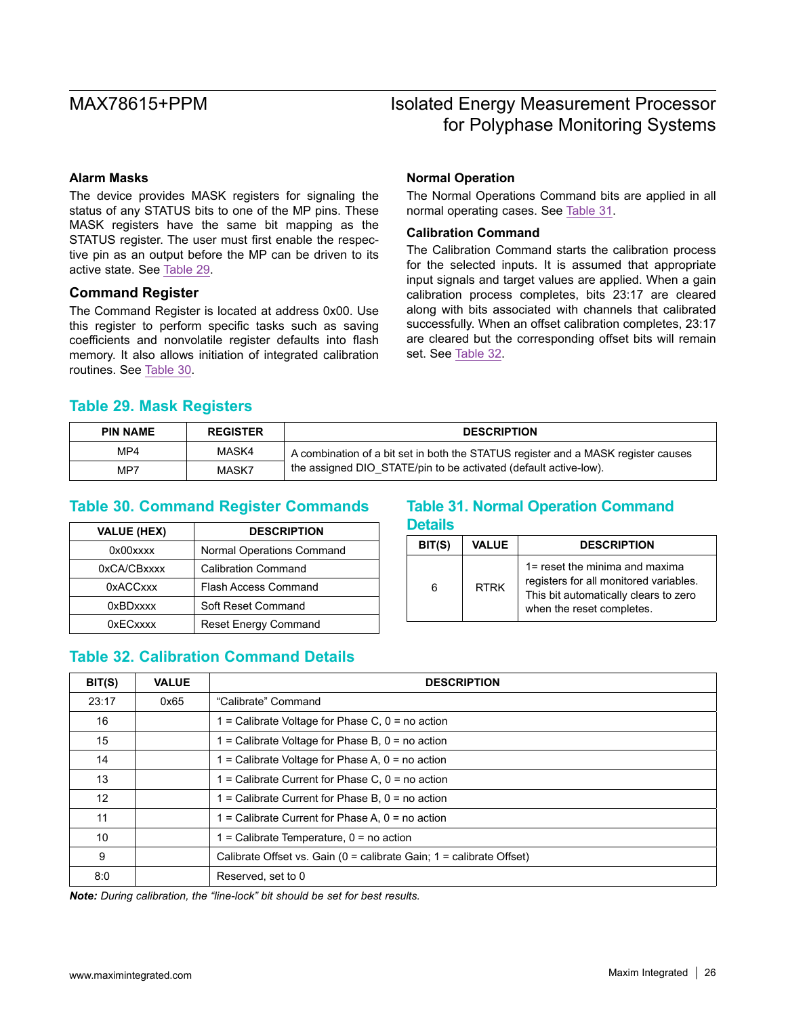#### **Alarm Masks**

The device provides MASK registers for signaling the status of any STATUS bits to one of the MP pins. These MASK registers have the same bit mapping as the STATUS register. The user must first enable the respective pin as an output before the MP can be driven to its active state. See [Table 29.](#page-25-1)

### <span id="page-25-0"></span>**Command Register**

The Command Register is located at address 0x00. Use this register to perform specific tasks such as saving coefficients and nonvolatile register defaults into flash memory. It also allows initiation of integrated calibration routines. See [Table 30](#page-25-2).

## <span id="page-25-1"></span>**Table 29. Mask Registers**

# **Normal Operation**

The Normal Operations Command bits are applied in all normal operating cases. See [Table 31](#page-25-3).

### **Calibration Command**

The Calibration Command starts the calibration process for the selected inputs. It is assumed that appropriate input signals and target values are applied. When a gain calibration process completes, bits 23:17 are cleared along with bits associated with channels that calibrated successfully. When an offset calibration completes, 23:17 are cleared but the corresponding offset bits will remain set. See [Table 32.](#page-25-4)

| <b>PIN NAME</b> | <b>REGISTER</b> | <b>DESCRIPTION</b>                                                                |
|-----------------|-----------------|-----------------------------------------------------------------------------------|
| MP4             | MASK4           | A combination of a bit set in both the STATUS register and a MASK register causes |
| MP7             | MASK7           | the assigned DIO_STATE/pin to be activated (default active-low).                  |

## <span id="page-25-2"></span>**Table 30. Command Register Commands Table 31. Normal Operation Command**

| <b>VALUE (HEX)</b> | <b>DESCRIPTION</b>          |
|--------------------|-----------------------------|
| 0x00xxxx           | Normal Operations Command   |
| 0xCA/CBxxxx        | <b>Calibration Command</b>  |
| 0xACCxxx           | Flash Access Command        |
| 0xBDxxxx           | Soft Reset Command          |
| 0xECxxxx           | <b>Reset Energy Command</b> |

# <span id="page-25-3"></span>**Details**

| BIT(S) | <b>VALUE</b> | <b>DESCRIPTION</b>                                                                                                                             |
|--------|--------------|------------------------------------------------------------------------------------------------------------------------------------------------|
| 6      | <b>RTRK</b>  | 1= reset the minima and maxima<br>registers for all monitored variables.<br>This bit automatically clears to zero<br>when the reset completes. |

## <span id="page-25-4"></span>**Table 32. Calibration Command Details**

| BIT(S)          | <b>VALUE</b> | <b>DESCRIPTION</b>                                                   |
|-----------------|--------------|----------------------------------------------------------------------|
| 23:17           | 0x65         | "Calibrate" Command                                                  |
| 16              |              | = Calibrate Voltage for Phase C, $0 =$ no action                     |
| 15              |              | $=$ Calibrate Voltage for Phase B, 0 = no action                     |
| 14              |              | 1 = Calibrate Voltage for Phase A, $0 =$ no action                   |
| 13              |              | = Calibrate Current for Phase C, $0 =$ no action                     |
| 12 <sup>°</sup> |              | $1 =$ Calibrate Current for Phase B, $0 =$ no action                 |
| 11              |              | $=$ Calibrate Current for Phase A, $0 =$ no action                   |
| 10              |              | $1 =$ Calibrate Temperature, $0 =$ no action                         |
| 9               |              | Calibrate Offset vs. Gain (0 = calibrate Gain; 1 = calibrate Offset) |
| 8:0             |              | Reserved, set to 0                                                   |

*Note: During calibration, the "line-lock" bit should be set for best results.*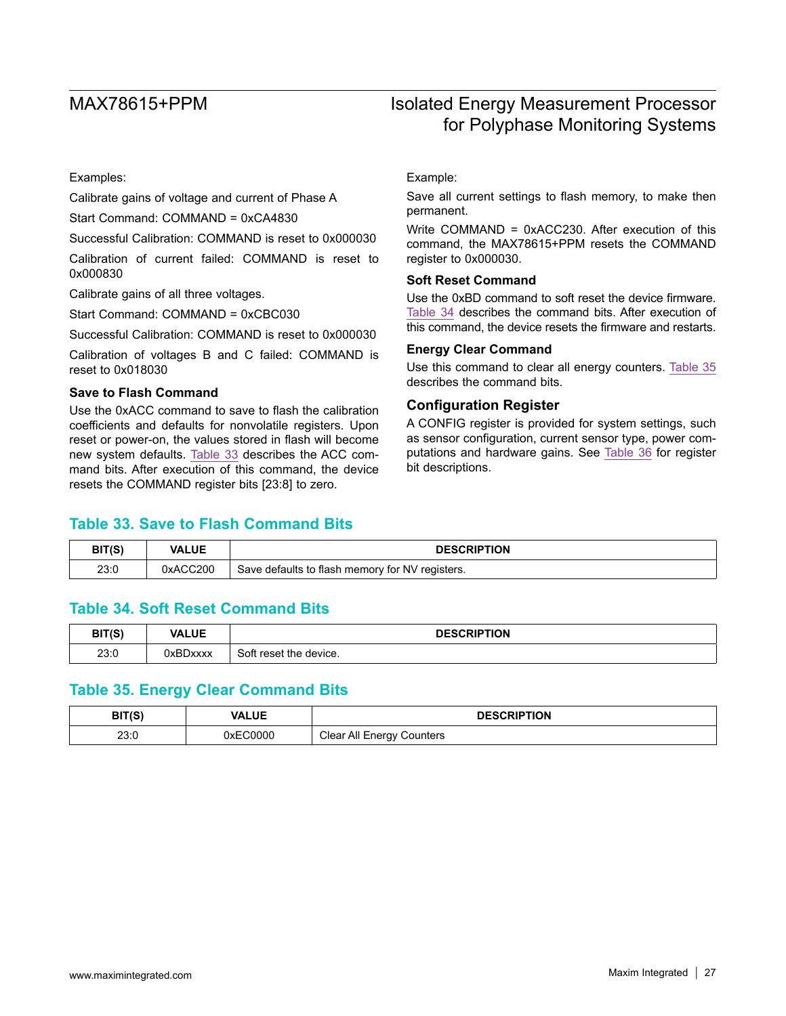#### Examples:

Calibrate gains of voltage and current of Phase A

Start Command: COMMAND = 0xCA4830

Successful Calibration: COMMAND is reset to 0x000030

Calibration of current failed: COMMAND is reset to 0x000830

Calibrate gains of all three voltages.

Start Command: COMMAND = 0xCBC030

Successful Calibration: COMMAND is reset to 0x000030

Calibration of voltages B and C failed: COMMAND is reset to 0x018030

#### **Save to Flash Command**

Use the 0xACC command to save to flash the calibration coefficients and defaults for nonvolatile registers. Upon reset or power-on, the values stored in flash will become new system defaults. [Table 33](#page-26-0) describes the ACC command bits. After execution of this command, the device resets the COMMAND register bits [23:8] to zero.

Example:

Save all current settings to flash memory, to make then permanent.

Write COMMAND = 0xACC230. After execution of this command, the MAX78615+PPM resets the COMMAND register to 0x000030.

#### **Soft Reset Command**

Use the 0xBD command to soft reset the device firmware. [Table 34](#page-26-1) describes the command bits. After execution of this command, the device resets the firmware and restarts.

#### **Energy Clear Command**

Use this command to clear all energy counters. [Table 35](#page-26-2) describes the command bits.

### **Configuration Register**

A CONFIG register is provided for system settings, such as sensor configuration, current sensor type, power computations and hardware gains. See [Table 36](#page-27-0) for register bit descriptions.

## <span id="page-26-0"></span>**Table 33. Save to Flash Command Bits**

| BIT(S) | <b>VALUE</b> | <b>DESCRIPTION</b>                              |
|--------|--------------|-------------------------------------------------|
| 23:0   | 0xACC200     | Save defaults to flash memory for NV registers. |

## <span id="page-26-1"></span>**Table 34. Soft Reset Command Bits**

| BIT(S) | VALUE    | <b>DESCRIPTION</b>          |
|--------|----------|-----------------------------|
| 23:0   | 0xBDxxxx | t reset the device.<br>Soft |

### <span id="page-26-2"></span>**Table 35. Energy Clear Command Bits**

| BIT(S) | <b>VALUE</b> | <b>SCRIPTION</b>             |
|--------|--------------|------------------------------|
| 23:0   | 0xEC0000     | Clear All Energy<br>Counters |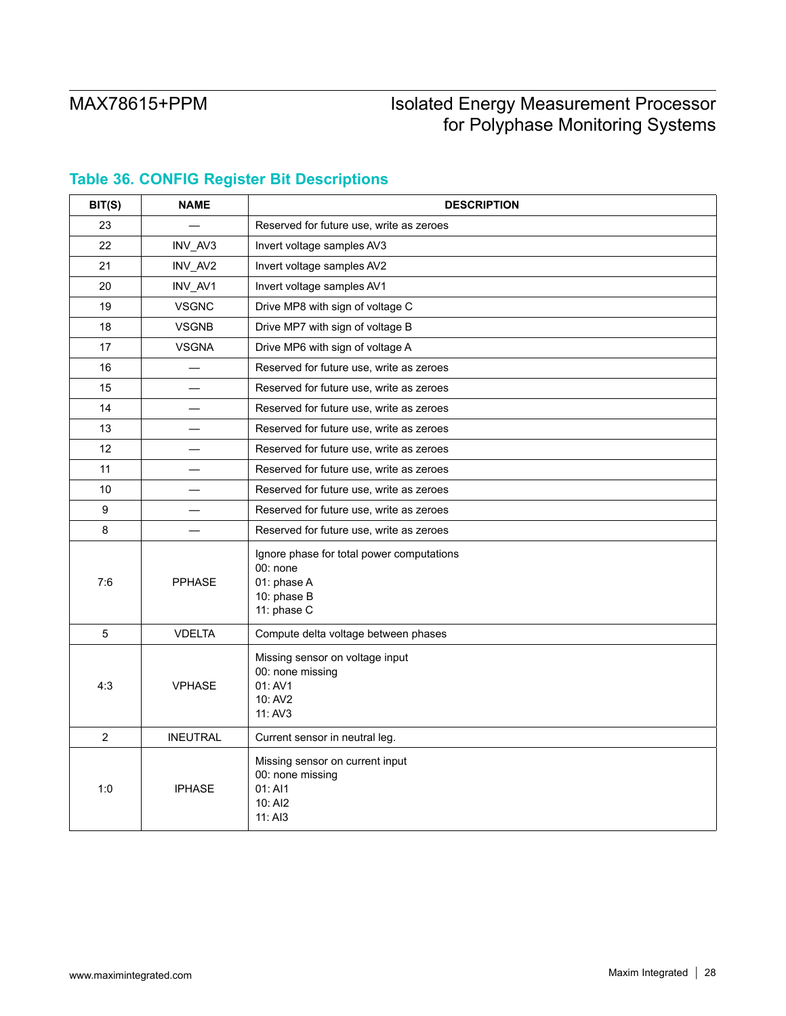# <span id="page-27-0"></span>**Table 36. CONFIG Register Bit Descriptions**

| BIT(S)         | <b>NAME</b>     | <b>DESCRIPTION</b>                                                                                 |  |
|----------------|-----------------|----------------------------------------------------------------------------------------------------|--|
| 23             |                 | Reserved for future use, write as zeroes                                                           |  |
| 22             | INV_AV3         | Invert voltage samples AV3                                                                         |  |
| 21             | INV_AV2         | Invert voltage samples AV2                                                                         |  |
| 20             | INV_AV1         | Invert voltage samples AV1                                                                         |  |
| 19             | <b>VSGNC</b>    | Drive MP8 with sign of voltage C                                                                   |  |
| 18             | <b>VSGNB</b>    | Drive MP7 with sign of voltage B                                                                   |  |
| 17             | <b>VSGNA</b>    | Drive MP6 with sign of voltage A                                                                   |  |
| 16             |                 | Reserved for future use, write as zeroes                                                           |  |
| 15             |                 | Reserved for future use, write as zeroes                                                           |  |
| 14             |                 | Reserved for future use, write as zeroes                                                           |  |
| 13             |                 | Reserved for future use, write as zeroes                                                           |  |
| 12             |                 | Reserved for future use, write as zeroes                                                           |  |
| 11             |                 | Reserved for future use, write as zeroes                                                           |  |
| 10             |                 | Reserved for future use, write as zeroes                                                           |  |
| 9              |                 | Reserved for future use, write as zeroes                                                           |  |
| 8              |                 | Reserved for future use, write as zeroes                                                           |  |
| 7:6            | <b>PPHASE</b>   | Ignore phase for total power computations<br>00: none<br>01: phase A<br>10: phase B<br>11: phase C |  |
| 5              | <b>VDELTA</b>   | Compute delta voltage between phases                                                               |  |
| 4:3            | <b>VPHASE</b>   | Missing sensor on voltage input<br>00: none missing<br>01: AV1<br>10: AV2<br>11: AV3               |  |
| $\overline{2}$ | <b>INEUTRAL</b> | Current sensor in neutral leg.                                                                     |  |
| 1:0            | <b>IPHASE</b>   | Missing sensor on current input<br>00: none missing<br>01: AI1<br>10: AI2<br>11: AI3               |  |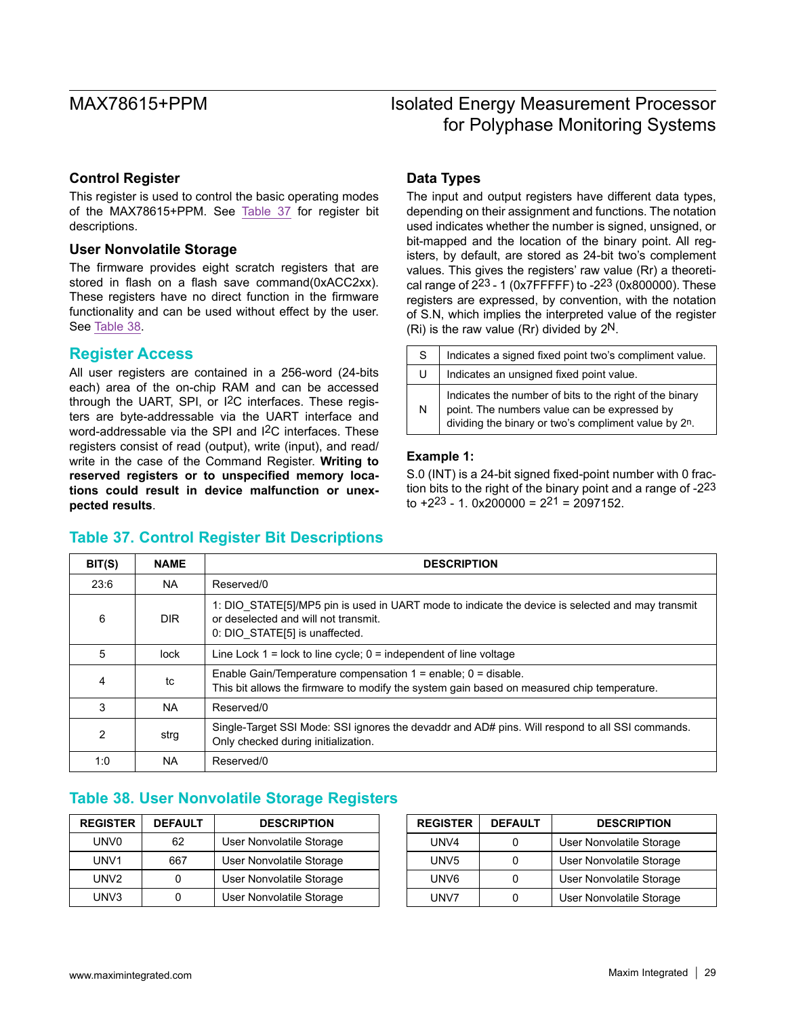### **Control Register**

This register is used to control the basic operating modes of the MAX78615+PPM. See [Table 37](#page-28-0) for register bit descriptions.

### **User Nonvolatile Storage**

The firmware provides eight scratch registers that are stored in flash on a flash save command(0xACC2xx). These registers have no direct function in the firmware functionality and can be used without effect by the user. See [Table 38.](#page-28-1)

## **Register Access**

All user registers are contained in a 256-word (24-bits each) area of the on-chip RAM and can be accessed through the UART, SPI, or I2C interfaces. These registers are byte-addressable via the UART interface and word-addressable via the SPI and I2C interfaces. These registers consist of read (output), write (input), and read/ write in the case of the Command Register. **Writing to reserved registers or to unspecified memory locations could result in device malfunction or unexpected results**.

## <span id="page-28-0"></span>**Table 37. Control Register Bit Descriptions**

### **Data Types**

The input and output registers have different data types, depending on their assignment and functions. The notation used indicates whether the number is signed, unsigned, or bit-mapped and the location of the binary point. All registers, by default, are stored as 24-bit two's complement values. This gives the registers' raw value (Rr) a theoretical range of  $2^{23}$  - 1 (0x7FFFFF) to - $2^{23}$  (0x800000). These registers are expressed, by convention, with the notation of S.N, which implies the interpreted value of the register (Ri) is the raw value (Rr) divided by  $2^N$ .

| S. | Indicates a signed fixed point two's compliment value.                                                                                                                       |
|----|------------------------------------------------------------------------------------------------------------------------------------------------------------------------------|
| U  | Indicates an unsigned fixed point value.                                                                                                                                     |
| N  | Indicates the number of bits to the right of the binary<br>point. The numbers value can be expressed by<br>dividing the binary or two's compliment value by 2 <sup>n</sup> . |

### **Example 1:**

S.0 (INT) is a 24-bit signed fixed-point number with 0 fraction bits to the right of the binary point and a range of -223 to  $+2^{23}$  - 1. 0x200000 = 2<sup>21</sup> = 2097152.

| BIT(S) | <b>NAME</b> | <b>DESCRIPTION</b>                                                                                                                                                         |
|--------|-------------|----------------------------------------------------------------------------------------------------------------------------------------------------------------------------|
| 23.6   | NA.         | Reserved/0                                                                                                                                                                 |
| 6      | DIR.        | 1: DIO STATE[5]/MP5 pin is used in UART mode to indicate the device is selected and may transmit<br>or deselected and will not transmit.<br>0. DIO STATE[5] is unaffected. |
| 5      | lock        | Line Lock $1 =$ lock to line cycle; $0 =$ independent of line voltage                                                                                                      |
| 4      | tc          | Enable Gain/Temperature compensation $1 =$ enable: $0 =$ disable.<br>This bit allows the firmware to modify the system gain based on measured chip temperature.            |
| 3      | NA.         | Reserved/0                                                                                                                                                                 |
| 2      | strg        | Single-Target SSI Mode: SSI ignores the devaddr and AD# pins. Will respond to all SSI commands.<br>Only checked during initialization.                                     |
| 1:0    | <b>NA</b>   | Reserved/0                                                                                                                                                                 |

## <span id="page-28-1"></span>**Table 38. User Nonvolatile Storage Registers**

| <b>REGISTER</b>  | <b>DEFAULT</b> | <b>DESCRIPTION</b>       |
|------------------|----------------|--------------------------|
| UNV <sub>0</sub> | 62             | User Nonvolatile Storage |
| UNV <sub>1</sub> | 667            | User Nonvolatile Storage |
| UNV <sub>2</sub> | ŋ              | User Nonvolatile Storage |
| UNV3             | O              | User Nonvolatile Storage |

| <b>REGISTER</b>  | <b>DEFAULT</b> | <b>DESCRIPTION</b>       |
|------------------|----------------|--------------------------|
| UNV4             |                | User Nonvolatile Storage |
| UNV <sub>5</sub> |                | User Nonvolatile Storage |
| UNV6             |                | User Nonvolatile Storage |
| UNV7             | O              | User Nonvolatile Storage |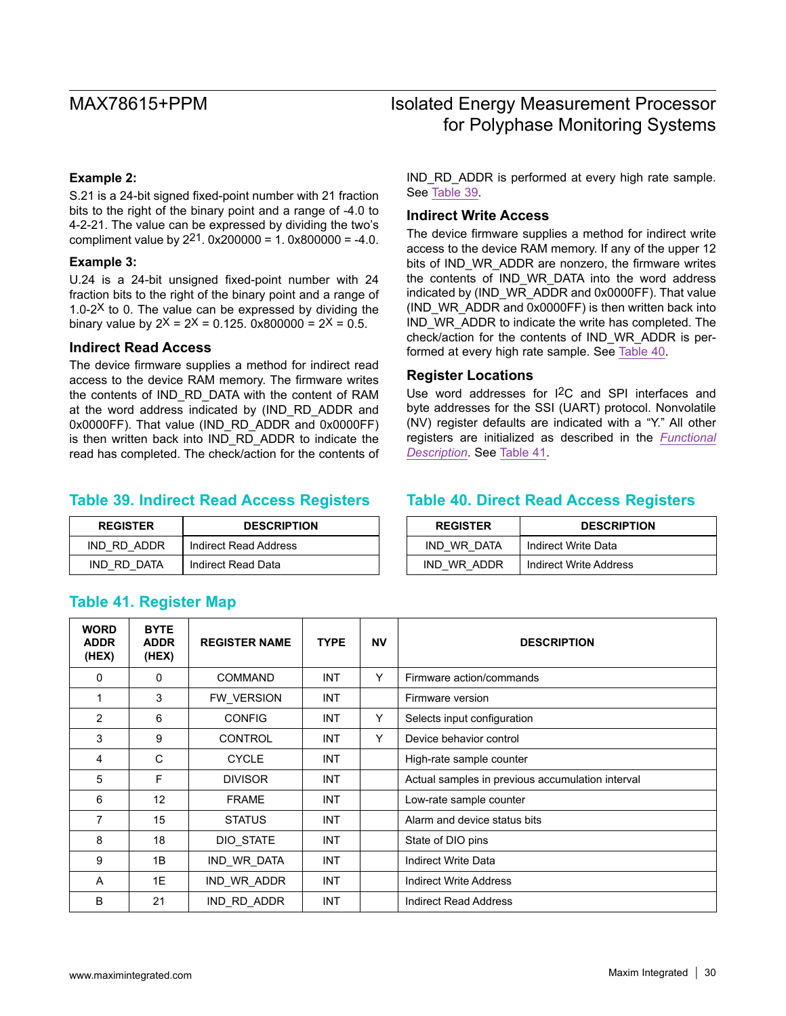# **Example 2:**

S.21 is a 24-bit signed fixed-point number with 21 fraction bits to the right of the binary point and a range of -4.0 to 4-2-21. The value can be expressed by dividing the two's compliment value by  $2^{21}$ . 0x200000 = 1. 0x800000 = -4.0.

### **Example 3:**

U.24 is a 24-bit unsigned fixed-point number with 24 fraction bits to the right of the binary point and a range of 1.0-2 $X$  to 0. The value can be expressed by dividing the binary value by  $2^X = 2^X = 0.125$ . 0x800000 =  $2^X = 0.5$ .

### **Indirect Read Access**

The device firmware supplies a method for indirect read access to the device RAM memory. The firmware writes the contents of IND\_RD\_DATA with the content of RAM at the word address indicated by (IND\_RD\_ADDR and 0x0000FF). That value (IND\_RD\_ADDR and 0x0000FF) is then written back into IND\_RD\_ADDR to indicate the read has completed. The check/action for the contents of

## <span id="page-29-0"></span>**Table 39. Indirect Read Access Registers**

| <b>REGISTER</b> | <b>DESCRIPTION</b>    |
|-----------------|-----------------------|
| IND RD ADDR     | Indirect Read Address |
| IND RD DATA     | Indirect Read Data    |

## <span id="page-29-2"></span>**Table 41. Register Map**

# MAX78615+PPM Isolated Energy Measurement Processor for Polyphase Monitoring Systems

IND\_RD\_ADDR is performed at every high rate sample. See [Table 39.](#page-29-0)

### **Indirect Write Access**

The device firmware supplies a method for indirect write access to the device RAM memory. If any of the upper 12 bits of IND WR ADDR are nonzero, the firmware writes the contents of IND\_WR\_DATA into the word address indicated by (IND\_WR\_ADDR and 0x0000FF). That value (IND\_WR\_ADDR and 0x0000FF) is then written back into IND\_WR\_ADDR to indicate the write has completed. The check/action for the contents of IND\_WR\_ADDR is performed at every high rate sample. See [Table 40](#page-29-1).

### **Register Locations**

Use word addresses for I2C and SPI interfaces and byte addresses for the SSI (UART) protocol. Nonvolatile (NV) register defaults are indicated with a "Y." All other registers are initialized as described in the *[Functional](#page-9-0)  [Description](#page-9-0)*. See [Table 41.](#page-29-2)

## <span id="page-29-1"></span>**Table 40. Direct Read Access Registers**

| <b>REGISTER</b> | <b>DESCRIPTION</b>     |
|-----------------|------------------------|
| IND WR DATA     | Indirect Write Data    |
| IND WR ADDR     | Indirect Write Address |

| <b>WORD</b><br><b>ADDR</b><br>(HEX) | <b>BYTE</b><br><b>ADDR</b><br>(HEX) | <b>REGISTER NAME</b> | <b>TYPE</b> | <b>NV</b> | <b>DESCRIPTION</b>                               |
|-------------------------------------|-------------------------------------|----------------------|-------------|-----------|--------------------------------------------------|
| $\Omega$                            | 0                                   | <b>COMMAND</b>       | <b>INT</b>  | Y         | Firmware action/commands                         |
|                                     | 3                                   | FW VERSION           | <b>INT</b>  |           | Firmware version                                 |
| 2                                   | 6                                   | <b>CONFIG</b>        | <b>INT</b>  | Y         | Selects input configuration                      |
| 3                                   | 9                                   | <b>CONTROL</b>       | <b>INT</b>  | Y         | Device behavior control                          |
| 4                                   | C                                   | <b>CYCLE</b>         | <b>INT</b>  |           | High-rate sample counter                         |
| 5                                   | F                                   | <b>DIVISOR</b>       | <b>INT</b>  |           | Actual samples in previous accumulation interval |
| 6                                   | 12                                  | <b>FRAME</b>         | <b>INT</b>  |           | Low-rate sample counter                          |
| 7                                   | 15                                  | <b>STATUS</b>        | <b>INT</b>  |           | Alarm and device status bits                     |
| 8                                   | 18                                  | DIO STATE            | <b>INT</b>  |           | State of DIO pins                                |
| 9                                   | 1B                                  | IND WR DATA          | <b>INT</b>  |           | Indirect Write Data                              |
| A                                   | 1E                                  | IND WR ADDR          | <b>INT</b>  |           | <b>Indirect Write Address</b>                    |
| B                                   | 21                                  | IND_RD_ADDR          | <b>INT</b>  |           | <b>Indirect Read Address</b>                     |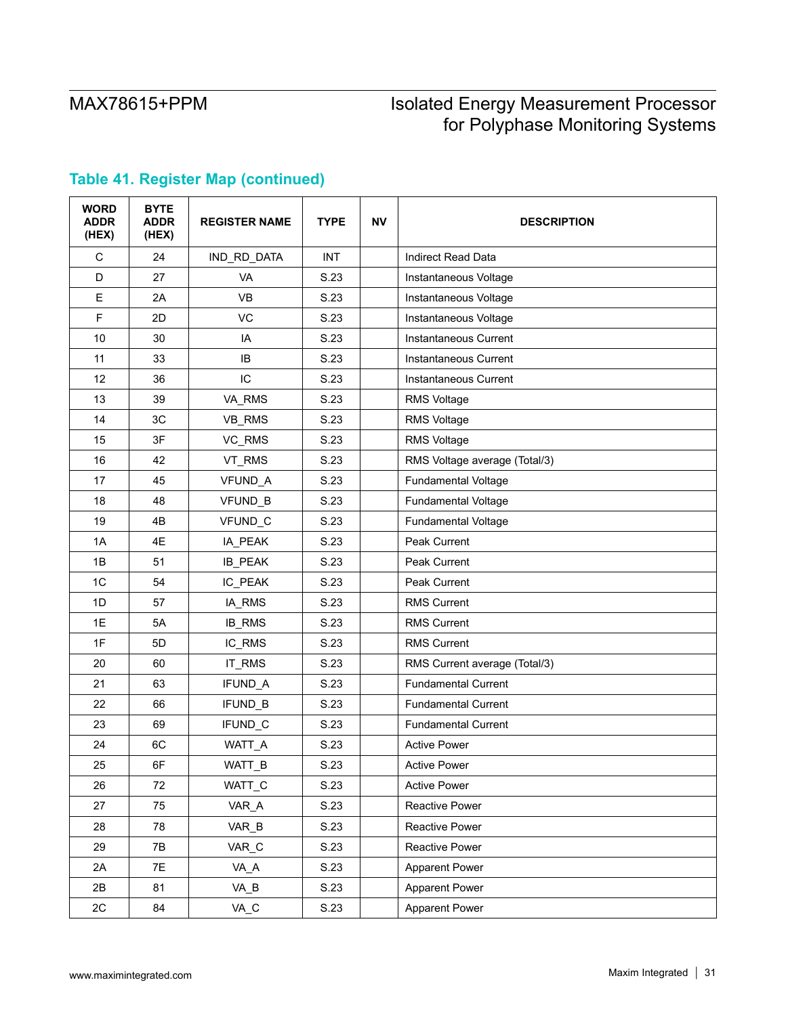## **WORD ADDR (HEX) BYTE ADDR (HEX) REGISTER NAME TYPE NV DESCRIPTION** C | 24 | IND\_RD\_DATA | INT | | Indirect Read Data D 27 | VA | S.23 | Instantaneous Voltage E 2A | VB | S.23 | Instantaneous Voltage F | 2D | VC | S.23 | | Instantaneous Voltage 10 | 30 | IA | S.23 | | Instantaneous Current 11 | 33 | IB | S.23 | Instantaneous Current 12 36 IC S.23 Instantaneous Current 13 39 VA\_RMS S.23 RMS Voltage 14 3C | VB\_RMS | S.23 | RMS Voltage 15 | 3F | VC\_RMS | S.23 | | RMS Voltage 16 | 42 | VT\_RMS | S.23 | RMS Voltage average (Total/3) 17 | 45 | VFUND A | S.23 | Fundamental Voltage 18 | 48 | VFUND\_B | S.23 | | Fundamental Voltage 19 4B VFUND C S.23 Fundamental Voltage 1A | 4E | IA PEAK | S.23 | | Peak Current 1B | 51 | IB PEAK | S.23 | Peak Current 1C | 54 | IC\_PEAK | S.23 | Peak Current 1D | 57 | IA\_RMS | S.23 | RMS Current 1E | 5A | IB\_RMS | S.23 | RMS Current 1F | 5D | IC\_RMS | S.23 | | RMS Current 20 60 | IT\_RMS | S.23 | RMS Current average (Total/3) 21 63 | IFUND A | S.23 | Fundamental Current 22 66 | IFUND B | S.23 | Fundamental Current 23 69 | IFUND C | S.23 | Fundamental Current 24 6C WATT\_A S.23 Active Power 25 6F WATT\_B S.23 Active Power 26 72 WATT C S.23 Active Power 27 | 75 | VAR A | S.23 | Reactive Power 28 78 VAR B S.23 Reactive Power 29 | 7B | VAR C | S.23 | Reactive Power 2A | 7E | VA\_A | S.23 | | Apparent Power 2B 81 VA\_B S.23 Apparent Power 2C | 84 | VA\_C | S.23 | Apparent Power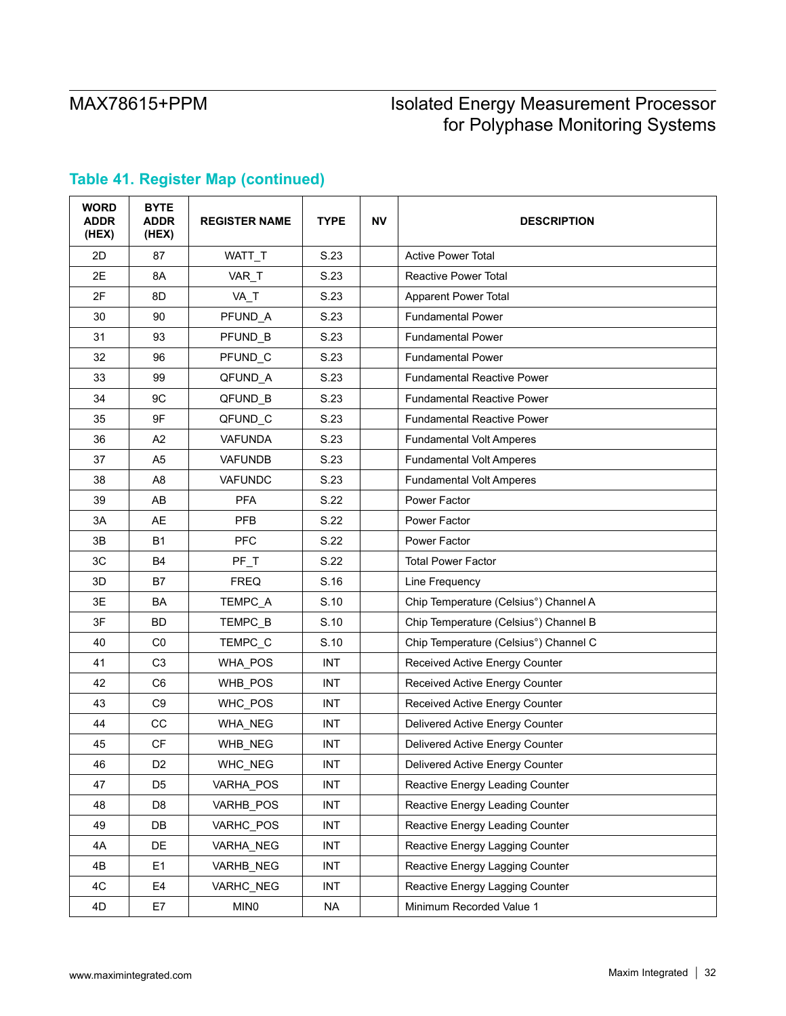## **WORD ADDR (HEX) BYTE ADDR (HEX) REGISTER NAME TYPE NV DESCRIPTION** 2D 87 | WATT T | S.23 | Active Power Total 2E 8A VAR\_T S.23 Reactive Power Total 2F | 8D | VA\_T | S.23 | | Apparent Power Total 30 90 | PFUND\_A | S.23 | Fundamental Power 31 93 PFUND B S.23 Fundamental Power 32 96 PFUND C S.23 Fundamental Power 33 99 | QFUND\_A | S.23 | | Fundamental Reactive Power 34 | 9C | QFUND B | S.23 | Fundamental Reactive Power 35 9F | QFUND C | S.23 | Fundamental Reactive Power 36 | A2 | VAFUNDA | S.23 | | Fundamental Volt Amperes 37 | A5 | VAFUNDB | S.23 | | Fundamental Volt Amperes 38 | A8 | VAFUNDC | S.23 | | Fundamental Volt Amperes 39 | AB | PFA | S.22 | Power Factor 3A | AE | PFB | S.22 | Power Factor 3B B1 PFC S.22 Power Factor 3C | B4 | PFT | S.22 | Total Power Factor 3D | B7 | FREQ | S.16 | Line Frequency 3E | BA | TEMPC\_A | S.10 | Chip Temperature (Celsius<sup>°</sup>) Channel A 3F BD TEMPC B S.10 Chip Temperature (Celsius<sup>°</sup>) Channel B 40 | C0 | TEMPC\_C | S.10 | Chip Temperature (Celsius<sup>°</sup>) Channel C 41 | C3 | WHA\_POS | INT | Received Active Energy Counter 42 | C6 | WHB\_POS | INT | Received Active Energy Counter 43 | C9 | WHC\_POS | INT | Received Active Energy Counter 44 | CC | WHA\_NEG | INT | Delivered Active Energy Counter 45 CF WHB NEG INT Delivered Active Energy Counter 46 | D2 | WHC\_NEG | INT | Delivered Active Energy Counter 47 | D5 | VARHA\_POS | INT | | Reactive Energy Leading Counter 48 | D8 | VARHB\_POS | INT | Reactive Energy Leading Counter 49 | DB | VARHC\_POS | INT | Reactive Energy Leading Counter 4A DE | VARHA\_NEG | INT | Reactive Energy Lagging Counter 4B | E1 | VARHB\_NEG | INT | Reactive Energy Lagging Counter 4C | E4 | VARHC\_NEG | INT | Reactive Energy Lagging Counter 4D | E7 | MIN0 | NA | Minimum Recorded Value 1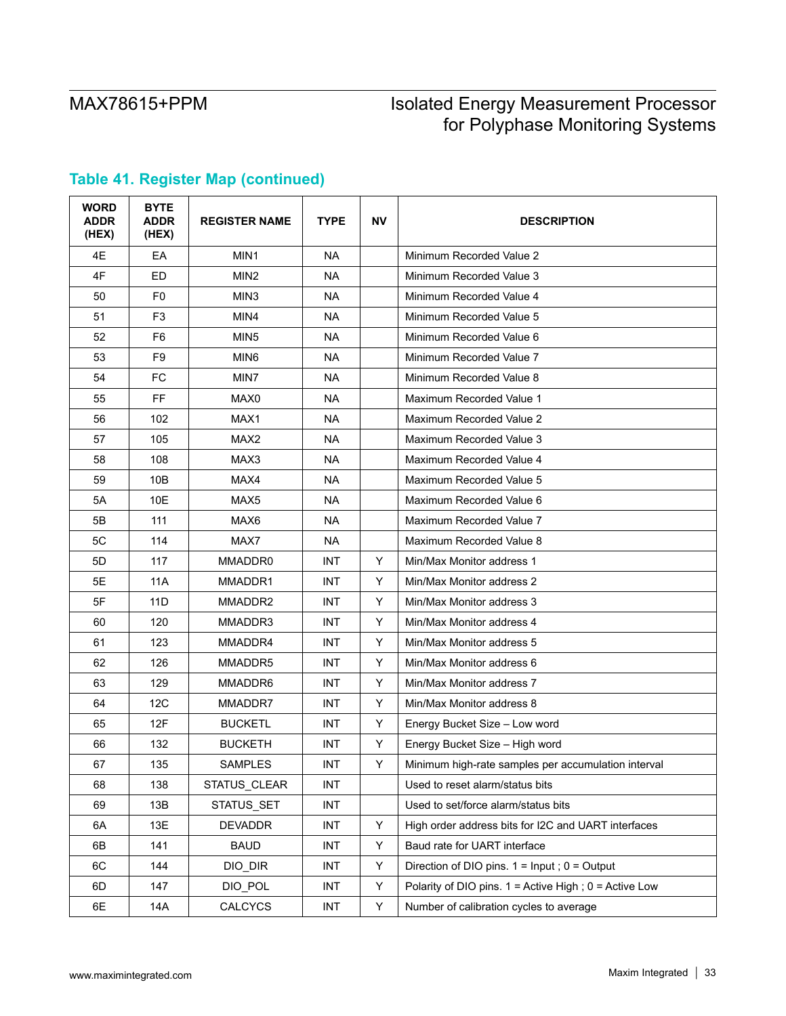| <b>WORD</b><br><b>ADDR</b><br>(HEX) | <b>BYTE</b><br><b>ADDR</b><br>(HEX) | <b>REGISTER NAME</b> | <b>TYPE</b> | <b>NV</b> | <b>DESCRIPTION</b>                                        |
|-------------------------------------|-------------------------------------|----------------------|-------------|-----------|-----------------------------------------------------------|
| 4E                                  | EA                                  | MIN1                 | <b>NA</b>   |           | Minimum Recorded Value 2                                  |
| 4F                                  | ED                                  | MIN <sub>2</sub>     | <b>NA</b>   |           | Minimum Recorded Value 3                                  |
| 50                                  | F <sub>0</sub>                      | MIN <sub>3</sub>     | ΝA          |           | Minimum Recorded Value 4                                  |
| 51                                  | F <sub>3</sub>                      | MIN4                 | <b>NA</b>   |           | Minimum Recorded Value 5                                  |
| 52                                  | F6                                  | MIN <sub>5</sub>     | NA          |           | Minimum Recorded Value 6                                  |
| 53                                  | F <sub>9</sub>                      | MIN6                 | <b>NA</b>   |           | Minimum Recorded Value 7                                  |
| 54                                  | FC                                  | MIN7                 | NA          |           | Minimum Recorded Value 8                                  |
| 55                                  | FF                                  | MAX0                 | <b>NA</b>   |           | Maximum Recorded Value 1                                  |
| 56                                  | 102                                 | MAX1                 | <b>NA</b>   |           | Maximum Recorded Value 2                                  |
| 57                                  | 105                                 | MAX <sub>2</sub>     | ΝA          |           | Maximum Recorded Value 3                                  |
| 58                                  | 108                                 | MAX3                 | <b>NA</b>   |           | Maximum Recorded Value 4                                  |
| 59                                  | 10B                                 | MAX4                 | ΝA          |           | Maximum Recorded Value 5                                  |
| 5A                                  | 10E                                 | MAX <sub>5</sub>     | ΝA          |           | Maximum Recorded Value 6                                  |
| 5B                                  | 111                                 | MAX6                 | <b>NA</b>   |           | Maximum Recorded Value 7                                  |
| 5C                                  | 114                                 | MAX7                 | <b>NA</b>   |           | Maximum Recorded Value 8                                  |
| 5D                                  | 117                                 | MMADDR0              | <b>INT</b>  | Y         | Min/Max Monitor address 1                                 |
| 5E                                  | 11A                                 | MMADDR1              | INT         | Y         | Min/Max Monitor address 2                                 |
| 5F                                  | 11 <sub>D</sub>                     | MMADDR2              | <b>INT</b>  | Y         | Min/Max Monitor address 3                                 |
| 60                                  | 120                                 | MMADDR3              | INT         | Y         | Min/Max Monitor address 4                                 |
| 61                                  | 123                                 | MMADDR4              | <b>INT</b>  | Y         | Min/Max Monitor address 5                                 |
| 62                                  | 126                                 | MMADDR5              | INT         | Y         | Min/Max Monitor address 6                                 |
| 63                                  | 129                                 | MMADDR6              | <b>INT</b>  | Y         | Min/Max Monitor address 7                                 |
| 64                                  | 12C                                 | MMADDR7              | INT         | Y         | Min/Max Monitor address 8                                 |
| 65                                  | 12F                                 | <b>BUCKETL</b>       | <b>INT</b>  | Υ         | Energy Bucket Size - Low word                             |
| 66                                  | 132                                 | <b>BUCKETH</b>       | INT         | Y         | Energy Bucket Size - High word                            |
| 67                                  | 135                                 | <b>SAMPLES</b>       | <b>INT</b>  | Y         | Minimum high-rate samples per accumulation interval       |
| 68                                  | 138                                 | STATUS_CLEAR         | INT         |           | Used to reset alarm/status bits                           |
| 69                                  | 13B                                 | STATUS_SET           | INT         |           | Used to set/force alarm/status bits                       |
| 6A                                  | 13E                                 | <b>DEVADDR</b>       | INT         | Y         | High order address bits for I2C and UART interfaces       |
| 6B                                  | 141                                 | <b>BAUD</b>          | INT         | Υ         | Baud rate for UART interface                              |
| 6C                                  | 144                                 | DIO_DIR              | <b>INT</b>  | Υ         | Direction of DIO pins. $1 =$ Input; $0 =$ Output          |
| 6D                                  | 147                                 | DIO_POL              | INT         | Υ         | Polarity of DIO pins. $1 =$ Active High; $0 =$ Active Low |
| 6E                                  | 14A                                 | CALCYCS              | INT         | Υ         | Number of calibration cycles to average                   |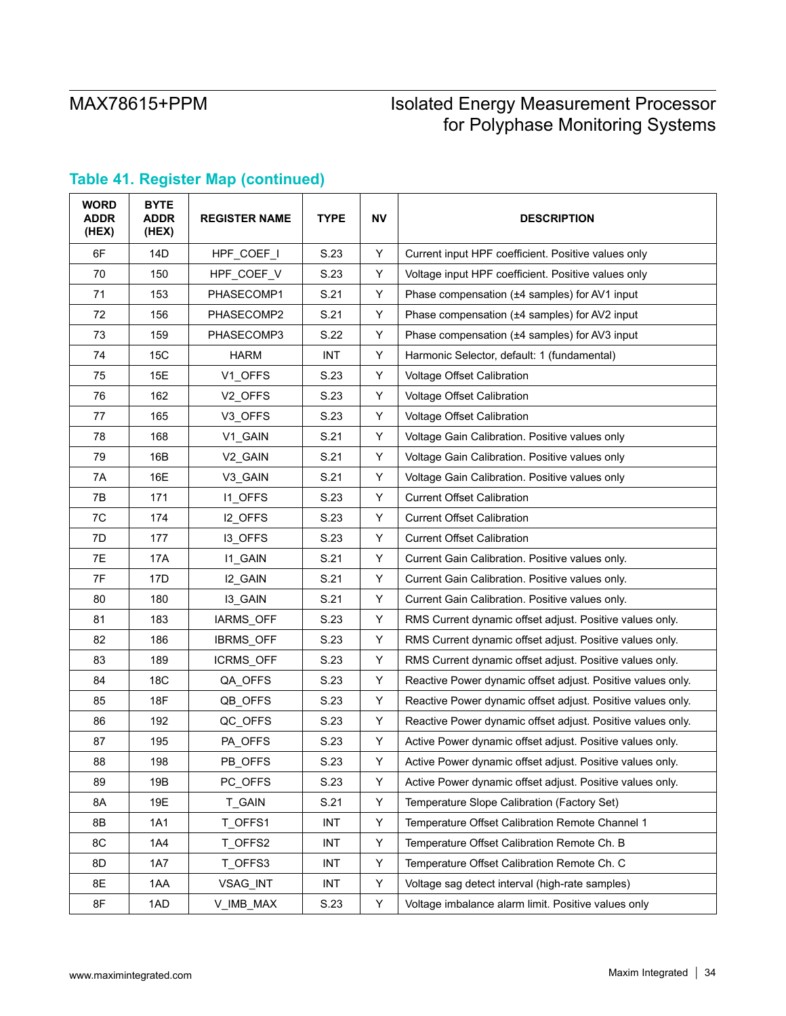| <b>WORD</b><br><b>ADDR</b><br>(HEX) | <b>BYTE</b><br><b>ADDR</b><br>(HEX) | <b>REGISTER NAME</b> | <b>TYPE</b> | <b>NV</b> | <b>DESCRIPTION</b>                                          |
|-------------------------------------|-------------------------------------|----------------------|-------------|-----------|-------------------------------------------------------------|
| 6F                                  | 14D                                 | HPF_COEF_I           | S.23        | Y         | Current input HPF coefficient. Positive values only         |
| 70                                  | 150                                 | HPF_COEF_V           | S.23        | Υ         | Voltage input HPF coefficient. Positive values only         |
| 71                                  | 153                                 | PHASECOMP1           | S.21        | Υ         | Phase compensation (±4 samples) for AV1 input               |
| 72                                  | 156                                 | PHASECOMP2           | S.21        | Υ         | Phase compensation (±4 samples) for AV2 input               |
| 73                                  | 159                                 | PHASECOMP3           | S.22        | Υ         | Phase compensation (±4 samples) for AV3 input               |
| 74                                  | 15C                                 | <b>HARM</b>          | <b>INT</b>  | Υ         | Harmonic Selector, default: 1 (fundamental)                 |
| 75                                  | 15E                                 | V1_OFFS              | S.23        | Y         | Voltage Offset Calibration                                  |
| 76                                  | 162                                 | V <sub>2_OFFS</sub>  | S.23        | Υ         | Voltage Offset Calibration                                  |
| 77                                  | 165                                 | V3_OFFS              | S.23        | Υ         | Voltage Offset Calibration                                  |
| 78                                  | 168                                 | V1_GAIN              | S.21        | Y         | Voltage Gain Calibration. Positive values only              |
| 79                                  | 16B                                 | V <sub>2_</sub> GAIN | S.21        | Υ         | Voltage Gain Calibration. Positive values only              |
| 7A                                  | 16E                                 | V3_GAIN              | S.21        | Υ         | Voltage Gain Calibration. Positive values only              |
| 7B                                  | 171                                 | I1_OFFS              | S.23        | Υ         | <b>Current Offset Calibration</b>                           |
| 7C                                  | 174                                 | I2_OFFS              | S.23        | Υ         | <b>Current Offset Calibration</b>                           |
| 7D                                  | 177                                 | <b>I3_OFFS</b>       | S.23        | Υ         | <b>Current Offset Calibration</b>                           |
| 7E                                  | 17A                                 | I1_GAIN              | S.21        | Y         | Current Gain Calibration. Positive values only.             |
| 7F                                  | 17D                                 | I2_GAIN              | S.21        | Y         | Current Gain Calibration. Positive values only.             |
| 80                                  | 180                                 | I3_GAIN              | S.21        | Υ         | Current Gain Calibration. Positive values only.             |
| 81                                  | 183                                 | IARMS_OFF            | S.23        | Y         | RMS Current dynamic offset adjust. Positive values only.    |
| 82                                  | 186                                 | IBRMS_OFF            | S.23        | Υ         | RMS Current dynamic offset adjust. Positive values only.    |
| 83                                  | 189                                 | ICRMS_OFF            | S.23        | Y         | RMS Current dynamic offset adjust. Positive values only.    |
| 84                                  | 18C                                 | QA_OFFS              | S.23        | Υ         | Reactive Power dynamic offset adjust. Positive values only. |
| 85                                  | <b>18F</b>                          | QB_OFFS              | S.23        | Υ         | Reactive Power dynamic offset adjust. Positive values only. |
| 86                                  | 192                                 | QC_OFFS              | S.23        | Υ         | Reactive Power dynamic offset adjust. Positive values only. |
| 87                                  | 195                                 | PA_OFFS              | S.23        | Υ         | Active Power dynamic offset adjust. Positive values only.   |
| 88                                  | 198                                 | PB OFFS              | S.23        | Υ         | Active Power dynamic offset adjust. Positive values only.   |
| 89                                  | 19B                                 | PC_OFFS              | S.23        | Y         | Active Power dynamic offset adjust. Positive values only.   |
| 8A                                  | 19E                                 | T_GAIN               | S.21        | Υ         | Temperature Slope Calibration (Factory Set)                 |
| 8B                                  | 1A1                                 | T_OFFS1              | <b>INT</b>  | Υ         | Temperature Offset Calibration Remote Channel 1             |
| 8C                                  | 1A4                                 | T_OFFS2              | INT         | Υ         | Temperature Offset Calibration Remote Ch. B                 |
| 8D                                  | 1A7                                 | T_OFFS3              | INT         | Υ         | Temperature Offset Calibration Remote Ch. C                 |
| 8E                                  | 1AA                                 | VSAG_INT             | INT         | Υ         | Voltage sag detect interval (high-rate samples)             |
| 8F                                  | 1AD                                 | V_IMB_MAX            | S.23        | Y         | Voltage imbalance alarm limit. Positive values only         |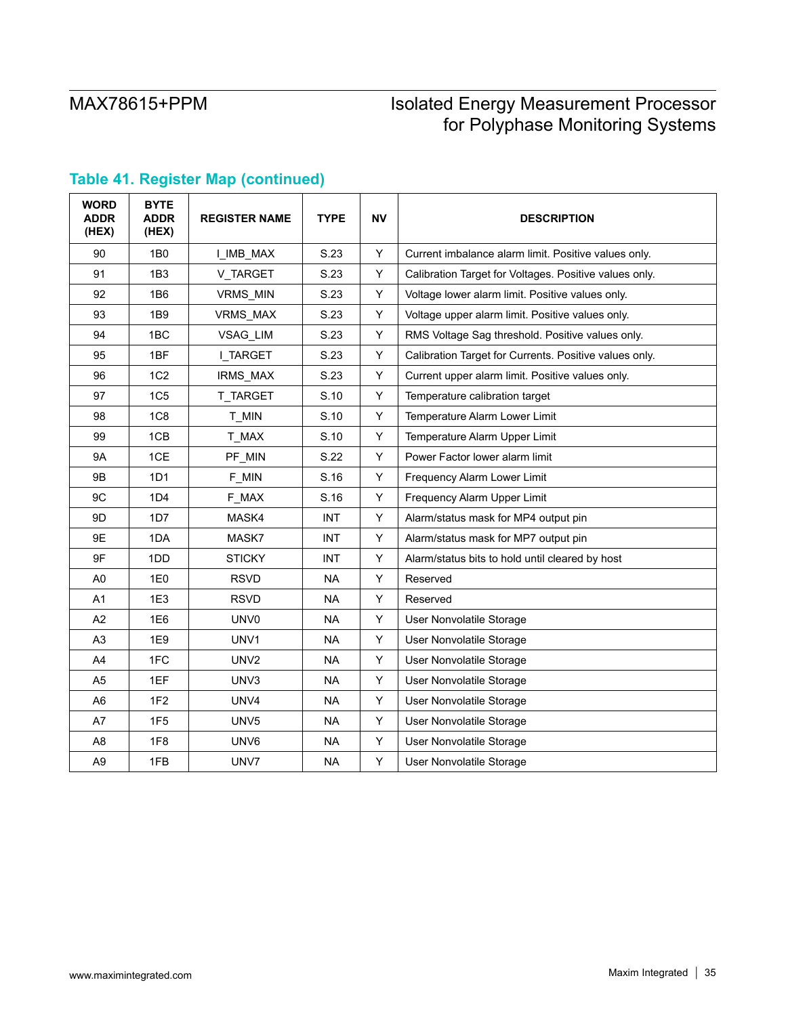| <b>WORD</b><br><b>ADDR</b><br>(HEX) | <b>BYTE</b><br><b>ADDR</b><br>(HEX) | <b>REGISTER NAME</b> | <b>TYPE</b> | <b>NV</b> | <b>DESCRIPTION</b>                                     |
|-------------------------------------|-------------------------------------|----------------------|-------------|-----------|--------------------------------------------------------|
| 90                                  | 1B0                                 | I_IMB_MAX            | S.23        | Y         | Current imbalance alarm limit. Positive values only.   |
| 91                                  | 1B <sub>3</sub>                     | V_TARGET             | S.23        | Y         | Calibration Target for Voltages. Positive values only. |
| 92                                  | 1B6                                 | VRMS_MIN             | S.23        | Y         | Voltage lower alarm limit. Positive values only.       |
| 93                                  | 1 <sub>B9</sub>                     | VRMS_MAX             | S.23        | Y         | Voltage upper alarm limit. Positive values only.       |
| 94                                  | 1BC                                 | VSAG_LIM             | S.23        | Y         | RMS Voltage Sag threshold. Positive values only.       |
| 95                                  | 1BF                                 | I TARGET             | S.23        | Y         | Calibration Target for Currents. Positive values only. |
| 96                                  | 1C <sub>2</sub>                     | IRMS_MAX             | S.23        | Y         | Current upper alarm limit. Positive values only.       |
| 97                                  | 1C <sub>5</sub>                     | T_TARGET             | S.10        | Y         | Temperature calibration target                         |
| 98                                  | 1C8                                 | T_MIN                | S.10        | Y         | Temperature Alarm Lower Limit                          |
| 99                                  | 1CB                                 | T MAX                | S.10        | Y         | Temperature Alarm Upper Limit                          |
| <b>9A</b>                           | 1CE                                 | PF_MIN               | S.22        | Y         | Power Factor lower alarm limit                         |
| <b>9B</b>                           | 1D1                                 | F_MIN                | S.16        | Y         | Frequency Alarm Lower Limit                            |
| 9C                                  | 1D4                                 | F_MAX                | S.16        | Y         | Frequency Alarm Upper Limit                            |
| 9D                                  | 1D7                                 | MASK4                | <b>INT</b>  | Y         | Alarm/status mask for MP4 output pin                   |
| 9E                                  | 1DA                                 | MASK7                | <b>INT</b>  | Y         | Alarm/status mask for MP7 output pin                   |
| 9F                                  | 1DD                                 | <b>STICKY</b>        | <b>INT</b>  | Y         | Alarm/status bits to hold until cleared by host        |
| A <sub>0</sub>                      | <b>1E0</b>                          | <b>RSVD</b>          | <b>NA</b>   | Y         | Reserved                                               |
| A1                                  | 1E3                                 | <b>RSVD</b>          | <b>NA</b>   | Υ         | Reserved                                               |
| A2                                  | 1E6                                 | UNV <sub>0</sub>     | <b>NA</b>   | Y         | User Nonvolatile Storage                               |
| A <sub>3</sub>                      | 1E9                                 | UNV1                 | <b>NA</b>   | Y         | User Nonvolatile Storage                               |
| A4                                  | 1FC                                 | UNV <sub>2</sub>     | <b>NA</b>   | Y         | User Nonvolatile Storage                               |
| A <sub>5</sub>                      | 1EF                                 | UNV3                 | <b>NA</b>   | Y         | User Nonvolatile Storage                               |
| A <sub>6</sub>                      | 1F <sub>2</sub>                     | UNV4                 | <b>NA</b>   | Υ         | User Nonvolatile Storage                               |
| A7                                  | 1F5                                 | UNV <sub>5</sub>     | <b>NA</b>   | Y         | User Nonvolatile Storage                               |
| A <sub>8</sub>                      | 1F <sub>8</sub>                     | UNV6                 | <b>NA</b>   | Y         | User Nonvolatile Storage                               |
| A <sub>9</sub>                      | 1FB                                 | UNV7                 | <b>NA</b>   | Y         | User Nonvolatile Storage                               |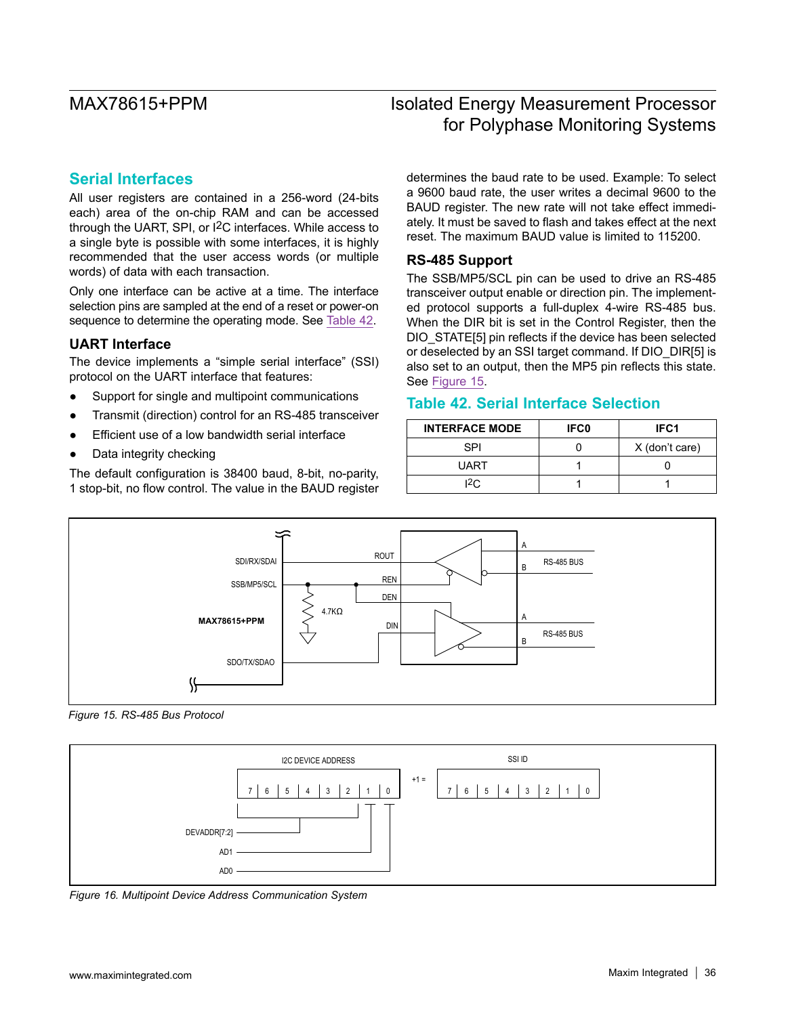## **Serial Interfaces**

All user registers are contained in a 256-word (24-bits each) area of the on-chip RAM and can be accessed through the UART, SPI, or I2C interfaces. While access to a single byte is possible with some interfaces, it is highly recommended that the user access words (or multiple words) of data with each transaction.

Only one interface can be active at a time. The interface selection pins are sampled at the end of a reset or power-on sequence to determine the operating mode. See [Table 42.](#page-35-0)

### **UART Interface**

The device implements a "simple serial interface" (SSI) protocol on the UART interface that features:

- Support for single and multipoint communications
- Transmit (direction) control for an RS-485 transceiver
- Efficient use of a low bandwidth serial interface
- Data integrity checking

The default configuration is 38400 baud, 8-bit, no-parity, 1 stop-bit, no flow control. The value in the BAUD register determines the baud rate to be used. Example: To select a 9600 baud rate, the user writes a decimal 9600 to the BAUD register. The new rate will not take effect immediately. It must be saved to flash and takes effect at the next reset. The maximum BAUD value is limited to 115200.

### **RS-485 Support**

The SSB/MP5/SCL pin can be used to drive an RS-485 transceiver output enable or direction pin. The implemented protocol supports a full-duplex 4-wire RS-485 bus. When the DIR bit is set in the Control Register, then the DIO\_STATE[5] pin reflects if the device has been selected or deselected by an SSI target command. If DIO\_DIR[5] is also set to an output, then the MP5 pin reflects this state. See [Figure 15](#page-35-1).

### <span id="page-35-0"></span>**Table 42. Serial Interface Selection**

| <b>INTERFACE MODE</b> | <b>IFC0</b> | IFC <sub>1</sub> |
|-----------------------|-------------|------------------|
| <b>SPI</b>            |             | X (don't care)   |
| <b>UART</b>           |             |                  |
| 12C                   |             |                  |

<span id="page-35-1"></span>

*Figure 15. RS-485 Bus Protocol*

<span id="page-35-2"></span>

*Figure 16. Multipoint Device Address Communication System*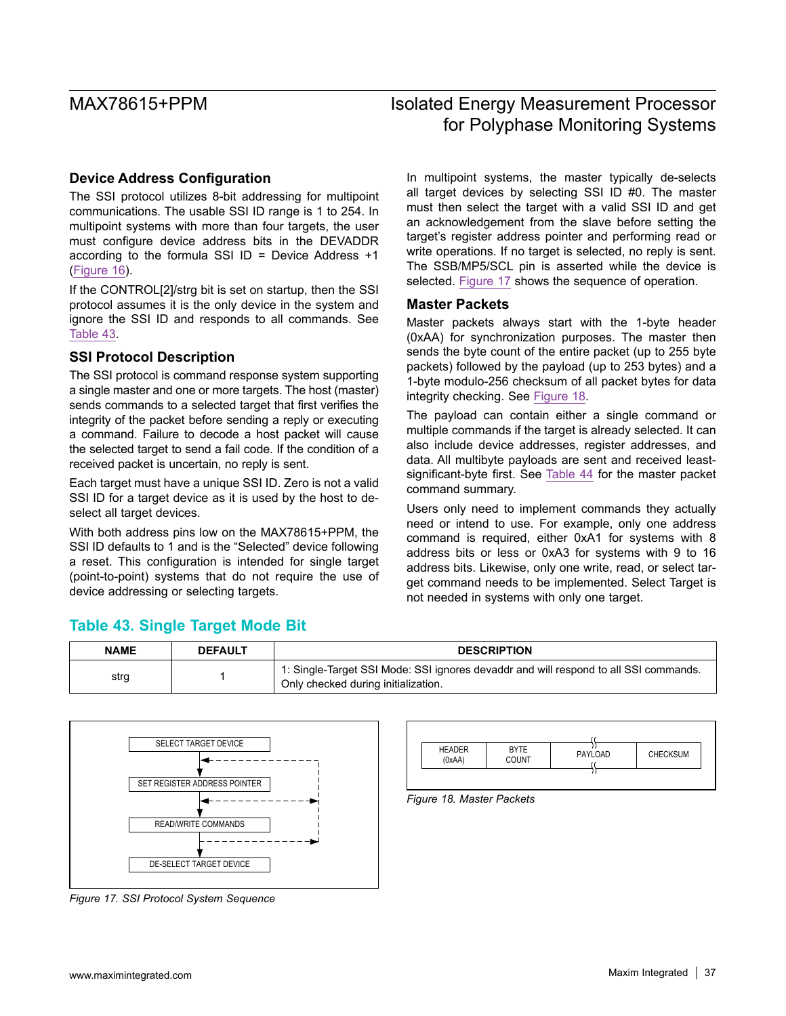### **Device Address Configuration**

The SSI protocol utilizes 8-bit addressing for multipoint communications. The usable SSI ID range is 1 to 254. In multipoint systems with more than four targets, the user must configure device address bits in the DEVADDR according to the formula SSI  $ID = Device$  Address  $+1$ [\(Figure 16\)](#page-35-2).

If the CONTROL[2]/strg bit is set on startup, then the SSI protocol assumes it is the only device in the system and ignore the SSI ID and responds to all commands. See [Table 43](#page-36-0).

### **SSI Protocol Description**

The SSI protocol is command response system supporting a single master and one or more targets. The host (master) sends commands to a selected target that first verifies the integrity of the packet before sending a reply or executing a command. Failure to decode a host packet will cause the selected target to send a fail code. If the condition of a received packet is uncertain, no reply is sent.

Each target must have a unique SSI ID. Zero is not a valid SSI ID for a target device as it is used by the host to deselect all target devices.

With both address pins low on the MAX78615+PPM, the SSI ID defaults to 1 and is the "Selected" device following a reset. This configuration is intended for single target (point-to-point) systems that do not require the use of device addressing or selecting targets.

# MAX78615+PPM Isolated Energy Measurement Processor for Polyphase Monitoring Systems

In multipoint systems, the master typically de-selects all target devices by selecting SSI ID #0. The master must then select the target with a valid SSI ID and get an acknowledgement from the slave before setting the target's register address pointer and performing read or write operations. If no target is selected, no reply is sent. The SSB/MP5/SCL pin is asserted while the device is selected. [Figure 17](#page-36-1) shows the sequence of operation.

### **Master Packets**

Master packets always start with the 1-byte header (0xAA) for synchronization purposes. The master then sends the byte count of the entire packet (up to 255 byte packets) followed by the payload (up to 253 bytes) and a 1-byte modulo-256 checksum of all packet bytes for data integrity checking. See [Figure 18](#page-36-2).

The payload can contain either a single command or multiple commands if the target is already selected. It can also include device addresses, register addresses, and data. All multibyte payloads are sent and received leastsignificant-byte first. See [Table 44](#page-37-0) for the master packet command summary.

Users only need to implement commands they actually need or intend to use. For example, only one address command is required, either 0xA1 for systems with 8 address bits or less or 0xA3 for systems with 9 to 16 address bits. Likewise, only one write, read, or select target command needs to be implemented. Select Target is not needed in systems with only one target.

## <span id="page-36-0"></span>**Table 43. Single Target Mode Bit**

| <b>NAME</b> | <b>DEFAULT</b> | <b>DESCRIPTION</b>                                                                                                          |
|-------------|----------------|-----------------------------------------------------------------------------------------------------------------------------|
| strg        |                | 1: Single-Target SSI Mode: SSI ignores devaddr and will respond to all SSI commands.<br>Only checked during initialization. |

<span id="page-36-1"></span>

*Figure 17. SSI Protocol System Sequence*

<span id="page-36-2"></span>

*Figure 18. Master Packets*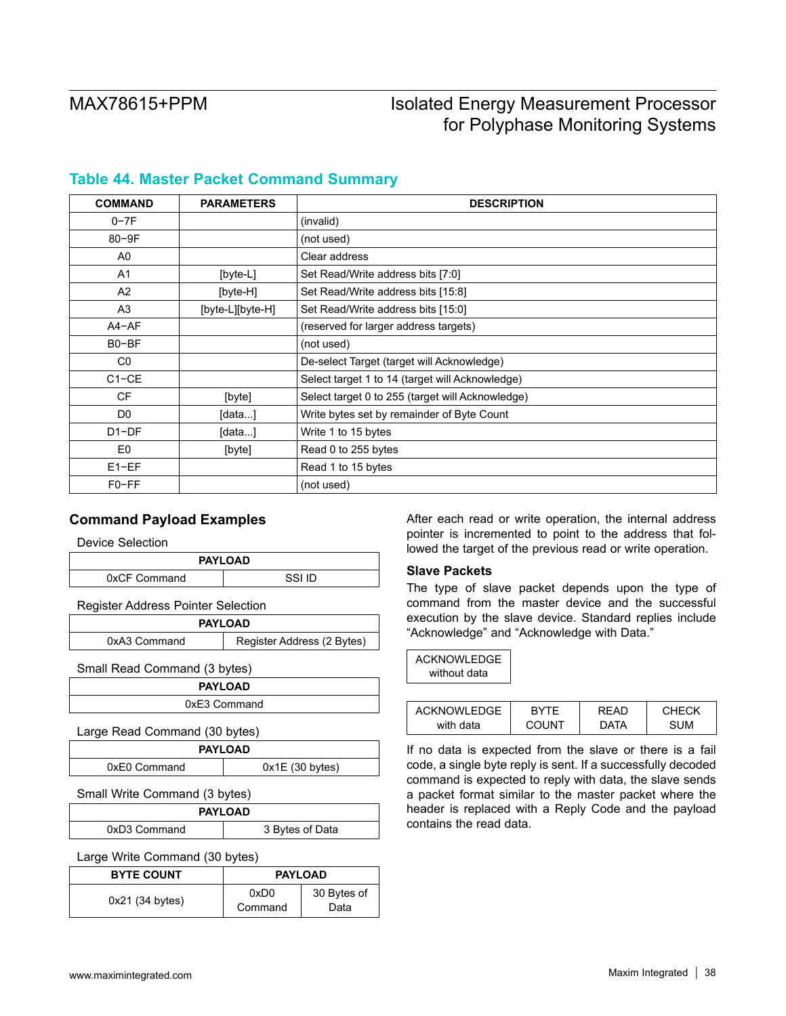| <b>COMMAND</b> | <b>PARAMETERS</b> | <b>DESCRIPTION</b>                               |
|----------------|-------------------|--------------------------------------------------|
| $0-7F$         |                   | (invalid)                                        |
| 80-9F          |                   | (not used)                                       |
| A0             |                   | Clear address                                    |
| A <sub>1</sub> | [byte-L]          | Set Read/Write address bits [7:0]                |
| A2             | [byte-H]          | Set Read/Write address bits [15:8]               |
| A <sub>3</sub> | [byte-L][byte-H]  | Set Read/Write address bits [15:0]               |
| $A4 - AF$      |                   | (reserved for larger address targets)            |
| B0-BF          |                   | (not used)                                       |
| C <sub>0</sub> |                   | De-select Target (target will Acknowledge)       |
| $C1-CE$        |                   | Select target 1 to 14 (target will Acknowledge)  |
| <b>CF</b>      | [byte]            | Select target 0 to 255 (target will Acknowledge) |
| D <sub>0</sub> | [data]            | Write bytes set by remainder of Byte Count       |
| $D1-DF$        | [data]            | Write 1 to 15 bytes                              |
| E <sub>0</sub> | [byte]            | Read 0 to 255 bytes                              |
| $E1-EF$        |                   | Read 1 to 15 bytes                               |
| $F0-FF$        |                   | (not used)                                       |

## <span id="page-37-0"></span>**Table 44. Master Packet Command Summary**

#### Device Selection

| <b>PAYLOAD</b> |        |  |
|----------------|--------|--|
| 0xCF Command   | SSL ID |  |

Register Address Pointer Selection

| <b>PAYLOAD</b>                             |  |  |  |  |
|--------------------------------------------|--|--|--|--|
| Register Address (2 Bytes)<br>0xA3 Command |  |  |  |  |

Small Read Command (3 bytes)

| <b>PAYLOAD</b> |  |
|----------------|--|
| 0xE3 Command   |  |

Large Read Command (30 bytes)

| <b>PAYLOAD</b> |                |  |  |  |
|----------------|----------------|--|--|--|
| 0xE0 Command   | 0x1E(30 bytes) |  |  |  |

Small Write Command (3 bytes)

| <b>PAYLOAD</b> |                 |  |  |  |  |
|----------------|-----------------|--|--|--|--|
| 0xD3 Command   | 3 Bytes of Data |  |  |  |  |

#### Large Write Command (30 bytes)

| <b>BYTE COUNT</b> | <b>PAYLOAD</b> |             |  |
|-------------------|----------------|-------------|--|
| $0x21$ (34 bytes) | 0xD0           | 30 Bytes of |  |
|                   | Command        | Data        |  |

**Command Payload Examples Command Payload Examples After each read or write operation, the internal address** pointer is incremented to point to the address that followed the target of the previous read or write operation.

### **Slave Packets**

The type of slave packet depends upon the type of command from the master device and the successful execution by the slave device. Standard replies include "Acknowledge" and "Acknowledge with Data."

| <b>ACKNOWLEDGE</b> |
|--------------------|
| without data       |

| ACKNOWLEDGE | RYTF   | RFAD | <b>CHECK</b> |
|-------------|--------|------|--------------|
| with data   | COLINT | ገATA | SUM          |

If no data is expected from the slave or there is a fail code, a single byte reply is sent. If a successfully decoded command is expected to reply with data, the slave sends a packet format similar to the master packet where the header is replaced with a Reply Code and the payload contains the read data.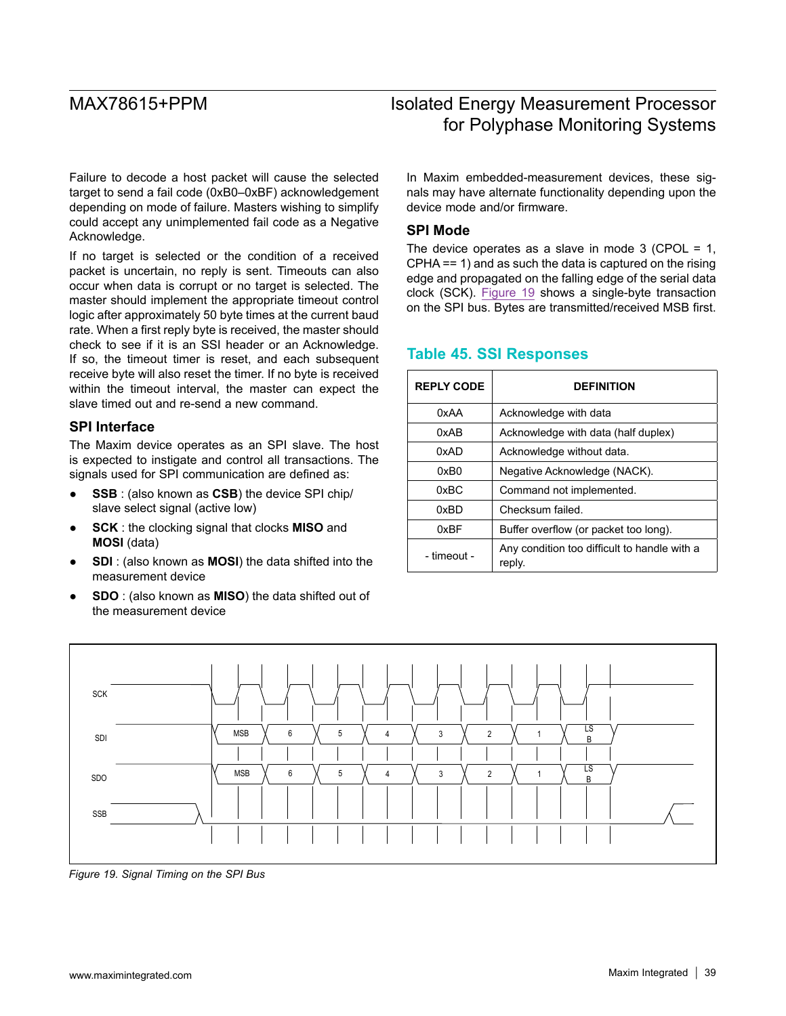Failure to decode a host packet will cause the selected target to send a fail code (0xB0–0xBF) acknowledgement depending on mode of failure. Masters wishing to simplify could accept any unimplemented fail code as a Negative Acknowledge.

If no target is selected or the condition of a received packet is uncertain, no reply is sent. Timeouts can also occur when data is corrupt or no target is selected. The master should implement the appropriate timeout control logic after approximately 50 byte times at the current baud rate. When a first reply byte is received, the master should check to see if it is an SSI header or an Acknowledge. If so, the timeout timer is reset, and each subsequent receive byte will also reset the timer. If no byte is received within the timeout interval, the master can expect the slave timed out and re-send a new command.

### **SPI Interface**

The Maxim device operates as an SPI slave. The host is expected to instigate and control all transactions. The signals used for SPI communication are defined as:

- **SSB** : (also known as CSB) the device SPI chip/ slave select signal (active low)
- **SCK** : the clocking signal that clocks **MISO** and **MOSI** (data)
- **SDI** : (also known as **MOSI**) the data shifted into the measurement device
- **SDO** : (also known as **MISO**) the data shifted out of the measurement device

### In Maxim embedded-measurement devices, these signals may have alternate functionality depending upon the device mode and/or firmware.

### **SPI Mode**

The device operates as a slave in mode  $3$  (CPOL = 1, CPHA == 1) and as such the data is captured on the rising edge and propagated on the falling edge of the serial data clock (SCK). [Figure 19](#page-38-0) shows a single-byte transaction on the SPI bus. Bytes are transmitted/received MSB first.

### **Table 45. SSI Responses**

| <b>REPLY CODE</b> | <b>DEFINITION</b>                                      |
|-------------------|--------------------------------------------------------|
| 0xAA              | Acknowledge with data                                  |
| 0xAB              | Acknowledge with data (half duplex)                    |
| 0xAD              | Acknowledge without data.                              |
| 0xB0              | Negative Acknowledge (NACK).                           |
| 0xBC              | Command not implemented.                               |
| 0xBD              | Checksum failed.                                       |
| 0xBF              | Buffer overflow (or packet too long).                  |
| - timeout -       | Any condition too difficult to handle with a<br>reply. |

<span id="page-38-0"></span>

*Figure 19. Signal Timing on the SPI Bus*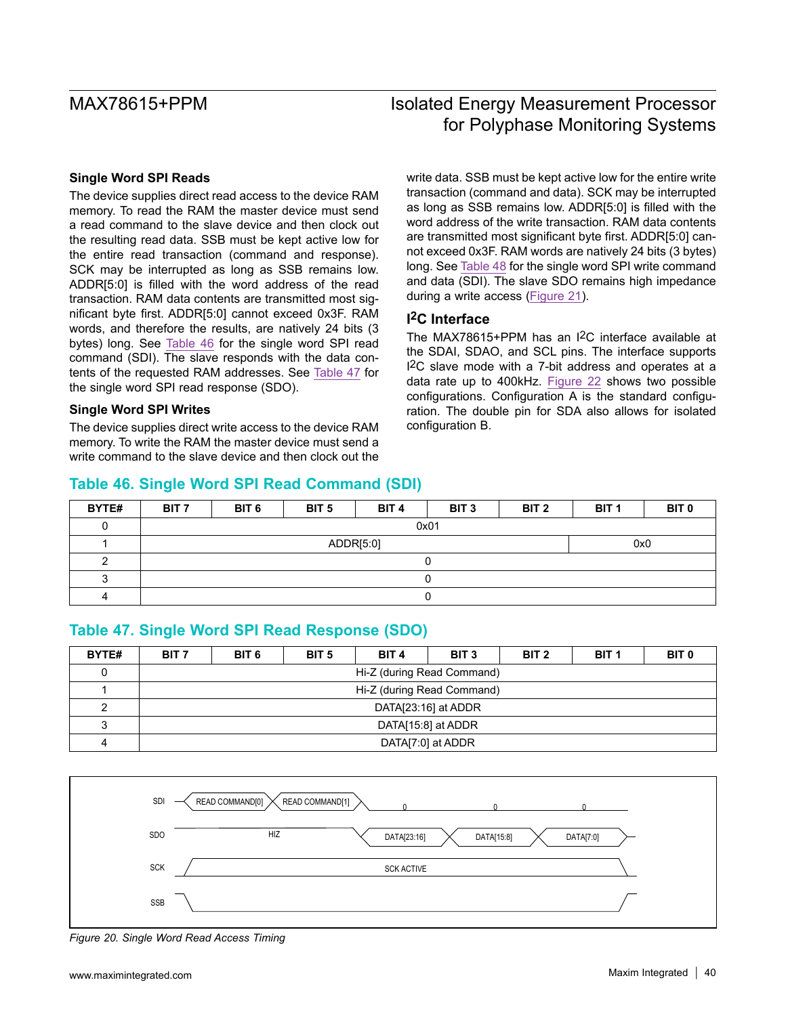#### **Single Word SPI Reads**

The device supplies direct read access to the device RAM memory. To read the RAM the master device must send a read command to the slave device and then clock out the resulting read data. SSB must be kept active low for the entire read transaction (command and response). SCK may be interrupted as long as SSB remains low. ADDR[5:0] is filled with the word address of the read transaction. RAM data contents are transmitted most significant byte first. ADDR[5:0] cannot exceed 0x3F. RAM words, and therefore the results, are natively 24 bits (3 bytes) long. See [Table 46](#page-39-0) for the single word SPI read command (SDI). The slave responds with the data contents of the requested RAM addresses. See [Table 47](#page-39-1) for the single word SPI read response (SDO).

#### **Single Word SPI Writes**

The device supplies direct write access to the device RAM memory. To write the RAM the master device must send a write command to the slave device and then clock out the

write data. SSB must be kept active low for the entire write transaction (command and data). SCK may be interrupted as long as SSB remains low. ADDR[5:0] is filled with the word address of the write transaction. RAM data contents are transmitted most significant byte first. ADDR[5:0] cannot exceed 0x3F. RAM words are natively 24 bits (3 bytes) long. See [Table 48](#page-40-0) for the single word SPI write command and data (SDI). The slave SDO remains high impedance during a write access ([Figure 21](#page-40-1)).

### **I2C Interface**

The MAX78615+PPM has an I2C interface available at the SDAI, SDAO, and SCL pins. The interface supports I2C slave mode with a 7-bit address and operates at a data rate up to 400kHz. [Figure 22](#page-40-2) shows two possible configurations. Configuration A is the standard configuration. The double pin for SDA also allows for isolated configuration B.

## <span id="page-39-0"></span>**Table 46. Single Word SPI Read Command (SDI)**

| BYTE# | BIT <sub>7</sub> | BIT 6 | BIT <sub>5</sub> | BIT <sub>4</sub> | BIT <sub>3</sub> | BIT 2 | BIT <sub>1</sub> | BIT 0 |
|-------|------------------|-------|------------------|------------------|------------------|-------|------------------|-------|
|       | 0x01             |       |                  |                  |                  |       |                  |       |
|       | ADDR[5:0]<br>0x0 |       |                  |                  |                  |       |                  |       |
|       |                  |       |                  |                  |                  |       |                  |       |
|       |                  |       |                  |                  |                  |       |                  |       |
|       |                  |       |                  |                  |                  |       |                  |       |

### <span id="page-39-1"></span>**Table 47. Single Word SPI Read Response (SDO)**

| BYTE# | BIT <sub>7</sub>           | BIT 6 | BIT <sub>5</sub> | BIT <sub>4</sub> | BIT <sub>3</sub> | BIT <sub>2</sub> | BIT <sub>1</sub> | <b>BIT 0</b> |
|-------|----------------------------|-------|------------------|------------------|------------------|------------------|------------------|--------------|
|       | Hi-Z (during Read Command) |       |                  |                  |                  |                  |                  |              |
|       | Hi-Z (during Read Command) |       |                  |                  |                  |                  |                  |              |
| ົ     | DATA[23:16] at ADDR        |       |                  |                  |                  |                  |                  |              |
| າ     | DATA[15:8] at ADDR         |       |                  |                  |                  |                  |                  |              |
|       | DATA[7:0] at ADDR          |       |                  |                  |                  |                  |                  |              |



*Figure 20. Single Word Read Access Timing*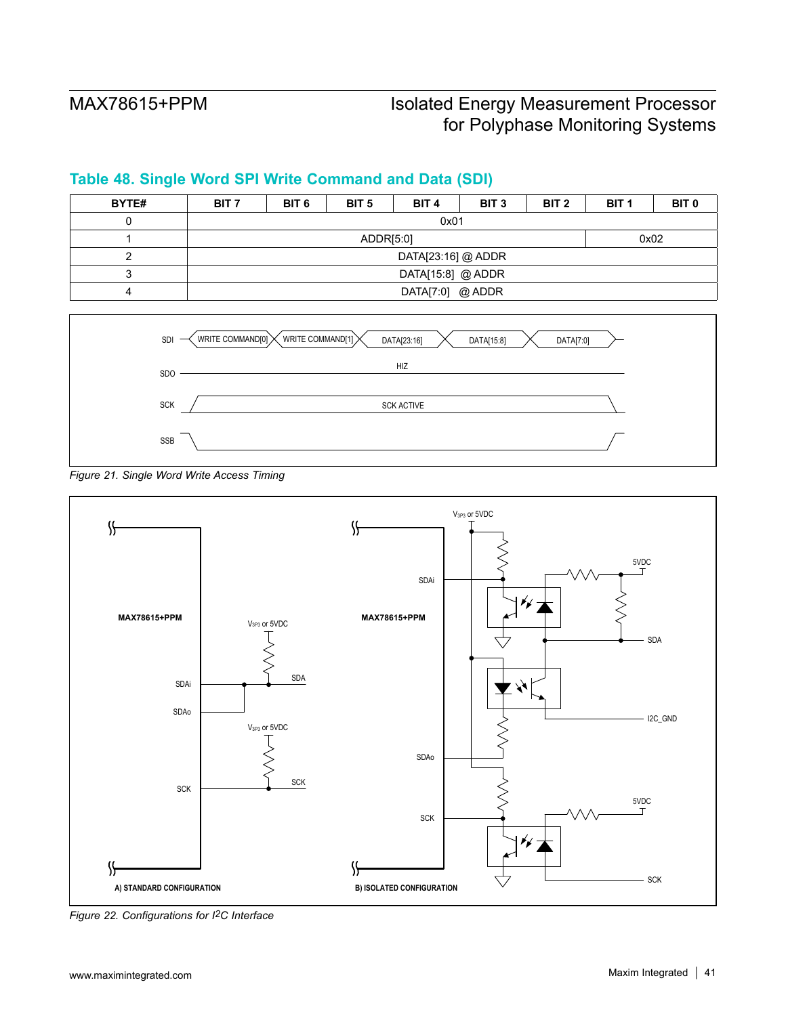## **BYTE# BIT 7 BIT 6 BIT 5 BIT 4 BIT 3 BIT 2 BIT 1 BIT 0**  $0$  0x01 1 | ADDR[5:0] 0x02 2 DATA[23:16] @ ADDR 3 DATA[15:8] @ ADDR 4 DATA[7:0] @ ADDR

<span id="page-40-0"></span>

<span id="page-40-1"></span>



<span id="page-40-2"></span>

*Figure 22. Configurations for I2C Interface*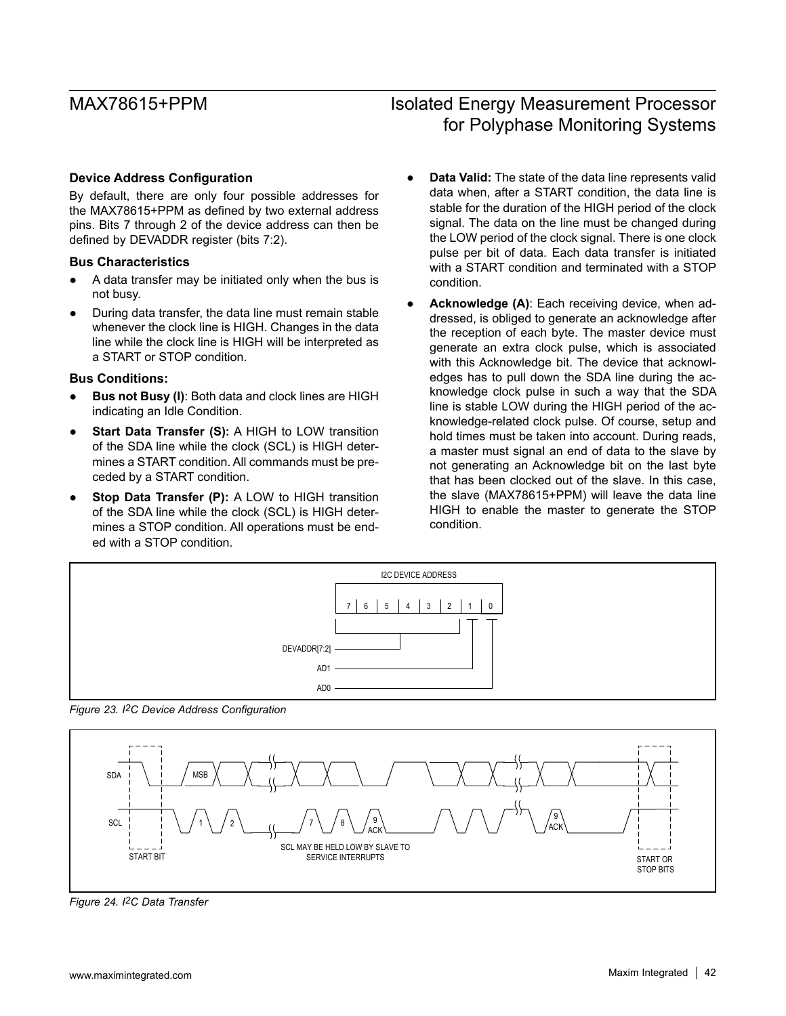### **Device Address Configuration**

By default, there are only four possible addresses for the MAX78615+PPM as defined by two external address pins. Bits 7 through 2 of the device address can then be defined by DEVADDR register (bits 7:2).

### **Bus Characteristics**

- A data transfer may be initiated only when the bus is not busy.
- During data transfer, the data line must remain stable whenever the clock line is HIGH. Changes in the data line while the clock line is HIGH will be interpreted as a START or STOP condition.

### **Bus Conditions:**

- **Bus not Busy (I): Both data and clock lines are HIGH** indicating an Idle Condition.
- **Start Data Transfer (S):** A HIGH to LOW transition of the SDA line while the clock (SCL) is HIGH determines a START condition. All commands must be preceded by a START condition.
- **Stop Data Transfer (P):** A LOW to HIGH transition of the SDA line while the clock (SCL) is HIGH determines a STOP condition. All operations must be ended with a STOP condition.

# MAX78615+PPM Isolated Energy Measurement Processor for Polyphase Monitoring Systems

- **Data Valid:** The state of the data line represents valid data when, after a START condition, the data line is stable for the duration of the HIGH period of the clock signal. The data on the line must be changed during the LOW period of the clock signal. There is one clock pulse per bit of data. Each data transfer is initiated with a START condition and terminated with a STOP condition.
- Acknowledge (A): Each receiving device, when addressed, is obliged to generate an acknowledge after the reception of each byte. The master device must generate an extra clock pulse, which is associated with this Acknowledge bit. The device that acknowledges has to pull down the SDA line during the acknowledge clock pulse in such a way that the SDA line is stable LOW during the HIGH period of the acknowledge-related clock pulse. Of course, setup and hold times must be taken into account. During reads, a master must signal an end of data to the slave by not generating an Acknowledge bit on the last byte that has been clocked out of the slave. In this case, the slave (MAX78615+PPM) will leave the data line HIGH to enable the master to generate the STOP condition.



*Figure 23. I2C Device Address Configuration*



*Figure 24. I2C Data Transfer*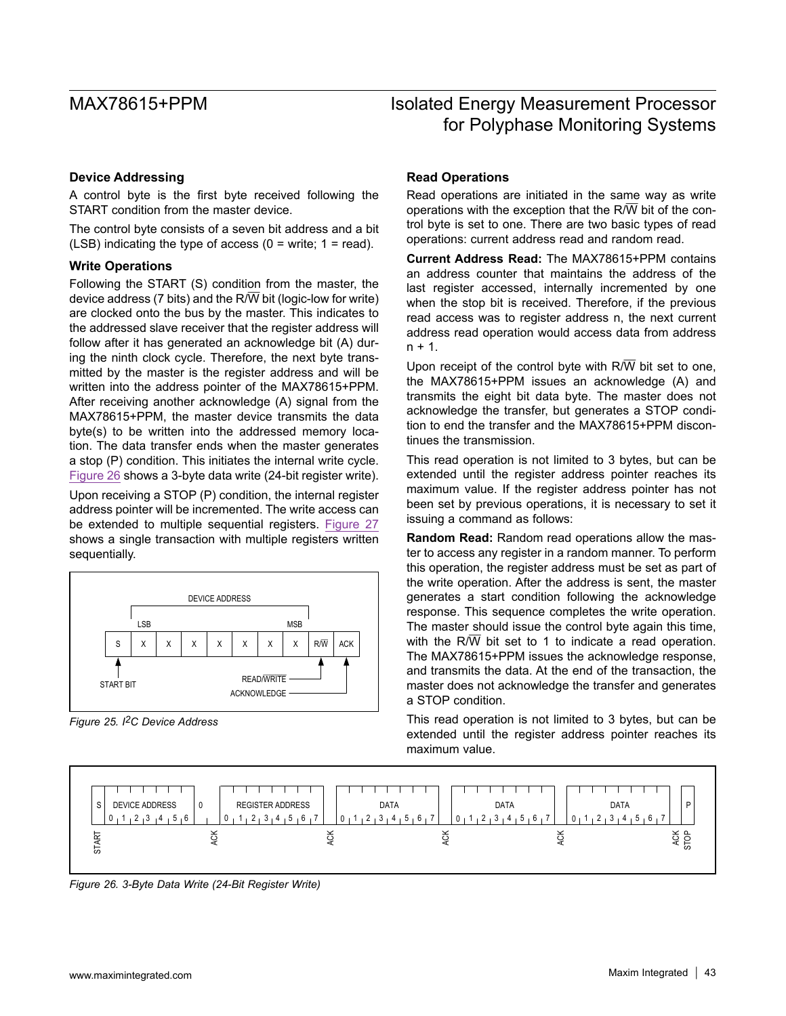#### **Device Addressing**

A control byte is the first byte received following the START condition from the master device.

The control byte consists of a seven bit address and a bit (LSB) indicating the type of access  $(0 = \text{write}; 1 = \text{read})$ .

#### **Write Operations**

Following the START (S) condition from the master, the device address (7 bits) and the  $R/\overline{W}$  bit (logic-low for write) are clocked onto the bus by the master. This indicates to the addressed slave receiver that the register address will follow after it has generated an acknowledge bit (A) during the ninth clock cycle. Therefore, the next byte transmitted by the master is the register address and will be written into the address pointer of the MAX78615+PPM. After receiving another acknowledge (A) signal from the MAX78615+PPM, the master device transmits the data byte(s) to be written into the addressed memory location. The data transfer ends when the master generates a stop (P) condition. This initiates the internal write cycle. [Figure 26](#page-42-0) shows a 3-byte data write (24-bit register write).

Upon receiving a STOP (P) condition, the internal register address pointer will be incremented. The write access can be extended to multiple sequential registers. [Figure 27](#page-43-0) shows a single transaction with multiple registers written sequentially.



*Figure 25. I2C Device Address*

### **Read Operations**

Read operations are initiated in the same way as write operations with the exception that the  $R/\overline{W}$  bit of the control byte is set to one. There are two basic types of read operations: current address read and random read.

**Current Address Read:** The MAX78615+PPM contains an address counter that maintains the address of the last register accessed, internally incremented by one when the stop bit is received. Therefore, if the previous read access was to register address n, the next current address read operation would access data from address  $n + 1$ .

Upon receipt of the control byte with  $R/\overline{W}$  bit set to one, the MAX78615+PPM issues an acknowledge (A) and transmits the eight bit data byte. The master does not acknowledge the transfer, but generates a STOP condition to end the transfer and the MAX78615+PPM discontinues the transmission.

This read operation is not limited to 3 bytes, but can be extended until the register address pointer reaches its maximum value. If the register address pointer has not been set by previous operations, it is necessary to set it issuing a command as follows:

**Random Read:** Random read operations allow the master to access any register in a random manner. To perform this operation, the register address must be set as part of the write operation. After the address is sent, the master generates a start condition following the acknowledge response. This sequence completes the write operation. The master should issue the control byte again this time, with the  $R/\overline{W}$  bit set to 1 to indicate a read operation. The MAX78615+PPM issues the acknowledge response, and transmits the data. At the end of the transaction, the master does not acknowledge the transfer and generates a STOP condition.

This read operation is not limited to 3 bytes, but can be extended until the register address pointer reaches its maximum value.

<span id="page-42-0"></span>

*Figure 26. 3-Byte Data Write (24-Bit Register Write)*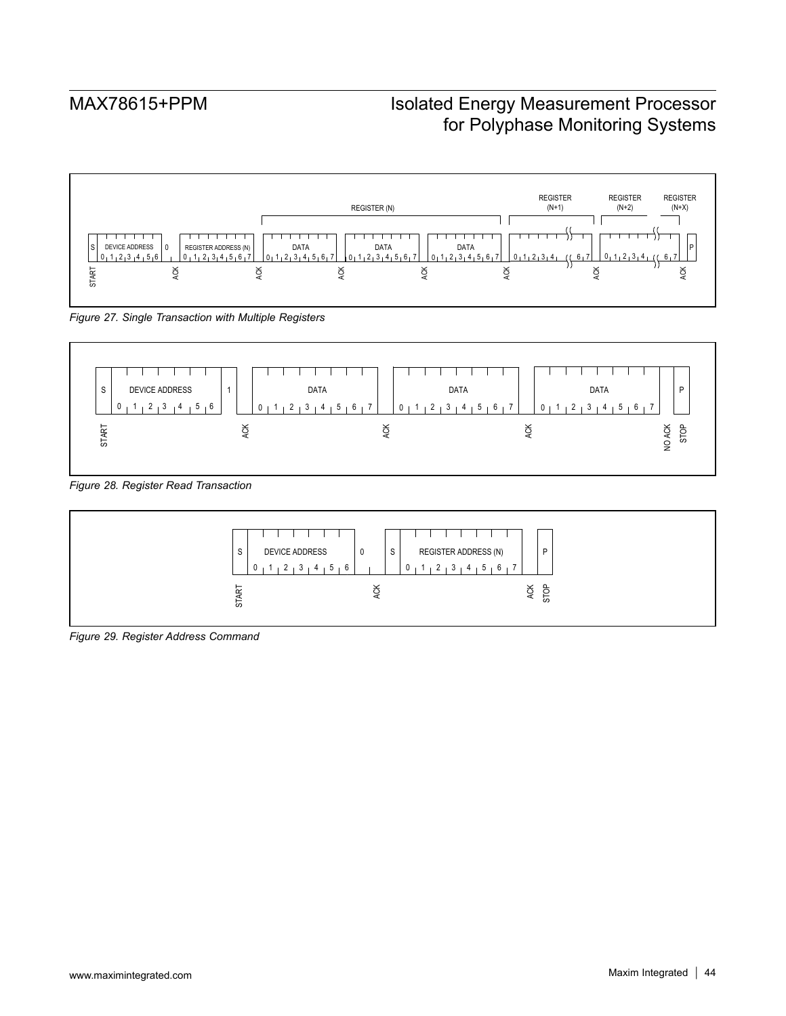<span id="page-43-0"></span>

*Figure 27. Single Transaction with Multiple Registers*



*Figure 28. Register Read Transaction*

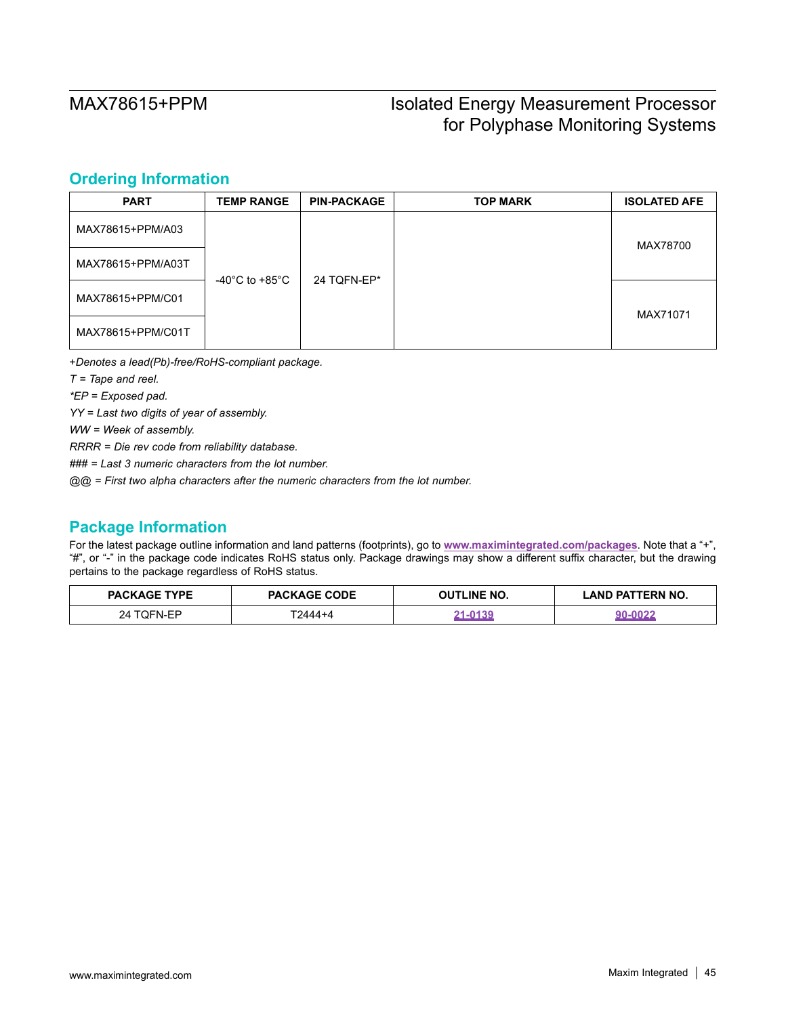## <span id="page-44-0"></span>**Ordering Information**

| <b>PART</b>       | <b>TEMP RANGE</b> | <b>PIN-PACKAGE</b> | <b>TOP MARK</b> | <b>ISOLATED AFE</b> |
|-------------------|-------------------|--------------------|-----------------|---------------------|
| MAX78615+PPM/A03  |                   |                    |                 | MAX78700            |
| MAX78615+PPM/A03T | -40°C to +85°C    | 24 TQFN-EP*        |                 |                     |
| MAX78615+PPM/C01  |                   |                    |                 | MAX71071            |
| MAX78615+PPM/C01T |                   |                    |                 |                     |

+*Denotes a lead(Pb)-free/RoHS-compliant package.*

*T = Tape and reel.*

*\*EP = Exposed pad.*

*YY = Last two digits of year of assembly.*

*WW = Week of assembly.*

*RRRR = Die rev code from reliability database.*

*### = Last 3 numeric characters from the lot number.*

*@@ = First two alpha characters after the numeric characters from the lot number.*

## **Package Information**

For the latest package outline information and land patterns (footprints), go to **[www.maximintegrated.com/packages](http://www.maximintegrated.com/packages)**. Note that a "+", "#", or "-" in the package code indicates RoHS status only. Package drawings may show a different suffix character, but the drawing pertains to the package regardless of RoHS status.

| <b>PACKAGE TYPE</b> | <b>PACKAGE CODE</b> | <b>OUTLINE NO.</b> | <b>LAND PATTERN NO.</b> |
|---------------------|---------------------|--------------------|-------------------------|
| 24<br>. JUFN-FP     | T2444+4             | -0420              |                         |